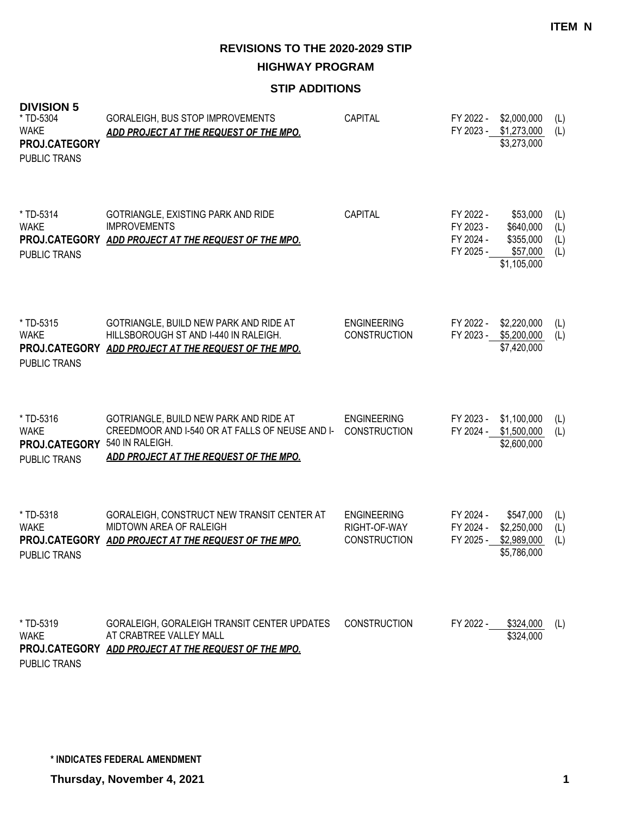**HIGHWAY PROGRAM**

## **STIP ADDITIONS**

| <b>DIVISION 5</b><br>* TD-5304<br><b>WAKE</b><br>PROJ.CATEGORY<br><b>PUBLIC TRANS</b> | GORALEIGH, BUS STOP IMPROVEMENTS<br>ADD PROJECT AT THE REQUEST OF THE MPO.                                                                                          | <b>CAPITAL</b>                                            | FY 2022 -<br>FY 2023 -                           | \$2,000,000<br>\$1,273,000<br>\$3,273,000                     | (L)<br>(L)               |
|---------------------------------------------------------------------------------------|---------------------------------------------------------------------------------------------------------------------------------------------------------------------|-----------------------------------------------------------|--------------------------------------------------|---------------------------------------------------------------|--------------------------|
| * TD-5314<br><b>WAKE</b><br><b>PUBLIC TRANS</b>                                       | GOTRIANGLE, EXISTING PARK AND RIDE<br><b>IMPROVEMENTS</b><br>PROJ.CATEGORY ADD PROJECT AT THE REQUEST OF THE MPO.                                                   | CAPITAL                                                   | FY 2022 -<br>FY 2023 -<br>FY 2024 -<br>FY 2025 - | \$53,000<br>\$640,000<br>\$355,000<br>\$57,000<br>\$1,105,000 | (L)<br>(L)<br>(L)<br>(L) |
| * TD-5315<br><b>WAKE</b><br><b>PUBLIC TRANS</b>                                       | GOTRIANGLE, BUILD NEW PARK AND RIDE AT<br>HILLSBOROUGH ST AND I-440 IN RALEIGH.<br>PROJ.CATEGORY ADD PROJECT AT THE REQUEST OF THE MPO.                             | <b>ENGINEERING</b><br><b>CONSTRUCTION</b>                 | FY 2022 -<br>FY 2023 -                           | \$2,220,000<br>\$5,200,000<br>\$7,420,000                     | (L)<br>(L)               |
| * TD-5316<br><b>WAKE</b><br>PROJ.CATEGORY<br>PUBLIC TRANS                             | GOTRIANGLE, BUILD NEW PARK AND RIDE AT<br>CREEDMOOR AND I-540 OR AT FALLS OF NEUSE AND I- CONSTRUCTION<br>540 IN RALEIGH.<br>ADD PROJECT AT THE REQUEST OF THE MPO. | <b>ENGINEERING</b>                                        | FY 2023 -<br>FY 2024 -                           | \$1,100,000<br>\$1,500,000<br>\$2,600,000                     | (L)<br>(L)               |
| * TD-5318<br><b>WAKE</b><br><b>PUBLIC TRANS</b>                                       | GORALEIGH, CONSTRUCT NEW TRANSIT CENTER AT<br><b>MIDTOWN AREA OF RALEIGH</b><br>PROJ.CATEGORY ADD PROJECT AT THE REQUEST OF THE MPO.                                | <b>ENGINEERING</b><br>RIGHT-OF-WAY<br><b>CONSTRUCTION</b> | FY 2024 -<br>FY 2024 -<br>FY 2025 -              | \$547,000<br>\$2,250,000<br>\$2,989,000<br>\$5,786,000        | (L)<br>(L)<br>(L)        |
| * TD-5319<br><b>WAKE</b><br>PUBLIC TRANS                                              | GORALEIGH, GORALEIGH TRANSIT CENTER UPDATES<br>AT CRABTREE VALLEY MALL<br>PROJ.CATEGORY ADD PROJECT AT THE REQUEST OF THE MPO.                                      | <b>CONSTRUCTION</b>                                       |                                                  | FY 2022 - \$324,000<br>\$324,000                              | (L)                      |

**\* INDICATES FEDERAL AMENDMENT**

**Thursday, November 4, 2021 1**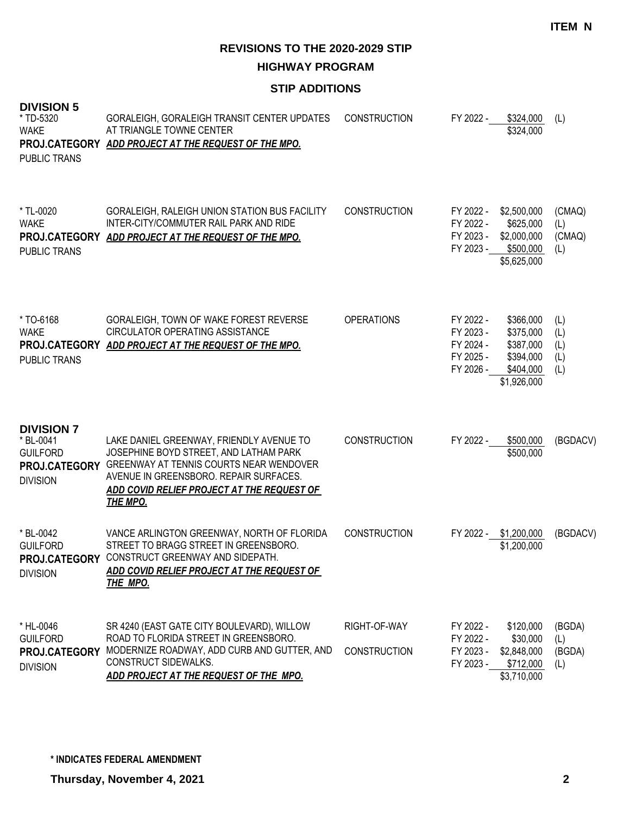**HIGHWAY PROGRAM**

## **STIP ADDITIONS**

| <b>DIVISION 5</b><br>* TD-5320<br><b>WAKE</b><br><b>PUBLIC TRANS</b> | GORALEIGH, GORALEIGH TRANSIT CENTER UPDATES<br>AT TRIANGLE TOWNE CENTER<br>PROJ.CATEGORY ADD PROJECT AT THE REQUEST OF THE MPO.                                                                                                                        | <b>CONSTRUCTION</b>                 | FY 2022 -<br>\$324,000<br>\$324,000                                                                                                           | (L)                             |
|----------------------------------------------------------------------|--------------------------------------------------------------------------------------------------------------------------------------------------------------------------------------------------------------------------------------------------------|-------------------------------------|-----------------------------------------------------------------------------------------------------------------------------------------------|---------------------------------|
| * TL-0020<br><b>WAKE</b><br><b>PUBLIC TRANS</b>                      | GORALEIGH, RALEIGH UNION STATION BUS FACILITY<br>INTER-CITY/COMMUTER RAIL PARK AND RIDE<br>PROJ.CATEGORY ADD PROJECT AT THE REQUEST OF THE MPO.                                                                                                        | <b>CONSTRUCTION</b>                 | FY 2022 -<br>\$2,500,000<br>FY 2022 -<br>\$625,000<br>FY 2023 - \$2,000,000<br>FY 2023 - \$500,000<br>\$5,625,000                             | (CMAQ)<br>(L)<br>(CMAQ)<br>(L)  |
| * TO-6168<br><b>WAKE</b><br><b>PUBLIC TRANS</b>                      | GORALEIGH, TOWN OF WAKE FOREST REVERSE<br><b>CIRCULATOR OPERATING ASSISTANCE</b><br>PROJ.CATEGORY ADD PROJECT AT THE REQUEST OF THE MPO.                                                                                                               | <b>OPERATIONS</b>                   | \$366,000<br>FY 2022 -<br>\$375,000<br>FY 2023 -<br>FY 2024 -<br>\$387,000<br>FY 2025 -<br>\$394,000<br>FY 2026 -<br>\$404,000<br>\$1,926,000 | (L)<br>(L)<br>(L)<br>(L)<br>(L) |
| <b>DIVISION 7</b><br>* BL-0041<br><b>GUILFORD</b><br><b>DIVISION</b> | LAKE DANIEL GREENWAY, FRIENDLY AVENUE TO<br>JOSEPHINE BOYD STREET, AND LATHAM PARK<br>PROJ.CATEGORY GREENWAY AT TENNIS COURTS NEAR WENDOVER<br>AVENUE IN GREENSBORO. REPAIR SURFACES.<br>ADD COVID RELIEF PROJECT AT THE REQUEST OF<br><u>THE MPO.</u> | <b>CONSTRUCTION</b>                 | FY 2022 -<br>\$500,000<br>\$500,000                                                                                                           | (BGDACV)                        |
| * BL-0042<br><b>GUILFORD</b><br><b>DIVISION</b>                      | VANCE ARLINGTON GREENWAY, NORTH OF FLORIDA<br>STREET TO BRAGG STREET IN GREENSBORO.<br>PROJ.CATEGORY CONSTRUCT GREENWAY AND SIDEPATH.<br>ADD COVID RELIEF PROJECT AT THE REQUEST OF<br><b>THE MPO.</b>                                                 | <b>CONSTRUCTION</b>                 | FY 2022 - \$1,200,000<br>\$1,200,000                                                                                                          | (BGDACV)                        |
| * HL-0046<br><b>GUILFORD</b><br>PROJ.CATEGORY<br><b>DIVISION</b>     | SR 4240 (EAST GATE CITY BOULEVARD), WILLOW<br>ROAD TO FLORIDA STREET IN GREENSBORO.<br>MODERNIZE ROADWAY, ADD CURB AND GUTTER, AND<br><b>CONSTRUCT SIDEWALKS.</b><br>ADD PROJECT AT THE REQUEST OF THE MPO.                                            | RIGHT-OF-WAY<br><b>CONSTRUCTION</b> | FY 2022 -<br>\$120,000<br>FY 2022 -<br>\$30,000<br>\$2,848,000<br>FY 2023 -<br>FY 2023 -<br>\$712,000<br>\$3,710,000                          | (BGDA)<br>(L)<br>(BGDA)<br>(L)  |

**\* INDICATES FEDERAL AMENDMENT**

**Thursday, November 4, 2021 2**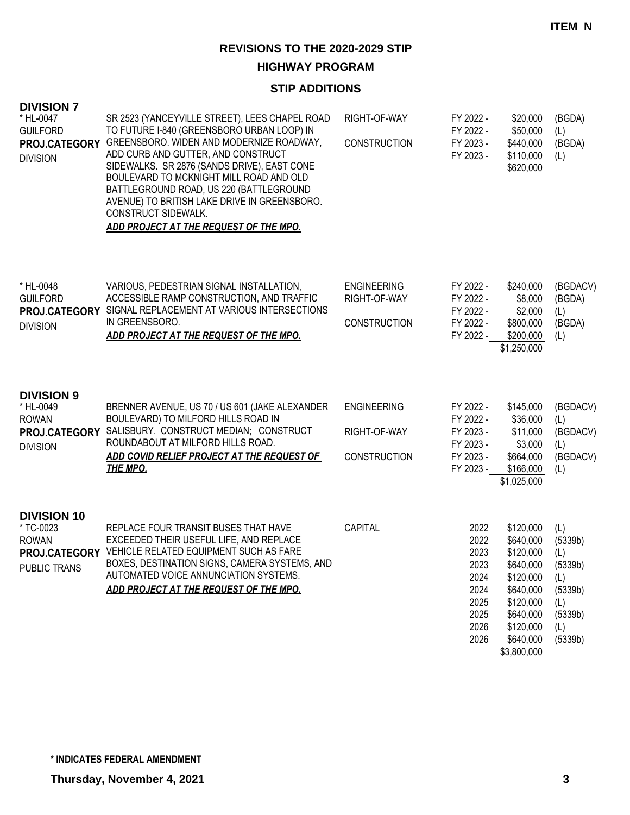#### **HIGHWAY PROGRAM**

## **STIP ADDITIONS**

| <b>DIVISION 7</b><br>* HL-0047<br><b>GUILFORD</b><br>PROJ.CATEGORY<br><b>DIVISION</b> | SR 2523 (YANCEYVILLE STREET), LEES CHAPEL ROAD<br>TO FUTURE I-840 (GREENSBORO URBAN LOOP) IN<br>GREENSBORO. WIDEN AND MODERNIZE ROADWAY,<br>ADD CURB AND GUTTER, AND CONSTRUCT<br>SIDEWALKS. SR 2876 (SANDS DRIVE), EAST CONE<br>BOULEVARD TO MCKNIGHT MILL ROAD AND OLD<br>BATTLEGROUND ROAD, US 220 (BATTLEGROUND<br>AVENUE) TO BRITISH LAKE DRIVE IN GREENSBORO.<br>CONSTRUCT SIDEWALK.<br><u>ADD PROJECT AT THE REQUEST OF THE MPO.</u> | RIGHT-OF-WAY<br><b>CONSTRUCTION</b>                       | FY 2022 -<br>FY 2022 -<br>FY 2023 -<br>FY 2023 -                             | \$20,000<br>\$50,000<br>\$440,000<br>\$110,000<br>\$620,000                                                                                   | (BGDA)<br>(L)<br>(BGDA)<br>(L)                                                         |
|---------------------------------------------------------------------------------------|---------------------------------------------------------------------------------------------------------------------------------------------------------------------------------------------------------------------------------------------------------------------------------------------------------------------------------------------------------------------------------------------------------------------------------------------|-----------------------------------------------------------|------------------------------------------------------------------------------|-----------------------------------------------------------------------------------------------------------------------------------------------|----------------------------------------------------------------------------------------|
| * HL-0048<br><b>GUILFORD</b><br>PROJ.CATEGORY<br><b>DIVISION</b>                      | VARIOUS, PEDESTRIAN SIGNAL INSTALLATION,<br>ACCESSIBLE RAMP CONSTRUCTION, AND TRAFFIC<br>SIGNAL REPLACEMENT AT VARIOUS INTERSECTIONS<br>IN GREENSBORO.<br>ADD PROJECT AT THE REQUEST OF THE MPO.                                                                                                                                                                                                                                            | <b>ENGINEERING</b><br>RIGHT-OF-WAY<br><b>CONSTRUCTION</b> | FY 2022 -<br>FY 2022 -<br>FY 2022 -<br>FY 2022 -<br>FY 2022 -                | \$240,000<br>\$8,000<br>\$2,000<br>\$800,000<br>\$200,000<br>\$1,250,000                                                                      | (BGDACV)<br>(BGDA)<br>(L)<br>(BGDA)<br>(L)                                             |
| <b>DIVISION 9</b><br>* HL-0049<br><b>ROWAN</b><br>PROJ.CATEGORY<br><b>DIVISION</b>    | BRENNER AVENUE, US 70 / US 601 (JAKE ALEXANDER<br>BOULEVARD) TO MILFORD HILLS ROAD IN<br>SALISBURY. CONSTRUCT MEDIAN; CONSTRUCT<br>ROUNDABOUT AT MILFORD HILLS ROAD.<br>ADD COVID RELIEF PROJECT AT THE REQUEST OF<br><b>THE MPO.</b>                                                                                                                                                                                                       | <b>ENGINEERING</b><br>RIGHT-OF-WAY<br><b>CONSTRUCTION</b> | FY 2022 -<br>FY 2022 -<br>FY 2023 -<br>FY 2023 -<br>FY 2023 -<br>FY 2023 -   | \$145,000<br>\$36,000<br>\$11,000<br>\$3,000<br>\$664,000<br>\$166,000<br>\$1,025,000                                                         | (BGDACV)<br>(L)<br>(BGDACV)<br>(L)<br>(BGDACV)<br>(L)                                  |
| <b>DIVISION 10</b><br>* TC-0023<br><b>ROWAN</b><br>PUBLIC TRANS                       | REPLACE FOUR TRANSIT BUSES THAT HAVE<br>EXCEEDED THEIR USEFUL LIFE, AND REPLACE<br>PROJ.CATEGORY VEHICLE RELATED EQUIPMENT SUCH AS FARE<br>BOXES, DESTINATION SIGNS, CAMERA SYSTEMS, AND<br>AUTOMATED VOICE ANNUNCIATION SYSTEMS.<br>ADD PROJECT AT THE REQUEST OF THE MPO.                                                                                                                                                                 | <b>CAPITAL</b>                                            | 2022<br>2022<br>2023<br>2023<br>2024<br>2024<br>2025<br>2025<br>2026<br>2026 | \$120,000<br>\$640,000<br>\$120,000<br>\$640,000<br>\$120,000<br>\$640,000<br>\$120,000<br>\$640,000<br>\$120,000<br>\$640,000<br>\$3,800,000 | (L)<br>(5339b)<br>(L)<br>(5339b)<br>(L)<br>(5339b)<br>(L)<br>(5339b)<br>(L)<br>(5339b) |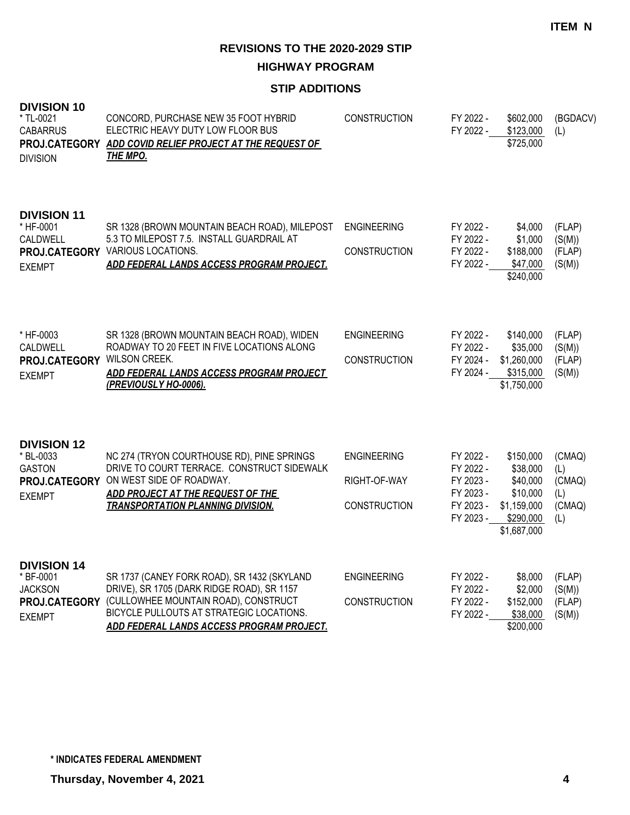**ITEM N**

**REVISIONS TO THE 2020-2029 STIP**

**HIGHWAY PROGRAM**

## **STIP ADDITIONS**

| <b>DIVISION 10</b><br>* TL-0021<br><b>CABARRUS</b><br><b>DIVISION</b>               | CONCORD, PURCHASE NEW 35 FOOT HYBRID<br>ELECTRIC HEAVY DUTY LOW FLOOR BUS<br>PROJ.CATEGORY ADD COVID RELIEF PROJECT AT THE REQUEST OF<br><u>THE MPO.</u>                                                                   | <b>CONSTRUCTION</b>                                       | FY 2022 -<br>FY 2022 -                                                     | \$602,000<br>\$123,000<br>\$725,000                                                      | (BGDACV)<br>(L)                                 |
|-------------------------------------------------------------------------------------|----------------------------------------------------------------------------------------------------------------------------------------------------------------------------------------------------------------------------|-----------------------------------------------------------|----------------------------------------------------------------------------|------------------------------------------------------------------------------------------|-------------------------------------------------|
| <b>DIVISION 11</b><br>* HF-0001<br><b>CALDWELL</b><br><b>EXEMPT</b>                 | SR 1328 (BROWN MOUNTAIN BEACH ROAD), MILEPOST<br>5.3 TO MILEPOST 7.5. INSTALL GUARDRAIL AT<br>PROJ.CATEGORY VARIOUS LOCATIONS.<br>ADD FEDERAL LANDS ACCESS PROGRAM PROJECT.                                                | <b>ENGINEERING</b><br><b>CONSTRUCTION</b>                 | FY 2022 -<br>FY 2022 -<br>FY 2022 -<br>FY 2022 -                           | \$4,000<br>\$1,000<br>\$188,000<br>\$47,000<br>\$240,000                                 | (FLAP)<br>(S(M))<br>(FLAP)<br>(S(M))            |
| * HF-0003<br><b>CALDWELL</b><br>PROJ.CATEGORY WILSON CREEK.<br><b>EXEMPT</b>        | SR 1328 (BROWN MOUNTAIN BEACH ROAD), WIDEN<br>ROADWAY TO 20 FEET IN FIVE LOCATIONS ALONG<br>ADD FEDERAL LANDS ACCESS PROGRAM PROJECT<br>(PREVIOUSLY HO-0006).                                                              | <b>ENGINEERING</b><br>CONSTRUCTION                        | FY 2022 -<br>FY 2022 -<br>FY 2024 -<br>FY 2024 -                           | \$140,000<br>\$35,000<br>\$1,260,000<br>\$315,000<br>\$1,750,000                         | (FLAP)<br>(S(M))<br>(FLAP)<br>(S(M))            |
| <b>DIVISION 12</b><br>* BL-0033<br><b>GASTON</b><br><b>EXEMPT</b>                   | NC 274 (TRYON COURTHOUSE RD), PINE SPRINGS<br>DRIVE TO COURT TERRACE. CONSTRUCT SIDEWALK<br>PROJ.CATEGORY ON WEST SIDE OF ROADWAY.<br>ADD PROJECT AT THE REQUEST OF THE<br><b>TRANSPORTATION PLANNING DIVISION.</b>        | <b>ENGINEERING</b><br>RIGHT-OF-WAY<br><b>CONSTRUCTION</b> | FY 2022 -<br>FY 2022 -<br>FY 2023 -<br>FY 2023 -<br>FY 2023 -<br>FY 2023 - | \$150,000<br>\$38,000<br>\$40,000<br>\$10,000<br>\$1,159,000<br>\$290,000<br>\$1,687,000 | (CMAQ)<br>(L)<br>(CMAQ)<br>(L)<br>(CMAQ)<br>(L) |
| <b>DIVISION 14</b><br>* BF-0001<br><b>JACKSON</b><br>PROJ.CATEGORY<br><b>EXEMPT</b> | SR 1737 (CANEY FORK ROAD), SR 1432 (SKYLAND<br>DRIVE), SR 1705 (DARK RIDGE ROAD), SR 1157<br>(CULLOWHEE MOUNTAIN ROAD), CONSTRUCT<br>BICYCLE PULLOUTS AT STRATEGIC LOCATIONS.<br>ADD FEDERAL LANDS ACCESS PROGRAM PROJECT. | <b>ENGINEERING</b><br><b>CONSTRUCTION</b>                 | FY 2022 -<br>FY 2022 -<br>FY 2022 -<br>FY 2022 -                           | \$8,000<br>\$2,000<br>\$152,000<br>\$38,000<br>\$200,000                                 | (FLAP)<br>(S(M))<br>(FLAP)<br>(S(M))            |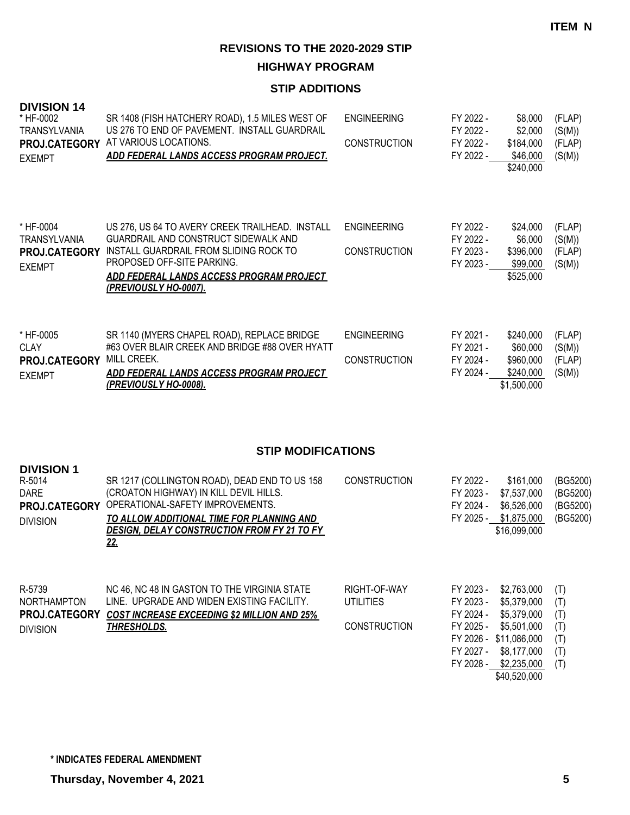**HIGHWAY PROGRAM**

## **STIP ADDITIONS**

| <b>DIVISION 14</b><br>* HF-0002<br>TRANSYLVANIA<br>PROJ.CATEGORY<br><b>EXEMPT</b> | SR 1408 (FISH HATCHERY ROAD), 1.5 MILES WEST OF<br>US 276 TO END OF PAVEMENT. INSTALL GUARDRAIL<br>AT VARIOUS LOCATIONS.<br>ADD FEDERAL LANDS ACCESS PROGRAM PROJECT.                                                                       | <b>ENGINEERING</b><br><b>CONSTRUCTION</b>               | FY 2022 -<br>FY 2022 -<br>FY 2022 -<br>FY 2022 -                           | \$8,000<br>\$2,000<br>\$184,000<br>\$46,000<br>\$240,000                                                         | (FLAP)<br>(S(M))<br>(FLAP)<br>(S(M))          |
|-----------------------------------------------------------------------------------|---------------------------------------------------------------------------------------------------------------------------------------------------------------------------------------------------------------------------------------------|---------------------------------------------------------|----------------------------------------------------------------------------|------------------------------------------------------------------------------------------------------------------|-----------------------------------------------|
| * HF-0004<br><b>TRANSYLVANIA</b><br>PROJ.CATEGORY<br><b>EXEMPT</b>                | US 276, US 64 TO AVERY CREEK TRAILHEAD. INSTALL<br>GUARDRAIL AND CONSTRUCT SIDEWALK AND<br>INSTALL GUARDRAIL FROM SLIDING ROCK TO<br>PROPOSED OFF-SITE PARKING.<br>ADD FEDERAL LANDS ACCESS PROGRAM PROJECT<br><u>(PREVIOUSLY HO-0007).</u> | <b>ENGINEERING</b><br><b>CONSTRUCTION</b>               | FY 2022 -<br>FY 2022 -<br>FY 2023 -<br>FY 2023 -                           | \$24,000<br>\$6,000<br>\$396,000<br>\$99,000<br>\$525,000                                                        | (FLAP)<br>(S(M))<br>(FLAP)<br>(S(M))          |
| * HF-0005<br><b>CLAY</b><br>PROJ.CATEGORY MILL CREEK.<br><b>EXEMPT</b>            | SR 1140 (MYERS CHAPEL ROAD), REPLACE BRIDGE<br>#63 OVER BLAIR CREEK AND BRIDGE #88 OVER HYATT<br>ADD FEDERAL LANDS ACCESS PROGRAM PROJECT<br>(PREVIOUSLY HO-0008).                                                                          | <b>ENGINEERING</b><br><b>CONSTRUCTION</b>               | FY 2021 -<br>FY 2021 -<br>FY 2024 -<br>FY 2024 -                           | \$240,000<br>\$60,000<br>\$960,000<br>\$240,000<br>\$1,500,000                                                   | (FLAP)<br>(S(M))<br>(FLAP)<br>(S(M))          |
|                                                                                   | <b>STIP MODIFICATIONS</b>                                                                                                                                                                                                                   |                                                         |                                                                            |                                                                                                                  |                                               |
| <b>DIVISION 1</b><br>R-5014<br><b>DARE</b><br>PROJ.CATEGORY<br><b>DIVISION</b>    | SR 1217 (COLLINGTON ROAD), DEAD END TO US 158<br>(CROATON HIGHWAY) IN KILL DEVIL HILLS.<br>OPERATIONAL-SAFETY IMPROVEMENTS.<br>TO ALLOW ADDITIONAL TIME FOR PLANNING AND<br>DESIGN, DELAY CONSTRUCTION FROM FY 21 TO FY<br><u>22.</u>       | <b>CONSTRUCTION</b>                                     | FY 2022 -<br>FY 2023 -<br>FY 2024 -                                        | \$161,000<br>\$7,537,000<br>\$6,526,000<br>FY 2025 - \$1,875,000<br>\$16,099,000                                 | (BG5200)<br>(BG5200)<br>(BG5200)<br>(BG5200)  |
| R-5739<br>NORTHAMPTON<br>PROJ.CATEGORY<br><b>DIVISION</b>                         | NC 46, NC 48 IN GASTON TO THE VIRGINIA STATE<br>LINE. UPGRADE AND WIDEN EXISTING FACILITY.<br><b>COST INCREASE EXCEEDING \$2 MILLION AND 25%</b><br><b>THRESHOLDS.</b>                                                                      | RIGHT-OF-WAY<br><b>UTILITIES</b><br><b>CONSTRUCTION</b> | FY 2023 -<br>FY 2023 -<br>FY 2024 -<br>FY 2025 -<br>FY 2027 -<br>FY 2028 - | \$2,763,000<br>\$5,379,000<br>\$5,379,000<br>\$5,501,000<br>FY 2026 - \$11,086,000<br>\$8,177,000<br>\$2,235,000 | (T)<br>(T)<br>(T)<br>(T)<br>(T)<br>(T)<br>(T) |

\$40,520,000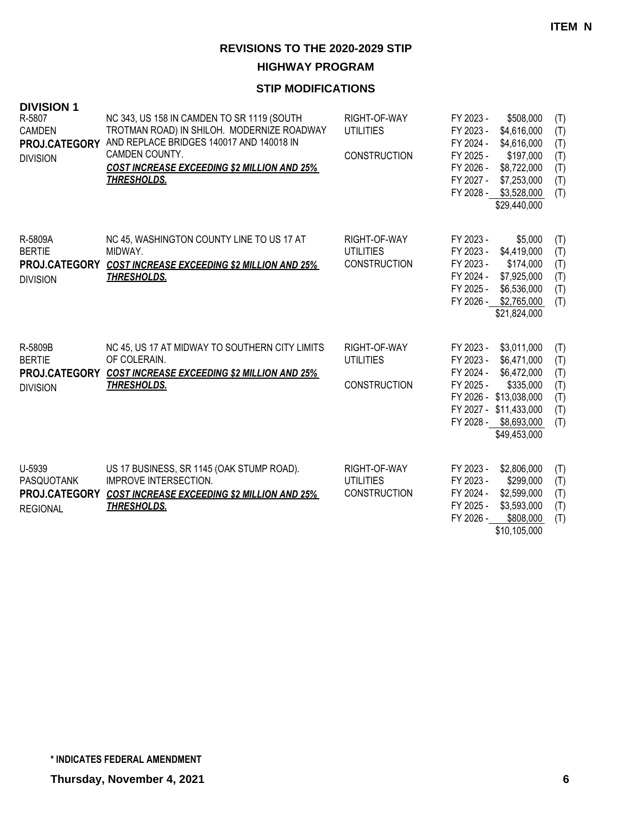**HIGHWAY PROGRAM**

| <b>DIVISION 1</b><br>R-5807<br><b>CAMDEN</b><br>PROJ.CATEGORY<br><b>DIVISION</b> | NC 343, US 158 IN CAMDEN TO SR 1119 (SOUTH<br>TROTMAN ROAD) IN SHILOH. MODERNIZE ROADWAY<br>AND REPLACE BRIDGES 140017 AND 140018 IN<br>CAMDEN COUNTY.<br><b>COST INCREASE EXCEEDING \$2 MILLION AND 25%</b><br><u>THRESHOLDS.</u> | RIGHT-OF-WAY<br><b>UTILITIES</b><br><b>CONSTRUCTION</b> | FY 2023 -<br>FY 2023 -<br>FY 2024 -<br>FY 2025 -<br>FY 2026 -<br>FY 2027 - | \$508,000<br>\$4,616,000<br>\$4,616,000<br>\$197,000<br>\$8,722,000<br>\$7,253,000<br>FY 2028 - \$3,528,000<br>\$29,440,000                         | (T)<br>(T)<br>(T)<br>(T)<br>(T)<br>(T)<br>(T) |
|----------------------------------------------------------------------------------|------------------------------------------------------------------------------------------------------------------------------------------------------------------------------------------------------------------------------------|---------------------------------------------------------|----------------------------------------------------------------------------|-----------------------------------------------------------------------------------------------------------------------------------------------------|-----------------------------------------------|
| R-5809A<br><b>BERTIE</b><br>PROJ.CATEGORY<br><b>DIVISION</b>                     | NC 45, WASHINGTON COUNTY LINE TO US 17 AT<br>MIDWAY.<br><b>COST INCREASE EXCEEDING \$2 MILLION AND 25%</b><br><b>THRESHOLDS.</b>                                                                                                   | RIGHT-OF-WAY<br><b>UTILITIES</b><br><b>CONSTRUCTION</b> | FY 2023 -<br>FY 2023 -<br>FY 2023 -<br>FY 2024 -<br>FY 2025 -<br>FY 2026 - | \$5,000<br>\$4,419,000<br>\$174,000<br>\$7,925,000<br>\$6,536,000<br>\$2,765,000<br>\$21,824,000                                                    | (T)<br>(T)<br>(T)<br>(T)<br>(T)<br>(T)        |
| R-5809B<br><b>BERTIE</b><br>PROJ.CATEGORY<br><b>DIVISION</b>                     | NC 45, US 17 AT MIDWAY TO SOUTHERN CITY LIMITS<br>OF COLERAIN.<br><b>COST INCREASE EXCEEDING \$2 MILLION AND 25%</b><br><b>THRESHOLDS.</b>                                                                                         | RIGHT-OF-WAY<br><b>UTILITIES</b><br><b>CONSTRUCTION</b> | FY 2023 -<br>FY 2023 -<br>FY 2024 -<br>FY 2025 -                           | \$3,011,000<br>\$6,471,000<br>\$6,472,000<br>\$335,000<br>FY 2026 - \$13,038,000<br>FY 2027 - \$11,433,000<br>FY 2028 - \$8,693,000<br>\$49,453,000 | (T)<br>(T)<br>(T)<br>(T)<br>(T)<br>(T)<br>(T) |
| U-5939<br>PASQUOTANK<br>PROJ.CATEGORY<br><b>REGIONAL</b>                         | US 17 BUSINESS, SR 1145 (OAK STUMP ROAD).<br><b>IMPROVE INTERSECTION.</b><br><b>COST INCREASE EXCEEDING \$2 MILLION AND 25%</b><br><b>THRESHOLDS.</b>                                                                              | RIGHT-OF-WAY<br><b>UTILITIES</b><br><b>CONSTRUCTION</b> | FY 2023 -<br>FY 2023 -<br>FY 2024 -<br>FY 2025 -<br>FY 2026 -              | \$2,806,000<br>\$299,000<br>\$2,599,000<br>\$3,593,000<br>\$808,000<br>\$10,105,000                                                                 | (T)<br>(T)<br>(T)<br>(T)<br>(T)               |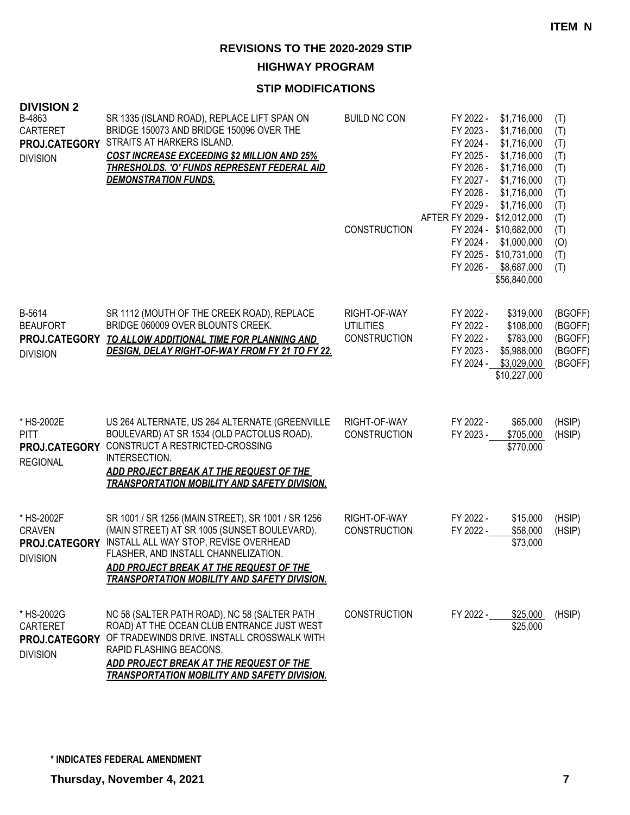**HIGHWAY PROGRAM**

## **STIP MODIFICATIONS**

| <b>DIVISION 2</b><br>B-4863<br><b>CARTERET</b><br>PROJ.CATEGORY<br><b>DIVISION</b> | SR 1335 (ISLAND ROAD), REPLACE LIFT SPAN ON<br>BRIDGE 150073 AND BRIDGE 150096 OVER THE<br>STRAITS AT HARKERS ISLAND.<br><b>COST INCREASE EXCEEDING \$2 MILLION AND 25%</b><br><b>THRESHOLDS. 'O' FUNDS REPRESENT FEDERAL AID</b><br><b>DEMONSTRATION FUNDS.</b>                      | <b>BUILD NC CON</b><br><b>CONSTRUCTION</b>              | \$1,716,000<br>FY 2022 -<br>FY 2023 -<br>\$1,716,000<br>FY 2024 -<br>\$1,716,000<br>FY 2025 -<br>\$1,716,000<br>FY 2026 -<br>\$1,716,000<br>FY 2027 -<br>\$1,716,000<br>FY 2028 -<br>\$1,716,000<br>FY 2029 -<br>\$1,716,000<br>AFTER FY 2029 - \$12,012,000<br>FY 2024 - \$10,682,000<br>\$1,000,000<br>FY 2024 -<br>FY 2025 - \$10,731,000<br>FY 2026 - \$8,687,000<br>\$56,840,000 | (T)<br>(T)<br>(T)<br>(T)<br>(T)<br>(T)<br>(T)<br>(T)<br>(T)<br>(T)<br>(0)<br>(T)<br>(T) |
|------------------------------------------------------------------------------------|---------------------------------------------------------------------------------------------------------------------------------------------------------------------------------------------------------------------------------------------------------------------------------------|---------------------------------------------------------|---------------------------------------------------------------------------------------------------------------------------------------------------------------------------------------------------------------------------------------------------------------------------------------------------------------------------------------------------------------------------------------|-----------------------------------------------------------------------------------------|
| B-5614<br><b>BEAUFORT</b><br><b>DIVISION</b>                                       | SR 1112 (MOUTH OF THE CREEK ROAD), REPLACE<br>BRIDGE 060009 OVER BLOUNTS CREEK.<br>PROJ.CATEGORY TO ALLOW ADDITIONAL TIME FOR PLANNING AND<br>DESIGN. DELAY RIGHT-OF-WAY FROM FY 21 TO FY 22.                                                                                         | RIGHT-OF-WAY<br><b>UTILITIES</b><br><b>CONSTRUCTION</b> | \$319,000<br>FY 2022 -<br>FY 2022 -<br>\$108,000<br>FY 2022 -<br>\$783,000<br>FY 2023 -<br>\$5,988,000<br>\$3,029,000<br>FY 2024 -<br>\$10,227,000                                                                                                                                                                                                                                    | (BGOFF)<br>(BGOFF)<br>(BGOFF)<br>(BGOFF)<br>(BGOFF)                                     |
| * HS-2002E<br><b>PITT</b><br>PROJ.CATEGORY<br><b>REGIONAL</b>                      | US 264 ALTERNATE, US 264 ALTERNATE (GREENVILLE<br>BOULEVARD) AT SR 1534 (OLD PACTOLUS ROAD).<br>CONSTRUCT A RESTRICTED-CROSSING<br>INTERSECTION.<br>ADD PROJECT BREAK AT THE REQUEST OF THE<br><b>TRANSPORTATION MOBILITY AND SAFETY DIVISION.</b>                                    | RIGHT-OF-WAY<br><b>CONSTRUCTION</b>                     | FY 2022 -<br>\$65,000<br>FY 2023 -<br>\$705,000<br>\$770,000                                                                                                                                                                                                                                                                                                                          | (HSIP)<br>(HSIP)                                                                        |
| * HS-2002F<br><b>CRAVEN</b><br>PROJ.CATEGORY<br><b>DIVISION</b>                    | SR 1001 / SR 1256 (MAIN STREET), SR 1001 / SR 1256<br>(MAIN STREET) AT SR 1005 (SUNSET BOULEVARD).<br>INSTALL ALL WAY STOP, REVISE OVERHEAD<br>FLASHER, AND INSTALL CHANNELIZATION.<br>ADD PROJECT BREAK AT THE REQUEST OF THE<br><b>TRANSPORTATION MOBILITY AND SAFETY DIVISION.</b> | RIGHT-OF-WAY<br><b>CONSTRUCTION</b>                     | FY 2022 -<br>\$15,000<br>FY 2022 -<br>\$58,000<br>\$73,000                                                                                                                                                                                                                                                                                                                            | (HSIP)<br>(HSIP)                                                                        |
| * HS-2002G<br><b>CARTERET</b><br>PROJ.CATEGORY<br><b>DIVISION</b>                  | NC 58 (SALTER PATH ROAD), NC 58 (SALTER PATH<br>ROAD) AT THE OCEAN CLUB ENTRANCE JUST WEST<br>OF TRADEWINDS DRIVE. INSTALL CROSSWALK WITH<br>RAPID FLASHING BEACONS.<br>ADD PROJECT BREAK AT THE REQUEST OF THE<br><b>TRANSPORTATION MOBILITY AND SAFETY DIVISION.</b>                | <b>CONSTRUCTION</b>                                     | FY 2022 -<br>\$25,000<br>\$25,000                                                                                                                                                                                                                                                                                                                                                     | (HSIP)                                                                                  |

**\* INDICATES FEDERAL AMENDMENT**

**Thursday, November 4, 2021 7**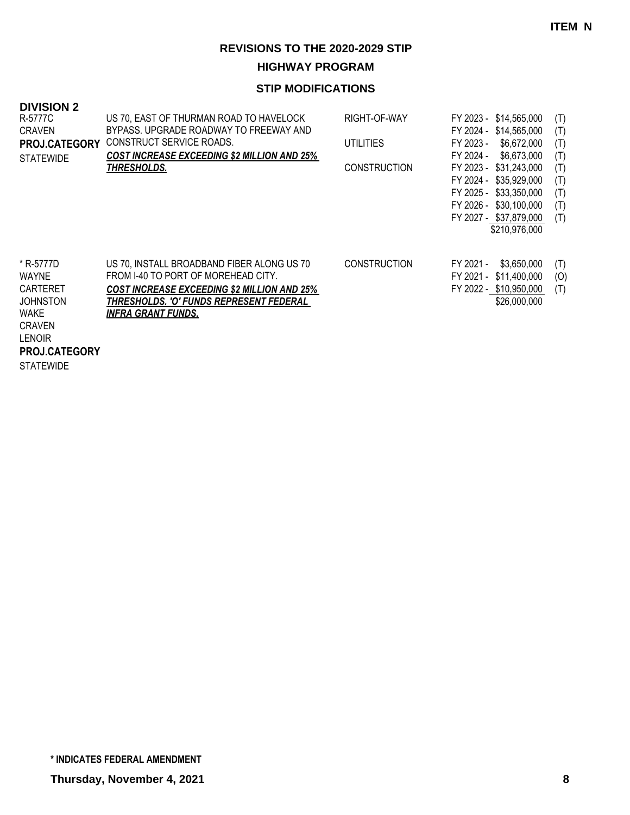**HIGHWAY PROGRAM**

| <b>DIVISION 2</b><br>R-5777C<br><b>CRAVEN</b><br><b>PROJ.CATEGORY</b><br><b>STATEWIDE</b>                                                                    | US 70, EAST OF THURMAN ROAD TO HAVELOCK<br>BYPASS. UPGRADE ROADWAY TO FREEWAY AND<br>CONSTRUCT SERVICE ROADS.<br><b>COST INCREASE EXCEEDING \$2 MILLION AND 25%</b><br>THRESHOLDS.                              | RIGHT-OF-WAY<br>UTILITIES<br><b>CONSTRUCTION</b> | FY 2023 - \$14,565,000<br>FY 2024 - \$14,565,000<br>FY 2023 -<br>\$6,672,000<br>\$6,673,000<br>FY 2024 -<br>FY 2023 - \$31,243,000<br>FY 2024 - \$35,929,000<br>FY 2025 - \$33,350,000<br>FY 2026 - \$30,100,000<br>FY 2027 - \$37,879,000<br>\$210,976,000 | (T)<br>(T)<br>(T)<br>(T)<br>(T)<br>(T)<br>(T)<br>(T)<br>(T) |
|--------------------------------------------------------------------------------------------------------------------------------------------------------------|-----------------------------------------------------------------------------------------------------------------------------------------------------------------------------------------------------------------|--------------------------------------------------|-------------------------------------------------------------------------------------------------------------------------------------------------------------------------------------------------------------------------------------------------------------|-------------------------------------------------------------|
| * R-5777D<br><b>WAYNE</b><br><b>CARTERET</b><br><b>JOHNSTON</b><br><b>WAKE</b><br><b>CRAVEN</b><br><b>LENOIR</b><br><b>PROJ.CATEGORY</b><br><b>STATEWIDE</b> | US 70, INSTALL BROADBAND FIBER ALONG US 70<br>FROM 1-40 TO PORT OF MOREHEAD CITY.<br><b>COST INCREASE EXCEEDING \$2 MILLION AND 25%</b><br>THRESHOLDS. 'O' FUNDS REPRESENT FEDERAL<br><u>INFRA GRANT FUNDS.</u> | <b>CONSTRUCTION</b>                              | \$3,650,000<br>FY 2021 -<br>FY 2021 - \$11,400,000<br>FY 2022 - \$10,950,000<br>\$26,000,000                                                                                                                                                                | (T)<br>(O)<br>(T)                                           |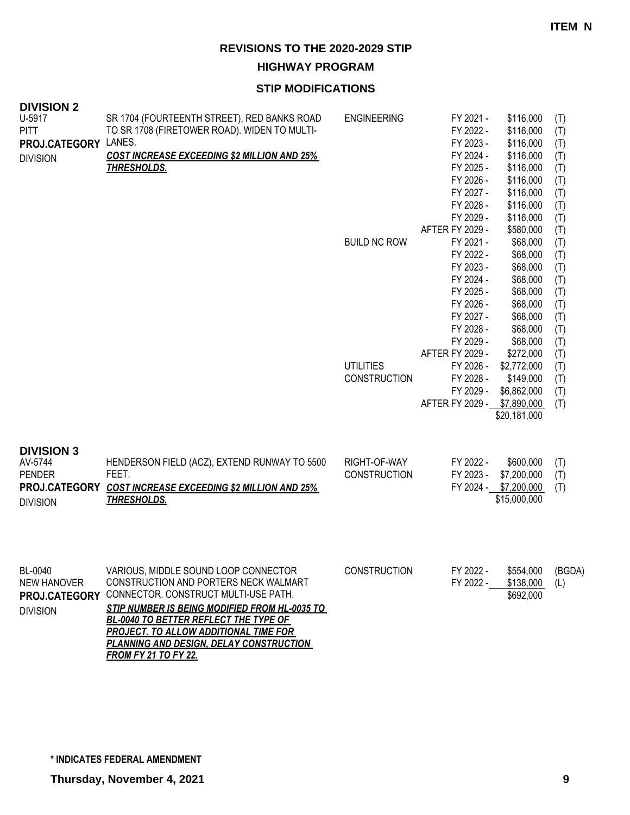**HIGHWAY PROGRAM**

| <b>DIVISION 2</b><br>U-5917<br><b>PITT</b><br>PROJ.CATEGORY<br><b>DIVISION</b>    | SR 1704 (FOURTEENTH STREET), RED BANKS ROAD<br>TO SR 1708 (FIRETOWER ROAD). WIDEN TO MULTI-<br>LANES.<br><b>COST INCREASE EXCEEDING \$2 MILLION AND 25%</b><br><b>THRESHOLDS.</b>                                                                                                                                                                       | <b>ENGINEERING</b>                      | FY 2021 -<br>FY 2022 -<br>FY 2023 -<br>FY 2024 -<br>FY 2025 -<br>FY 2026 -<br>FY 2027 -<br>FY 2028 -                    | \$116,000<br>\$116,000<br>\$116,000<br>\$116,000<br>\$116,000<br>\$116,000<br>\$116,000<br>\$116,000        | (T)<br>(T)<br>(T)<br>(T)<br>(T)<br>(T)<br>(T)<br>(T)        |
|-----------------------------------------------------------------------------------|---------------------------------------------------------------------------------------------------------------------------------------------------------------------------------------------------------------------------------------------------------------------------------------------------------------------------------------------------------|-----------------------------------------|-------------------------------------------------------------------------------------------------------------------------|-------------------------------------------------------------------------------------------------------------|-------------------------------------------------------------|
|                                                                                   |                                                                                                                                                                                                                                                                                                                                                         | <b>BUILD NC ROW</b>                     | FY 2029 -<br>AFTER FY 2029 -<br>FY 2021 -<br>FY 2022 -<br>FY 2023 -<br>FY 2024 -<br>FY 2025 -<br>FY 2026 -<br>FY 2027 - | \$116,000<br>\$580,000<br>\$68,000<br>\$68,000<br>\$68,000<br>\$68,000<br>\$68,000<br>\$68,000<br>\$68,000  | (T)<br>(T)<br>(T)<br>(T)<br>(T)<br>(T)<br>(T)<br>(T)<br>(T) |
|                                                                                   |                                                                                                                                                                                                                                                                                                                                                         | <b>UTILITIES</b><br><b>CONSTRUCTION</b> | FY 2028 -<br>FY 2029 -<br>AFTER FY 2029 -<br>FY 2026 -<br>FY 2028 -<br>FY 2029 -<br>AFTER FY 2029 -                     | \$68,000<br>\$68,000<br>\$272,000<br>\$2,772,000<br>\$149,000<br>\$6,862,000<br>\$7,890,000<br>\$20,181,000 | (T)<br>(T)<br>(T)<br>(T)<br>(T)<br>(T)<br>(T)               |
| <b>DIVISION 3</b><br>AV-5744<br><b>PENDER</b><br>PROJ.CATEGORY<br><b>DIVISION</b> | HENDERSON FIELD (ACZ), EXTEND RUNWAY TO 5500<br>FEET.<br><b>COST INCREASE EXCEEDING \$2 MILLION AND 25%</b><br><b>THRESHOLDS.</b>                                                                                                                                                                                                                       | RIGHT-OF-WAY<br>CONSTRUCTION            | FY 2022 -<br>FY 2023 -<br>FY 2024 -                                                                                     | \$600,000<br>\$7,200,000<br>\$7,200,000<br>\$15,000,000                                                     | (T)<br>(T)<br>(T)                                           |
| BL-0040<br><b>NEW HANOVER</b><br>PROJ.CATEGORY<br><b>DIVISION</b>                 | VARIOUS, MIDDLE SOUND LOOP CONNECTOR<br>CONSTRUCTION AND PORTERS NECK WALMART<br>CONNECTOR. CONSTRUCT MULTI-USE PATH.<br><b>STIP NUMBER IS BEING MODIFIED FROM HL-0035 TO</b><br>BL-0040 TO BETTER REFLECT THE TYPE OF<br><b>PROJECT. TO ALLOW ADDITIONAL TIME FOR</b><br><b>PLANNING AND DESIGN, DELAY CONSTRUCTION</b><br><u>FROM FY 21 TO FY 22.</u> | <b>CONSTRUCTION</b>                     | FY 2022 -<br>FY 2022 -                                                                                                  | \$554,000<br>\$138,000<br>\$692,000                                                                         | (BGDA)<br>(L)                                               |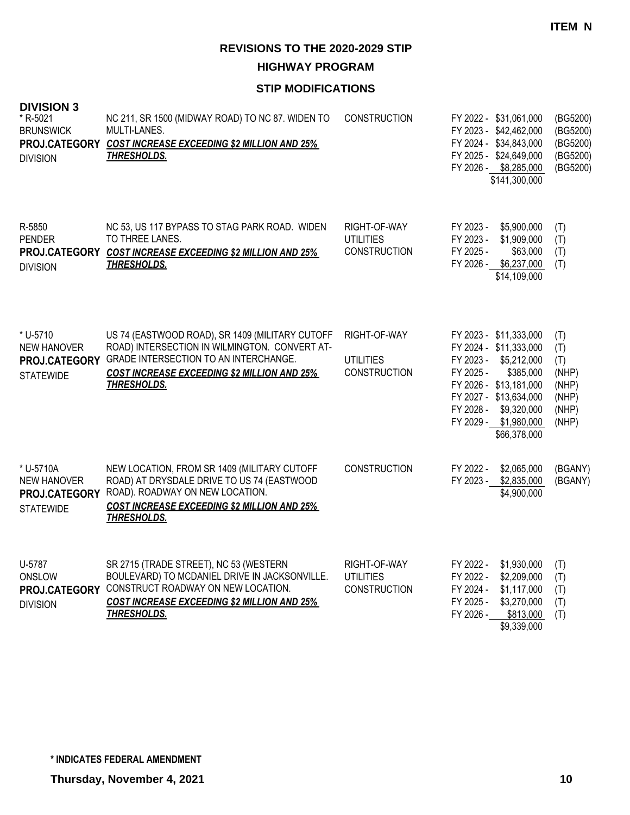**HIGHWAY PROGRAM**

| <b>DIVISION 3</b><br>* R-5021<br><b>BRUNSWICK</b><br>PROJ.CATEGORY<br><b>DIVISION</b> | NC 211, SR 1500 (MIDWAY ROAD) TO NC 87. WIDEN TO<br>MULTI-LANES.<br><b>COST INCREASE EXCEEDING \$2 MILLION AND 25%</b><br><b>THRESHOLDS.</b>                                                                            | <b>CONSTRUCTION</b>                                     | FY 2022 - \$31,061,000<br>FY 2023 - \$42,462,000<br>FY 2024 - \$34,843,000<br>FY 2025 - \$24,649,000<br>FY 2026 - \$8,285,000<br>\$141,300,000                                                                               | (BG5200)<br>(BG5200)<br>(BG5200)<br>(BG5200)<br>(BG5200)       |
|---------------------------------------------------------------------------------------|-------------------------------------------------------------------------------------------------------------------------------------------------------------------------------------------------------------------------|---------------------------------------------------------|------------------------------------------------------------------------------------------------------------------------------------------------------------------------------------------------------------------------------|----------------------------------------------------------------|
| R-5850<br><b>PENDER</b><br><b>DIVISION</b>                                            | NC 53, US 117 BYPASS TO STAG PARK ROAD. WIDEN<br>TO THREE LANES.<br>PROJ.CATEGORY COST INCREASE EXCEEDING \$2 MILLION AND 25%<br><u>THRESHOLDS.</u>                                                                     | RIGHT-OF-WAY<br><b>UTILITIES</b><br><b>CONSTRUCTION</b> | \$5,900,000<br>FY 2023 -<br>\$1,909,000<br>FY 2023 -<br>FY 2025 -<br>\$63,000<br>FY 2026 - \$6,237,000<br>\$14,109,000                                                                                                       | (T)<br>(T)<br>(T)<br>(T)                                       |
| * U-5710<br><b>NEW HANOVER</b><br>PROJ.CATEGORY<br><b>STATEWIDE</b>                   | US 74 (EASTWOOD ROAD), SR 1409 (MILITARY CUTOFF<br>ROAD) INTERSECTION IN WILMINGTON. CONVERT AT-<br>GRADE INTERSECTION TO AN INTERCHANGE.<br><b>COST INCREASE EXCEEDING \$2 MILLION AND 25%</b><br><b>THRESHOLDS.</b>   | RIGHT-OF-WAY<br><b>UTILITIES</b><br><b>CONSTRUCTION</b> | FY 2023 - \$11,333,000<br>FY 2024 - \$11,333,000<br>FY 2023 - \$5,212,000<br>FY 2025 -<br>\$385,000<br>FY 2026 - \$13,181,000<br>FY 2027 - \$13,634,000<br>\$9,320,000<br>FY 2028 -<br>FY 2029 - \$1,980,000<br>\$66,378,000 | (T)<br>(T)<br>(T)<br>(NHP)<br>(NHP)<br>(NHP)<br>(NHP)<br>(NHP) |
| * U-5710A<br><b>NEW HANOVER</b><br>PROJ.CATEGORY<br><b>STATEWIDE</b>                  | NEW LOCATION, FROM SR 1409 (MILITARY CUTOFF<br>ROAD) AT DRYSDALE DRIVE TO US 74 (EASTWOOD<br>ROAD). ROADWAY ON NEW LOCATION.<br><b>COST INCREASE EXCEEDING \$2 MILLION AND 25%</b><br><b>THRESHOLDS.</b>                | <b>CONSTRUCTION</b>                                     | FY 2022 -<br>\$2,065,000<br>FY 2023 -<br>\$2,835,000<br>\$4,900,000                                                                                                                                                          | (BGANY)<br>(BGANY)                                             |
| U-5787<br>ONSLOW<br><b>DIVISION</b>                                                   | SR 2715 (TRADE STREET), NC 53 (WESTERN<br>BOULEVARD) TO MCDANIEL DRIVE IN JACKSONVILLE.<br>PROJ.CATEGORY CONSTRUCT ROADWAY ON NEW LOCATION.<br><b>COST INCREASE EXCEEDING \$2 MILLION AND 25%</b><br><b>THRESHOLDS.</b> | RIGHT-OF-WAY<br><b>UTILITIES</b><br><b>CONSTRUCTION</b> | FY 2022 -<br>\$1,930,000<br>FY 2022 -<br>\$2,209,000<br>FY 2024 -<br>\$1,117,000<br>\$3,270,000<br>FY 2025 -<br>FY 2026 -<br>\$813,000<br>\$9,339,000                                                                        | (T)<br>(T)<br>(T)<br>(T)<br>(T)                                |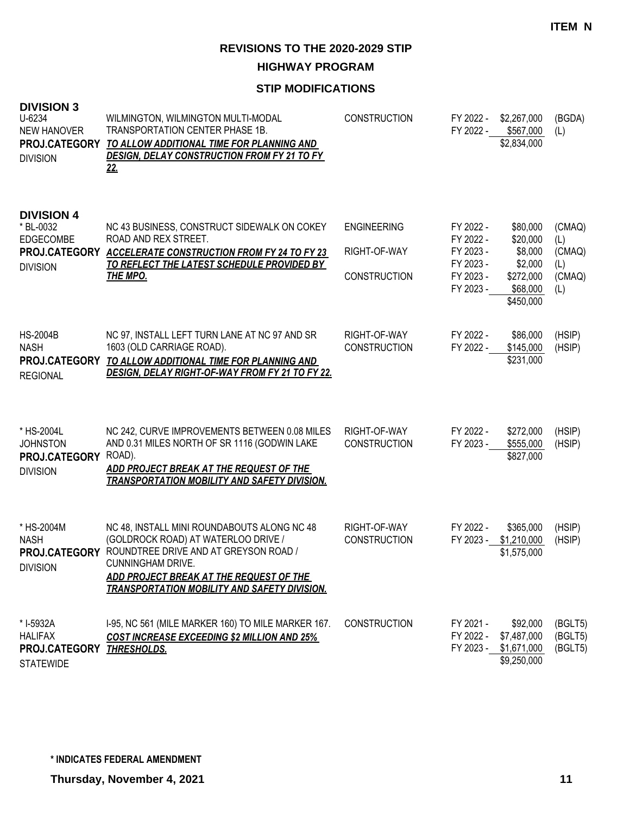**HIGHWAY PROGRAM**

| <b>DIVISION 3</b><br>U-6234<br><b>NEW HANOVER</b><br>PROJ.CATEGORY<br><b>DIVISION</b> | WILMINGTON, WILMINGTON MULTI-MODAL<br><b>TRANSPORTATION CENTER PHASE 1B.</b><br>TO ALLOW ADDITIONAL TIME FOR PLANNING AND<br><b>DESIGN, DELAY CONSTRUCTION FROM FY 21 TO FY</b><br><u>22.</u>                                                      | <b>CONSTRUCTION</b>                                       | FY 2022 -<br>FY 2022 -                                                     | \$2,267,000<br>\$567,000<br>\$2,834,000                                          | (BGDA)<br>(L)                                   |
|---------------------------------------------------------------------------------------|----------------------------------------------------------------------------------------------------------------------------------------------------------------------------------------------------------------------------------------------------|-----------------------------------------------------------|----------------------------------------------------------------------------|----------------------------------------------------------------------------------|-------------------------------------------------|
| <b>DIVISION 4</b><br>* BL-0032<br><b>EDGECOMBE</b><br><b>DIVISION</b>                 | NC 43 BUSINESS, CONSTRUCT SIDEWALK ON COKEY<br>ROAD AND REX STREET.<br>PROJ.CATEGORY ACCELERATE CONSTRUCTION FROM FY 24 TO FY 23<br>TO REFLECT THE LATEST SCHEDULE PROVIDED BY<br><b>THE MPO.</b>                                                  | <b>ENGINEERING</b><br>RIGHT-OF-WAY<br><b>CONSTRUCTION</b> | FY 2022 -<br>FY 2022 -<br>FY 2023 -<br>FY 2023 -<br>FY 2023 -<br>FY 2023 - | \$80,000<br>\$20,000<br>\$8,000<br>\$2,000<br>\$272,000<br>\$68,000<br>\$450,000 | (CMAQ)<br>(L)<br>(CMAQ)<br>(L)<br>(CMAQ)<br>(L) |
| <b>HS-2004B</b><br><b>NASH</b><br>PROJ.CATEGORY<br><b>REGIONAL</b>                    | NC 97, INSTALL LEFT TURN LANE AT NC 97 AND SR<br>1603 (OLD CARRIAGE ROAD).<br>TO ALLOW ADDITIONAL TIME FOR PLANNING AND<br><b>DESIGN, DELAY RIGHT-OF-WAY FROM FY 21 TO FY 22.</b>                                                                  | RIGHT-OF-WAY<br><b>CONSTRUCTION</b>                       | FY 2022 -<br>FY 2022 -                                                     | \$86,000<br>\$145,000<br>\$231,000                                               | (HSIP)<br>(HSIP)                                |
| * HS-2004L<br><b>JOHNSTON</b><br>PROJ.CATEGORY<br><b>DIVISION</b>                     | NC 242, CURVE IMPROVEMENTS BETWEEN 0.08 MILES<br>AND 0.31 MILES NORTH OF SR 1116 (GODWIN LAKE<br>ROAD).<br>ADD PROJECT BREAK AT THE REQUEST OF THE<br><b>TRANSPORTATION MOBILITY AND SAFETY DIVISION.</b>                                          | RIGHT-OF-WAY<br><b>CONSTRUCTION</b>                       | FY 2022 -<br>FY 2023 -                                                     | \$272,000<br>\$555,000<br>\$827,000                                              | (HSIP)<br>(HSIP)                                |
| * HS-2004M<br><b>NASH</b><br>PROJ.CATEGORY<br><b>DIVISION</b>                         | NC 48, INSTALL MINI ROUNDABOUTS ALONG NC 48<br>(GOLDROCK ROAD) AT WATERLOO DRIVE /<br>ROUNDTREE DRIVE AND AT GREYSON ROAD /<br>CUNNINGHAM DRIVE.<br>ADD PROJECT BREAK AT THE REQUEST OF THE<br><b>TRANSPORTATION MOBILITY AND SAFETY DIVISION.</b> | RIGHT-OF-WAY<br><b>CONSTRUCTION</b>                       | FY 2022 -<br>FY 2023 -                                                     | \$365,000<br>\$1,210,000<br>\$1,575,000                                          | (HSIP)<br>(HSIP)                                |
| * I-5932A<br><b>HALIFAX</b><br>PROJ.CATEGORY<br><b>STATEWIDE</b>                      | I-95, NC 561 (MILE MARKER 160) TO MILE MARKER 167.<br><b>COST INCREASE EXCEEDING \$2 MILLION AND 25%</b><br><b>THRESHOLDS.</b>                                                                                                                     | <b>CONSTRUCTION</b>                                       | FY 2021 -<br>FY 2022 -                                                     | \$92,000<br>\$7,487,000<br>FY 2023 - \$1,671,000<br>\$9,250,000                  | (BGLT5)<br>(BGLT5)<br>(BGLT5)                   |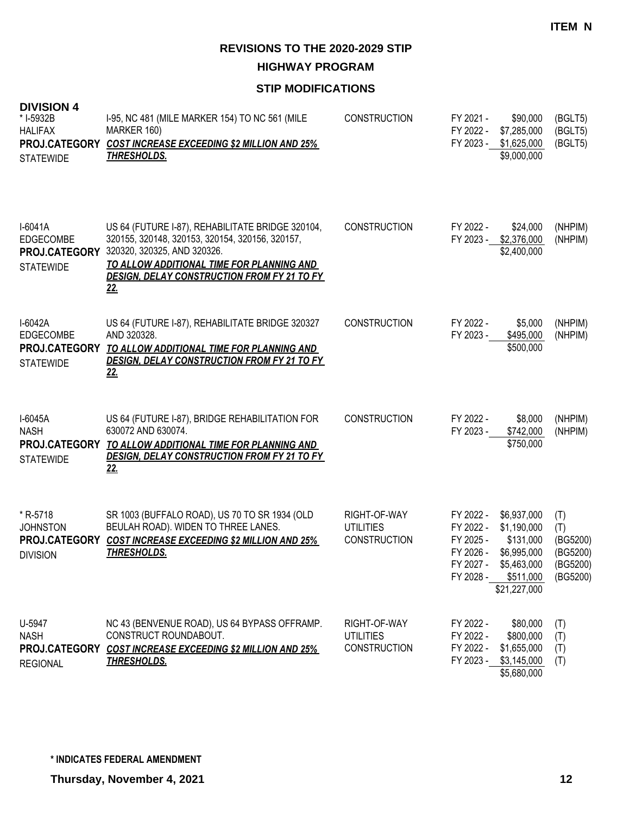**HIGHWAY PROGRAM**

| <b>DIVISION 4</b><br>* I-5932B<br><b>HALIFAX</b><br>PROJ.CATEGORY<br><b>STATEWIDE</b> | 1-95, NC 481 (MILE MARKER 154) TO NC 561 (MILE<br>MARKER 160)<br><b>COST INCREASE EXCEEDING \$2 MILLION AND 25%</b><br><u>THRESHOLDS.</u>                                                                                                           | <b>CONSTRUCTION</b>                                     | FY 2021 -<br>FY 2022 -<br>FY 2023 -                                        | \$90,000<br>\$7,285,000<br>\$1,625,000<br>\$9,000,000                                              | (BGLT5)<br>(BGLT5)<br>(BGLT5)                              |
|---------------------------------------------------------------------------------------|-----------------------------------------------------------------------------------------------------------------------------------------------------------------------------------------------------------------------------------------------------|---------------------------------------------------------|----------------------------------------------------------------------------|----------------------------------------------------------------------------------------------------|------------------------------------------------------------|
| $I-6041A$<br>EDGECOMBE<br>PROJ.CATEGORY<br><b>STATEWIDE</b>                           | US 64 (FUTURE I-87), REHABILITATE BRIDGE 320104,<br>320155, 320148, 320153, 320154, 320156, 320157,<br>320320, 320325, AND 320326.<br>TO ALLOW ADDITIONAL TIME FOR PLANNING AND<br><b>DESIGN, DELAY CONSTRUCTION FROM FY 21 TO FY</b><br><u>22.</u> | <b>CONSTRUCTION</b>                                     | FY 2022 -<br>FY 2023 -                                                     | \$24,000<br>\$2,376,000<br>\$2,400,000                                                             | (NHPIM)<br>(NHPIM)                                         |
| I-6042A<br><b>EDGECOMBE</b><br>PROJ.CATEGORY<br><b>STATEWIDE</b>                      | US 64 (FUTURE I-87), REHABILITATE BRIDGE 320327<br>AND 320328.<br>TO ALLOW ADDITIONAL TIME FOR PLANNING AND<br><b>DESIGN, DELAY CONSTRUCTION FROM FY 21 TO FY</b><br><u>22.</u>                                                                     | <b>CONSTRUCTION</b>                                     | FY 2022 -<br>FY 2023 -                                                     | \$5,000<br>\$495,000<br>\$500,000                                                                  | (NHPIM)<br>(NHPIM)                                         |
| I-6045A<br><b>NASH</b><br>PROJ.CATEGORY<br><b>STATEWIDE</b>                           | US 64 (FUTURE I-87), BRIDGE REHABILITATION FOR<br>630072 AND 630074.<br>TO ALLOW ADDITIONAL TIME FOR PLANNING AND<br><b>DESIGN, DELAY CONSTRUCTION FROM FY 21 TO FY</b><br><u> 22.</u>                                                              | <b>CONSTRUCTION</b>                                     | FY 2022 -<br>FY 2023 -                                                     | \$8,000<br>\$742,000<br>\$750,000                                                                  | (NHPIM)<br>(NHPIM)                                         |
| * R-5718<br><b>JOHNSTON</b><br>PROJ.CATEGORY<br><b>DIVISION</b>                       | SR 1003 (BUFFALO ROAD), US 70 TO SR 1934 (OLD<br>BEULAH ROAD). WIDEN TO THREE LANES.<br><b>COST INCREASE EXCEEDING \$2 MILLION AND 25%</b><br><u>THRESHOLDS.</u>                                                                                    | RIGHT-OF-WAY<br><b>UTILITIES</b><br><b>CONSTRUCTION</b> | FY 2022 -<br>FY 2022 -<br>FY 2025 -<br>FY 2026 -<br>FY 2027 -<br>FY 2028 - | \$6,937,000<br>\$1,190,000<br>\$131,000<br>\$6,995,000<br>\$5,463,000<br>\$511,000<br>\$21,227,000 | (T)<br>(T)<br>(BG5200)<br>(BG5200)<br>(BG5200)<br>(BG5200) |
| U-5947<br><b>NASH</b><br>PROJ.CATEGORY<br><b>REGIONAL</b>                             | NC 43 (BENVENUE ROAD), US 64 BYPASS OFFRAMP.<br>CONSTRUCT ROUNDABOUT.<br><b>COST INCREASE EXCEEDING \$2 MILLION AND 25%</b><br><u>THRESHOLDS.</u>                                                                                                   | RIGHT-OF-WAY<br><b>UTILITIES</b><br><b>CONSTRUCTION</b> | FY 2022 -<br>FY 2022 -<br>FY 2022 -                                        | \$80,000<br>\$800,000<br>\$1,655,000<br>FY 2023 - \$3,145,000<br>\$5,680,000                       | (T)<br>(T)<br>(T)<br>(T)                                   |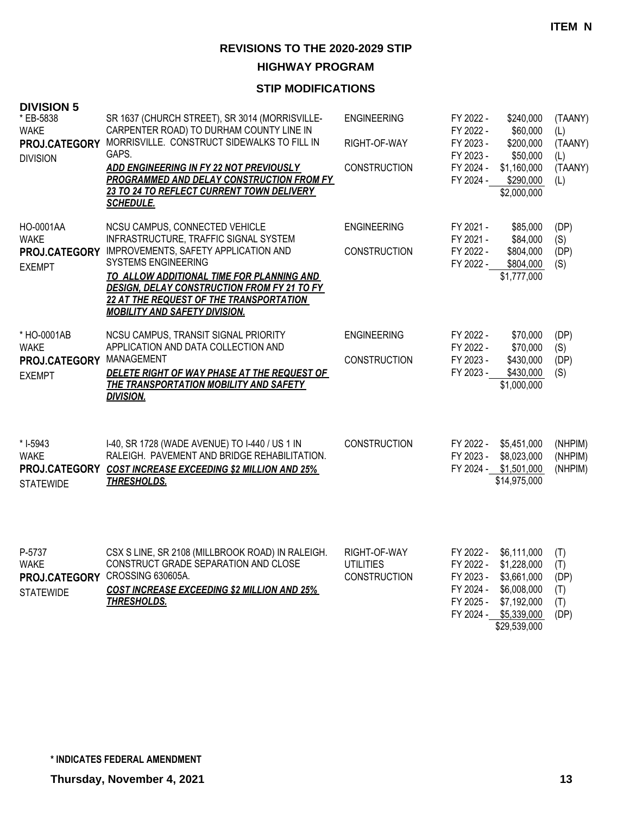**HIGHWAY PROGRAM**

| <b>DIVISION 5</b><br>* EB-5838<br><b>WAKE</b><br>PROJ.CATEGORY<br><b>DIVISION</b> | SR 1637 (CHURCH STREET), SR 3014 (MORRISVILLE-<br>CARPENTER ROAD) TO DURHAM COUNTY LINE IN<br>MORRISVILLE. CONSTRUCT SIDEWALKS TO FILL IN<br>GAPS.<br>ADD ENGINEERING IN FY 22 NOT PREVIOUSLY<br>PROGRAMMED AND DELAY CONSTRUCTION FROM FY<br>23 TO 24 TO REFLECT CURRENT TOWN DELIVERY<br><b>SCHEDULE.</b>                                       | <b>ENGINEERING</b><br>RIGHT-OF-WAY<br><b>CONSTRUCTION</b> | FY 2022 -<br>FY 2022 -<br>FY 2023 -<br>FY 2023 -<br>FY 2024 -<br>FY 2024 - | \$240,000<br>\$60,000<br>\$200,000<br>\$50,000<br>\$1,160,000<br>\$290,000<br>\$2,000,000              | (TAANY)<br>(L)<br>(TAANY)<br>(L)<br>(TAANY)<br>(L) |
|-----------------------------------------------------------------------------------|---------------------------------------------------------------------------------------------------------------------------------------------------------------------------------------------------------------------------------------------------------------------------------------------------------------------------------------------------|-----------------------------------------------------------|----------------------------------------------------------------------------|--------------------------------------------------------------------------------------------------------|----------------------------------------------------|
| HO-0001AA<br><b>WAKE</b><br><b>EXEMPT</b>                                         | NCSU CAMPUS, CONNECTED VEHICLE<br>INFRASTRUCTURE, TRAFFIC SIGNAL SYSTEM<br>PROJ.CATEGORY IMPROVEMENTS, SAFETY APPLICATION AND<br><b>SYSTEMS ENGINEERING</b><br>TO ALLOW ADDITIONAL TIME FOR PLANNING AND<br>DESIGN, DELAY CONSTRUCTION FROM FY 21 TO FY<br><b>22 AT THE REQUEST OF THE TRANSPORTATION</b><br><b>MOBILITY AND SAFETY DIVISION.</b> | <b>ENGINEERING</b><br><b>CONSTRUCTION</b>                 | FY 2021 -<br>FY 2021 -<br>FY 2022 -<br>FY 2022 -                           | \$85,000<br>\$84,000<br>\$804,000<br>\$804,000<br>\$1,777,000                                          | (DP)<br>(S)<br>(DP)<br>(S)                         |
| * HO-0001AB<br><b>WAKE</b><br>PROJ.CATEGORY MANAGEMENT<br><b>EXEMPT</b>           | NCSU CAMPUS, TRANSIT SIGNAL PRIORITY<br>APPLICATION AND DATA COLLECTION AND<br>DELETE RIGHT OF WAY PHASE AT THE REQUEST OF<br>THE TRANSPORTATION MOBILITY AND SAFETY<br><b>DIVISION.</b>                                                                                                                                                          | <b>ENGINEERING</b><br><b>CONSTRUCTION</b>                 | FY 2022 -<br>FY 2022 -<br>FY 2023 -<br>FY 2023 -                           | \$70,000<br>\$70,000<br>\$430,000<br>\$430,000<br>\$1,000,000                                          | (DP)<br>(S)<br>(DP)<br>(S)                         |
| * I-5943<br><b>WAKE</b><br>PROJ.CATEGORY<br><b>STATEWIDE</b>                      | I-40, SR 1728 (WADE AVENUE) TO I-440 / US 1 IN<br>RALEIGH. PAVEMENT AND BRIDGE REHABILITATION.<br><b>COST INCREASE EXCEEDING \$2 MILLION AND 25%</b><br><b>THRESHOLDS.</b>                                                                                                                                                                        | <b>CONSTRUCTION</b>                                       | FY 2022 -<br>FY 2023 -<br>FY 2024 -                                        | \$5,451,000<br>\$8,023,000<br>\$1,501,000<br>\$14,975,000                                              | (NHPIM)<br>(NHPIM)<br>(NHPIM)                      |
| P-5737<br><b>WAKE</b><br><b>STATEWIDE</b>                                         | CSX S LINE, SR 2108 (MILLBROOK ROAD) IN RALEIGH.<br>CONSTRUCT GRADE SEPARATION AND CLOSE<br>PROJ.CATEGORY CROSSING 630605A.<br><b>COST INCREASE EXCEEDING \$2 MILLION AND 25%</b><br><b>THRESHOLDS.</b>                                                                                                                                           | RIGHT-OF-WAY<br><b>UTILITIES</b><br><b>CONSTRUCTION</b>   | FY 2022 -<br>FY 2022 -<br>FY 2023 -<br>FY 2024 -<br>FY 2025 -<br>FY 2024 - | \$6,111,000<br>\$1,228,000<br>\$3,661,000<br>\$6,008,000<br>\$7,192,000<br>\$5,339,000<br>\$29,539,000 | (T)<br>(T)<br>(DP)<br>(T)<br>(T)<br>(DP)           |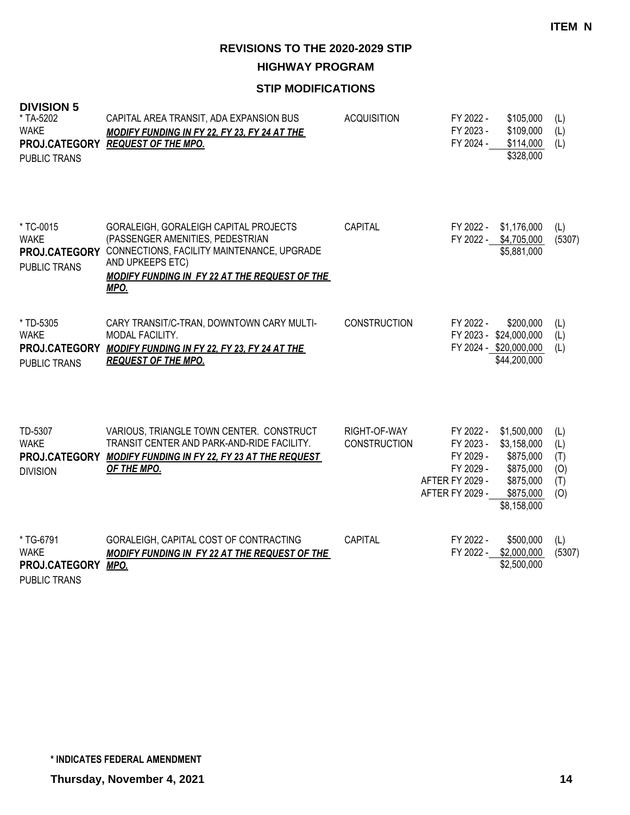**HIGHWAY PROGRAM**

| <b>DIVISION 5</b><br>* TA-5202<br><b>WAKE</b><br>PROJ.CATEGORY<br><b>PUBLIC TRANS</b> | CAPITAL AREA TRANSIT, ADA EXPANSION BUS<br><b>MODIFY FUNDING IN FY 22, FY 23, FY 24 AT THE</b><br><b>REQUEST OF THE MPO.</b>                                                                                | <b>ACQUISITION</b>                  | FY 2022 -<br>\$105,000<br>FY 2023 -<br>\$109,000<br>FY 2024 -<br>\$114,000<br>\$328,000                                                                                                 | (L)<br>(L)<br>(L)                      |
|---------------------------------------------------------------------------------------|-------------------------------------------------------------------------------------------------------------------------------------------------------------------------------------------------------------|-------------------------------------|-----------------------------------------------------------------------------------------------------------------------------------------------------------------------------------------|----------------------------------------|
| * TC-0015<br><b>WAKE</b><br>PROJ.CATEGORY<br><b>PUBLIC TRANS</b>                      | GORALEIGH, GORALEIGH CAPITAL PROJECTS<br>(PASSENGER AMENITIES, PEDESTRIAN<br>CONNECTIONS, FACILITY MAINTENANCE, UPGRADE<br>AND UPKEEPS ETC)<br><b>MODIFY FUNDING IN FY 22 AT THE REQUEST OF THE</b><br>MPO. | CAPITAL                             | FY 2022 -<br>\$1,176,000<br>FY 2022 - \$4,705,000<br>\$5,881,000                                                                                                                        | (L)<br>(5307)                          |
| * TD-5305<br><b>WAKE</b><br>PROJ.CATEGORY<br><b>PUBLIC TRANS</b>                      | CARY TRANSIT/C-TRAN, DOWNTOWN CARY MULTI-<br>MODAL FACILITY.<br><b>MODIFY FUNDING IN FY 22, FY 23, FY 24 AT THE</b><br><b>REQUEST OF THE MPO.</b>                                                           | <b>CONSTRUCTION</b>                 | FY 2022 -<br>\$200,000<br>FY 2023 - \$24,000,000<br>FY 2024 - \$20,000,000<br>\$44,200,000                                                                                              | (L)<br>(L)<br>(L)                      |
| TD-5307<br><b>WAKE</b><br><b>DIVISION</b>                                             | VARIOUS, TRIANGLE TOWN CENTER. CONSTRUCT<br>TRANSIT CENTER AND PARK-AND-RIDE FACILITY.<br>PROJ.CATEGORY MODIFY FUNDING IN FY 22, FY 23 AT THE REQUEST<br>OF THE MPO.                                        | RIGHT-OF-WAY<br><b>CONSTRUCTION</b> | \$1,500,000<br>FY 2022 -<br>FY 2023 -<br>\$3,158,000<br>FY 2029 -<br>\$875,000<br>FY 2029 -<br>\$875,000<br>AFTER FY 2029 -<br>\$875,000<br>AFTER FY 2029 -<br>\$875,000<br>\$8,158,000 | (L)<br>(L)<br>(T)<br>(0)<br>(T)<br>(O) |
| * TG-6791<br><b>WAKE</b><br>PROJ.CATEGORY<br><b>PUBLIC TRANS</b>                      | GORALEIGH, CAPITAL COST OF CONTRACTING<br><b>MODIFY FUNDING IN FY 22 AT THE REQUEST OF THE</b><br>MPO.                                                                                                      | CAPITAL                             | FY 2022 -<br>\$500,000<br>FY 2022 - \$2,000,000<br>\$2,500,000                                                                                                                          | (L)<br>(5307)                          |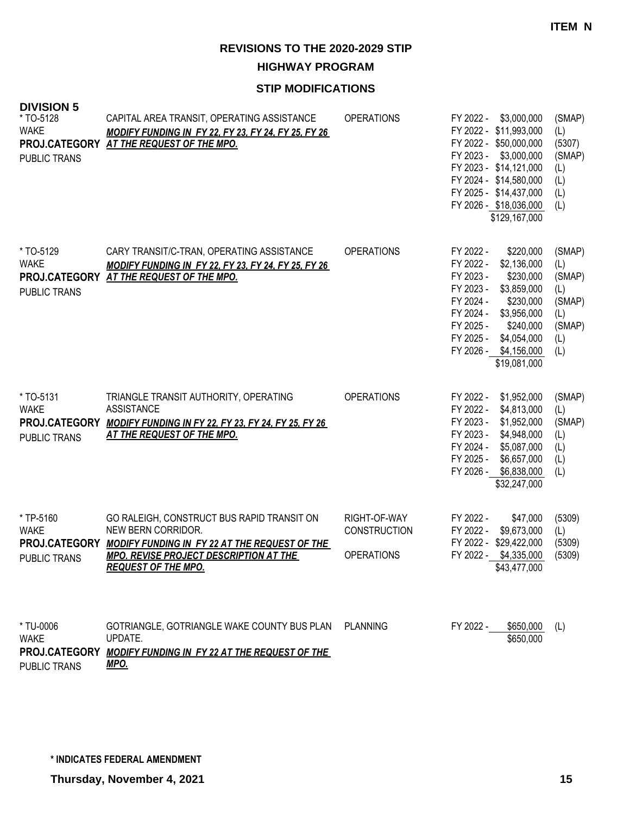**ITEM N**

**REVISIONS TO THE 2020-2029 STIP**

**HIGHWAY PROGRAM**

| <b>DIVISION 5</b><br>* TO-5128<br><b>WAKE</b><br><b>PUBLIC TRANS</b> | CAPITAL AREA TRANSIT, OPERATING ASSISTANCE<br><b>MODIFY FUNDING IN FY 22, FY 23, FY 24, FY 25, FY 26</b><br>PROJ.CATEGORY AT THE REQUEST OF THE MPO.                                                    | <b>OPERATIONS</b>                                        | FY 2022 -<br>\$3,000,000<br>FY 2022 - \$11,993,000<br>FY 2022 - \$50,000,000<br>FY 2023 -<br>\$3,000,000<br>FY 2023 - \$14,121,000<br>FY 2024 - \$14,580,000<br>FY 2025 - \$14,437,000<br>FY 2026 - \$18,036,000<br>\$129,167,000                             | (SMAP)<br>(L)<br>(5307)<br>(SMAP)<br>(L)<br>(L)<br>(L)<br>(L)           |
|----------------------------------------------------------------------|---------------------------------------------------------------------------------------------------------------------------------------------------------------------------------------------------------|----------------------------------------------------------|---------------------------------------------------------------------------------------------------------------------------------------------------------------------------------------------------------------------------------------------------------------|-------------------------------------------------------------------------|
| * TO-5129<br><b>WAKE</b><br><b>PUBLIC TRANS</b>                      | CARY TRANSIT/C-TRAN, OPERATING ASSISTANCE<br><b>MODIFY FUNDING IN FY 22, FY 23, FY 24, FY 25, FY 26</b><br>PROJ.CATEGORY AT THE REQUEST OF THE MPO.                                                     | <b>OPERATIONS</b>                                        | FY 2022 -<br>\$220,000<br>FY 2022 -<br>\$2,136,000<br>FY 2023 -<br>\$230,000<br>FY 2023 -<br>\$3,859,000<br>FY 2024 -<br>\$230,000<br>FY 2024 -<br>\$3,956,000<br>FY 2025 -<br>\$240,000<br>FY 2025 -<br>\$4,054,000<br>FY 2026 - \$4,156,000<br>\$19,081,000 | (SMAP)<br>(L)<br>(SMAP)<br>(L)<br>(SMAP)<br>(L)<br>(SMAP)<br>(L)<br>(L) |
| * TO-5131<br><b>WAKE</b><br>PROJ.CATEGORY<br>PUBLIC TRANS            | TRIANGLE TRANSIT AUTHORITY, OPERATING<br><b>ASSISTANCE</b><br><b>MODIFY FUNDING IN FY 22, FY 23, FY 24, FY 25, FY 26</b><br><b>AT THE REQUEST OF THE MPO.</b>                                           | <b>OPERATIONS</b>                                        | FY 2022 -<br>\$1,952,000<br>FY 2022 -<br>\$4,813,000<br>FY 2023 -<br>\$1,952,000<br>FY 2023 -<br>\$4,948,000<br>FY 2024 -<br>\$5,087,000<br>FY 2025 -<br>\$6,657,000<br>FY 2026 -<br>\$6,838,000<br>\$32,247,000                                              | (SMAP)<br>(L)<br>(SMAP)<br>(L)<br>(L)<br>(L)<br>(L)                     |
| * TP-5160<br><b>WAKE</b><br>PROJ.CATEGORY<br>PUBLIC TRANS            | GO RALEIGH, CONSTRUCT BUS RAPID TRANSIT ON<br>NEW BERN CORRIDOR.<br><b>MODIFY FUNDING IN FY 22 AT THE REQUEST OF THE</b><br><b>MPO. REVISE PROJECT DESCRIPTION AT THE</b><br><b>REQUEST OF THE MPO.</b> | RIGHT-OF-WAY<br><b>CONSTRUCTION</b><br><b>OPERATIONS</b> | FY 2022 -<br>\$47,000<br>FY 2022 -<br>\$9,673,000<br>FY 2022 - \$29,422,000<br>FY 2022 -<br>\$4,335,000<br>\$43,477,000                                                                                                                                       | (5309)<br>(L)<br>(5309)<br>(5309)                                       |
| * TU-0006<br><b>WAKE</b><br>PROJ.CATEGORY<br><b>PUBLIC TRANS</b>     | GOTRIANGLE, GOTRIANGLE WAKE COUNTY BUS PLAN<br>UPDATE.<br><b>MODIFY FUNDING IN FY 22 AT THE REQUEST OF THE</b><br><u>MPO.</u>                                                                           | <b>PLANNING</b>                                          | FY 2022 -<br>\$650,000<br>\$650,000                                                                                                                                                                                                                           | (L)                                                                     |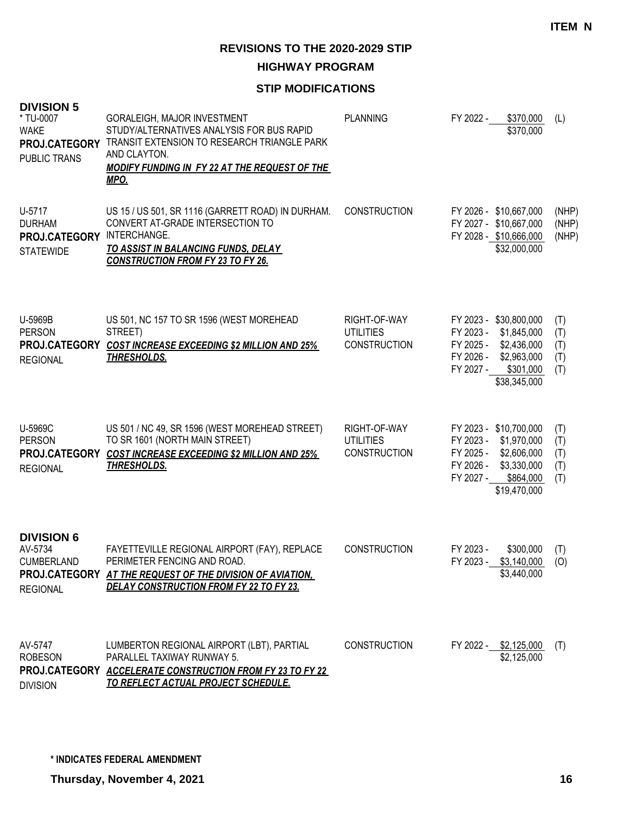**HIGHWAY PROGRAM**

## **STIP MODIFICATIONS**

| <b>DIVISION 5</b><br>* TU-0007<br><b>WAKE</b><br>PROJ.CATEGORY<br>PUBLIC TRANS | GORALEIGH, MAJOR INVESTMENT<br>STUDY/ALTERNATIVES ANALYSIS FOR BUS RAPID<br>TRANSIT EXTENSION TO RESEARCH TRIANGLE PARK<br>AND CLAYTON.<br><b>MODIFY FUNDING IN FY 22 AT THE REQUEST OF THE</b><br>MPO. | <b>PLANNING</b>                                         | FY 2022 - | \$370,000<br>\$370,000                                                                                                         | (L)                             |
|--------------------------------------------------------------------------------|---------------------------------------------------------------------------------------------------------------------------------------------------------------------------------------------------------|---------------------------------------------------------|-----------|--------------------------------------------------------------------------------------------------------------------------------|---------------------------------|
| U-5717<br><b>DURHAM</b><br>PROJ.CATEGORY<br><b>STATEWIDE</b>                   | US 15 / US 501, SR 1116 (GARRETT ROAD) IN DURHAM.<br>CONVERT AT-GRADE INTERSECTION TO<br>INTERCHANGE.<br>TO ASSIST IN BALANCING FUNDS, DELAY<br><b>CONSTRUCTION FROM FY 23 TO FY 26.</b>                | <b>CONSTRUCTION</b>                                     |           | FY 2026 - \$10,667,000<br>FY 2027 - \$10,667,000<br>FY 2028 - \$10,666,000<br>\$32,000,000                                     | (NHP)<br>(NHP)<br>(NHP)         |
| U-5969B<br><b>PERSON</b><br><b>REGIONAL</b>                                    | US 501, NC 157 TO SR 1596 (WEST MOREHEAD<br>STREET)<br>PROJ.CATEGORY COST INCREASE EXCEEDING \$2 MILLION AND 25%<br><u>THRESHOLDS.</u>                                                                  | RIGHT-OF-WAY<br><b>UTILITIES</b><br><b>CONSTRUCTION</b> | FY 2027 - | FY 2023 - \$30,800,000<br>FY 2023 - \$1,845,000<br>FY 2025 - \$2,436,000<br>FY 2026 - \$2,963,000<br>\$301,000<br>\$38,345,000 | (T)<br>(T)<br>(T)<br>(T)<br>(T) |
| U-5969C<br><b>PERSON</b><br>PROJ.CATEGORY<br><b>REGIONAL</b>                   | US 501 / NC 49, SR 1596 (WEST MOREHEAD STREET)<br>TO SR 1601 (NORTH MAIN STREET)<br><b>COST INCREASE EXCEEDING \$2 MILLION AND 25%</b><br><b>THRESHOLDS.</b>                                            | RIGHT-OF-WAY<br><b>UTILITIES</b><br><b>CONSTRUCTION</b> | FY 2027 - | FY 2023 - \$10,700,000<br>FY 2023 - \$1,970,000<br>FY 2025 - \$2,606,000<br>FY 2026 - \$3,330,000<br>\$864,000<br>\$19,470,000 | (T)<br>(T)<br>(T)<br>(T)<br>(T) |
| <b>DIVISION 6</b><br>AV-5734<br><b>CUMBERLAND</b><br><b>REGIONAL</b>           | FAYETTEVILLE REGIONAL AIRPORT (FAY), REPLACE<br>PERIMETER FENCING AND ROAD.<br>PROJ.CATEGORY AT THE REQUEST OF THE DIVISION OF AVIATION.<br><b>DELAY CONSTRUCTION FROM FY 22 TO FY 23.</b>              | <b>CONSTRUCTION</b>                                     | FY 2023 - | \$300,000<br>FY 2023 - \$3,140,000<br>\$3,440,000                                                                              | (T)<br>(O)                      |
| AV-5747<br><b>ROBESON</b><br><b>DIVISION</b>                                   | LUMBERTON REGIONAL AIRPORT (LBT), PARTIAL<br>PARALLEL TAXIWAY RUNWAY 5.<br>PROJ.CATEGORY ACCELERATE CONSTRUCTION FROM FY 23 TO FY 22<br><u>TO REFLECT ACTUAL PROJECT SCHEDULE.</u>                      | <b>CONSTRUCTION</b>                                     |           | FY 2022 - \$2,125,000<br>\$2,125,000                                                                                           | (T)                             |

**Thursday, November 4, 2021 16**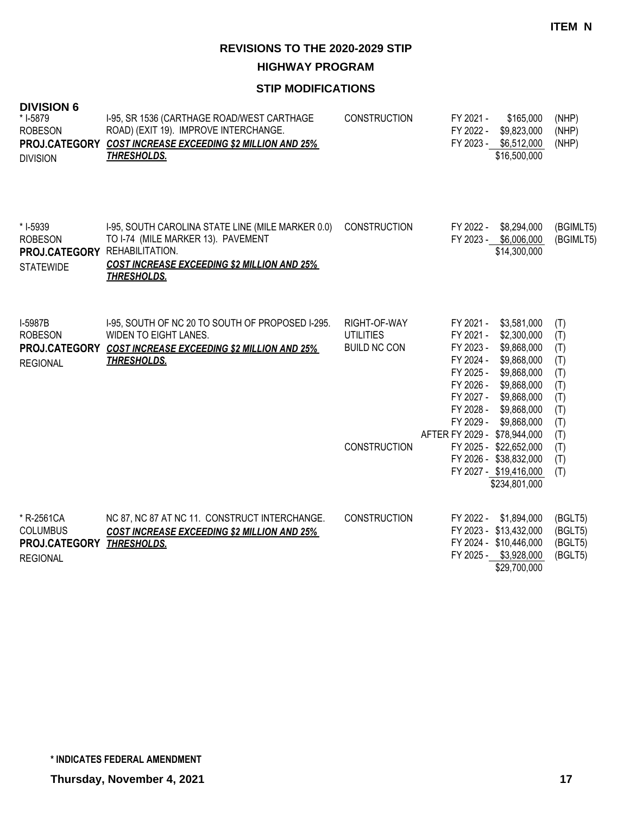**HIGHWAY PROGRAM**

| <b>DIVISION 6</b><br>* I-5879<br><b>ROBESON</b><br><b>DIVISION</b>              | I-95, SR 1536 (CARTHAGE ROAD/WEST CARTHAGE<br>ROAD) (EXIT 19). IMPROVE INTERCHANGE.<br>PROJ.CATEGORY COST INCREASE EXCEEDING \$2 MILLION AND 25%<br><b>THRESHOLDS.</b> | <b>CONSTRUCTION</b>                                     | FY 2021 -<br>\$165,000<br>FY 2022 -<br>\$9,823,000<br>FY 2023 - \$6,512,000<br>\$16,500,000                                                                                                                                                              | (NHP)<br>(NHP)<br>(NHP)                                     |
|---------------------------------------------------------------------------------|------------------------------------------------------------------------------------------------------------------------------------------------------------------------|---------------------------------------------------------|----------------------------------------------------------------------------------------------------------------------------------------------------------------------------------------------------------------------------------------------------------|-------------------------------------------------------------|
| * I-5939<br><b>ROBESON</b><br>PROJ.CATEGORY REHABILITATION.<br><b>STATEWIDE</b> | I-95, SOUTH CAROLINA STATE LINE (MILE MARKER 0.0)<br>TO I-74 (MILE MARKER 13). PAVEMENT<br><b>COST INCREASE EXCEEDING \$2 MILLION AND 25%</b><br><b>THRESHOLDS.</b>    | <b>CONSTRUCTION</b>                                     | FY 2022 -<br>\$8,294,000<br>FY 2023 - \$6,006,000<br>\$14,300,000                                                                                                                                                                                        | (BGIMLT5)<br>(BGIMLT5)                                      |
| <b>I-5987B</b><br><b>ROBESON</b><br><b>REGIONAL</b>                             | I-95, SOUTH OF NC 20 TO SOUTH OF PROPOSED I-295.<br>WIDEN TO EIGHT LANES.<br>PROJ.CATEGORY COST INCREASE EXCEEDING \$2 MILLION AND 25%<br><b>THRESHOLDS.</b>           | RIGHT-OF-WAY<br><b>UTILITIES</b><br><b>BUILD NC CON</b> | FY 2021 -<br>\$3,581,000<br>FY 2021 -<br>\$2,300,000<br>FY 2023 -<br>\$9,868,000<br>FY 2024 -<br>\$9,868,000<br>FY 2025 -<br>\$9,868,000<br>FY 2026 -<br>\$9,868,000<br>FY 2027 -<br>\$9,868,000<br>FY 2028 -<br>\$9,868,000<br>FY 2029 -<br>\$9,868,000 | (T)<br>(T)<br>(T)<br>(T)<br>(T)<br>(T)<br>(T)<br>(T)<br>(T) |
|                                                                                 |                                                                                                                                                                        | <b>CONSTRUCTION</b>                                     | AFTER FY 2029 - \$78,944,000<br>FY 2025 - \$22,652,000<br>FY 2026 - \$38,832,000<br>FY 2027 - \$19,416,000<br>\$234,801,000                                                                                                                              | (T)<br>(T)<br>(T)<br>(T)                                    |
| * R-2561CA<br><b>COLUMBUS</b><br>PROJ.CATEGORY<br><b>REGIONAL</b>               | NC 87, NC 87 AT NC 11. CONSTRUCT INTERCHANGE.<br><b>COST INCREASE EXCEEDING \$2 MILLION AND 25%</b><br>THRESHOLDS.                                                     | <b>CONSTRUCTION</b>                                     | FY 2022 -<br>\$1,894,000<br>FY 2023 - \$13,432,000<br>FY 2024 - \$10,446,000<br>FY 2025 - \$3,928,000<br>\$29,700,000                                                                                                                                    | (BGLT5)<br>(BGLT5)<br>(BGLT5)<br>(BGLT5)                    |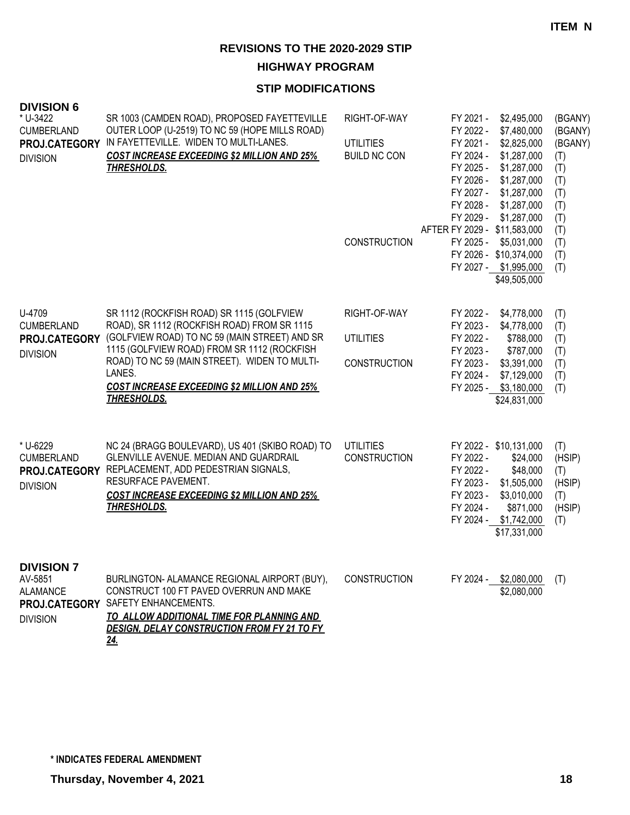**HIGHWAY PROGRAM**

| <b>DIVISION 6</b><br>* U-3422<br><b>CUMBERLAND</b><br>PROJ.CATEGORY<br><b>DIVISION</b> | SR 1003 (CAMDEN ROAD), PROPOSED FAYETTEVILLE<br>OUTER LOOP (U-2519) TO NC 59 (HOPE MILLS ROAD)<br>IN FAYETTEVILLE. WIDEN TO MULTI-LANES.<br><b>COST INCREASE EXCEEDING \$2 MILLION AND 25%</b><br><b>THRESHOLDS.</b>                                                                                                            | RIGHT-OF-WAY<br><b>UTILITIES</b><br><b>BUILD NC CON</b><br><b>CONSTRUCTION</b> | \$2,495,000<br>FY 2021 -<br>FY 2022 -<br>\$7,480,000<br>FY 2021 -<br>\$2,825,000<br>FY 2024 -<br>\$1,287,000<br>FY 2025 -<br>\$1,287,000<br>FY 2026 -<br>\$1,287,000<br>FY 2027 -<br>\$1,287,000<br>FY 2028 -<br>\$1,287,000<br>FY 2029 -<br>\$1,287,000<br>AFTER FY 2029 - \$11,583,000<br>FY 2025 -<br>\$5,031,000<br>FY 2026 - \$10,374,000<br>FY 2027 - \$1,995,000<br>\$49,505,000 | (BGANY)<br>(BGANY)<br>(BGANY)<br>(T)<br>(T)<br>(T)<br>(T)<br>(T)<br>(T)<br>(T)<br>(T)<br>(T)<br>(T) |
|----------------------------------------------------------------------------------------|---------------------------------------------------------------------------------------------------------------------------------------------------------------------------------------------------------------------------------------------------------------------------------------------------------------------------------|--------------------------------------------------------------------------------|-----------------------------------------------------------------------------------------------------------------------------------------------------------------------------------------------------------------------------------------------------------------------------------------------------------------------------------------------------------------------------------------|-----------------------------------------------------------------------------------------------------|
| U-4709<br><b>CUMBERLAND</b><br>PROJ.CATEGORY<br><b>DIVISION</b>                        | SR 1112 (ROCKFISH ROAD) SR 1115 (GOLFVIEW<br>ROAD), SR 1112 (ROCKFISH ROAD) FROM SR 1115<br>(GOLFVIEW ROAD) TO NC 59 (MAIN STREET) AND SR<br>1115 (GOLFVIEW ROAD) FROM SR 1112 (ROCKFISH<br>ROAD) TO NC 59 (MAIN STREET). WIDEN TO MULTI-<br>LANES.<br><b>COST INCREASE EXCEEDING \$2 MILLION AND 25%</b><br><b>THRESHOLDS.</b> | RIGHT-OF-WAY<br><b>UTILITIES</b><br><b>CONSTRUCTION</b>                        | FY 2022 -<br>\$4,778,000<br>FY 2023 -<br>\$4,778,000<br>FY 2022 -<br>\$788,000<br>FY 2023 -<br>\$787,000<br>FY 2023 -<br>\$3,391,000<br>FY 2024 -<br>\$7,129,000<br>FY 2025 - \$3,180,000<br>\$24,831,000                                                                                                                                                                               | (T)<br>(T)<br>(T)<br>(T)<br>(T)<br>(T)<br>(T)                                                       |
| * U-6229<br><b>CUMBERLAND</b><br>PROJ.CATEGORY<br><b>DIVISION</b>                      | NC 24 (BRAGG BOULEVARD), US 401 (SKIBO ROAD) TO<br>GLENVILLE AVENUE. MEDIAN AND GUARDRAIL<br>REPLACEMENT, ADD PEDESTRIAN SIGNALS,<br>RESURFACE PAVEMENT.<br><b>COST INCREASE EXCEEDING \$2 MILLION AND 25%</b><br><b>THRESHOLDS.</b>                                                                                            | <b>UTILITIES</b><br><b>CONSTRUCTION</b>                                        | FY 2022 - \$10,131,000<br>FY 2022 -<br>\$24,000<br>FY 2022 -<br>\$48,000<br>FY 2023 -<br>\$1,505,000<br>FY 2023 -<br>\$3,010,000<br>FY 2024 -<br>\$871,000<br>FY 2024 - \$1,742,000<br>\$17,331,000                                                                                                                                                                                     | (T)<br>(HSIP)<br>(T)<br>(HSIP)<br>(T)<br>(HSIP)<br>(T)                                              |
| <b>DIVISION 7</b><br>AV-5851<br><b>ALAMANCE</b><br>PROJ.CATEGORY<br><b>DIVISION</b>    | BURLINGTON- ALAMANCE REGIONAL AIRPORT (BUY),<br>CONSTRUCT 100 FT PAVED OVERRUN AND MAKE<br>SAFETY ENHANCEMENTS.<br>TO ALLOW ADDITIONAL TIME FOR PLANNING AND<br>DESIGN, DELAY CONSTRUCTION FROM FY 21 TO FY<br><u>24.</u>                                                                                                       | <b>CONSTRUCTION</b>                                                            | FY 2024 - \$2,080,000<br>\$2,080,000                                                                                                                                                                                                                                                                                                                                                    | (T)                                                                                                 |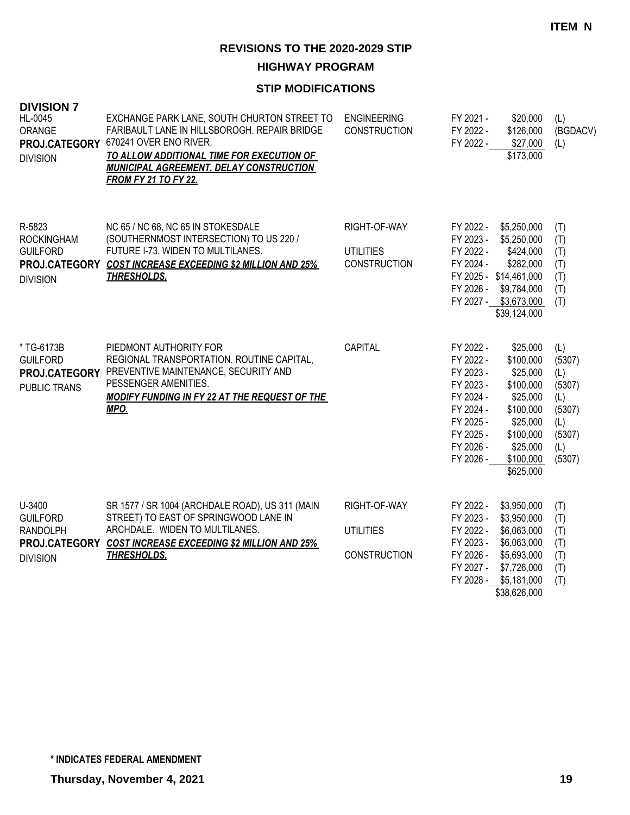**HIGHWAY PROGRAM**

| <b>DIVISION 7</b><br>HL-0045<br>ORANGE<br>PROJ.CATEGORY<br><b>DIVISION</b>       | EXCHANGE PARK LANE, SOUTH CHURTON STREET TO<br>FARIBAULT LANE IN HILLSBOROGH. REPAIR BRIDGE<br>670241 OVER ENO RIVER.<br>TO ALLOW ADDITIONAL TIME FOR EXECUTION OF<br><b>MUNICIPAL AGREEMENT, DELAY CONSTRUCTION</b><br><b>FROM FY 21 TO FY 22.</b> | <b>ENGINEERING</b><br><b>CONSTRUCTION</b>               | FY 2021 -<br>\$20,000<br>\$126,000<br>FY 2022 -<br>FY 2022 -<br>\$27,000<br>\$173,000                                                                                                                                                                                    | (L)<br>(BGDACV)<br>(L)                                                            |
|----------------------------------------------------------------------------------|-----------------------------------------------------------------------------------------------------------------------------------------------------------------------------------------------------------------------------------------------------|---------------------------------------------------------|--------------------------------------------------------------------------------------------------------------------------------------------------------------------------------------------------------------------------------------------------------------------------|-----------------------------------------------------------------------------------|
| R-5823<br><b>ROCKINGHAM</b><br><b>GUILFORD</b><br><b>DIVISION</b>                | NC 65 / NC 68, NC 65 IN STOKESDALE<br>(SOUTHERNMOST INTERSECTION) TO US 220 /<br>FUTURE I-73. WIDEN TO MULTILANES.<br>PROJ.CATEGORY COST INCREASE EXCEEDING \$2 MILLION AND 25%<br><b>THRESHOLDS.</b>                                               | RIGHT-OF-WAY<br><b>UTILITIES</b><br><b>CONSTRUCTION</b> | FY 2022 -<br>\$5,250,000<br>FY 2023 -<br>\$5,250,000<br>FY 2022 -<br>\$424,000<br>FY 2024 -<br>\$282,000<br>FY 2025 - \$14,461,000<br>FY 2026 -<br>\$9,784,000<br>FY 2027 - \$3,673,000<br>\$39,124,000                                                                  | (T)<br>(T)<br>(T)<br>(T)<br>(T)<br>(T)<br>(T)                                     |
| * TG-6173B<br><b>GUILFORD</b><br>PUBLIC TRANS                                    | PIEDMONT AUTHORITY FOR<br>REGIONAL TRANSPORTATION. ROUTINE CAPITAL,<br>PROJ.CATEGORY PREVENTIVE MAINTENANCE, SECURITY AND<br>PESSENGER AMENITIES.<br><b>MODIFY FUNDING IN FY 22 AT THE REQUEST OF THE</b><br>MPO.                                   | <b>CAPITAL</b>                                          | FY 2022 -<br>\$25,000<br>FY 2022 -<br>\$100,000<br>FY 2023 -<br>\$25,000<br>FY 2023 -<br>\$100,000<br>FY 2024 -<br>\$25,000<br>\$100,000<br>FY 2024 -<br>FY 2025 -<br>\$25,000<br>FY 2025 -<br>\$100,000<br>FY 2026 -<br>\$25,000<br>FY 2026 -<br>\$100,000<br>\$625,000 | (L)<br>(5307)<br>(L)<br>(5307)<br>(L)<br>(5307)<br>(L)<br>(5307)<br>(L)<br>(5307) |
| U-3400<br><b>GUILFORD</b><br><b>RANDOLPH</b><br>PROJ.CATEGORY<br><b>DIVISION</b> | SR 1577 / SR 1004 (ARCHDALE ROAD), US 311 (MAIN<br>STREET) TO EAST OF SPRINGWOOD LANE IN<br>ARCHDALE. WIDEN TO MULTILANES.<br><b>COST INCREASE EXCEEDING \$2 MILLION AND 25%</b><br><b>THRESHOLDS.</b>                                              | RIGHT-OF-WAY<br><b>UTILITIES</b><br><b>CONSTRUCTION</b> | FY 2022 -<br>\$3,950,000<br>FY 2023 -<br>\$3,950,000<br>FY 2022 -<br>\$6,063,000<br>FY 2023 -<br>\$6,063,000<br>FY 2026 -<br>\$5,693,000<br>FY 2027 -<br>\$7,726,000<br>FY 2028 -<br>\$5,181,000<br>\$38,626,000                                                         | (T)<br>(T)<br>(T)<br>(T)<br>(T)<br>(T)<br>(T)                                     |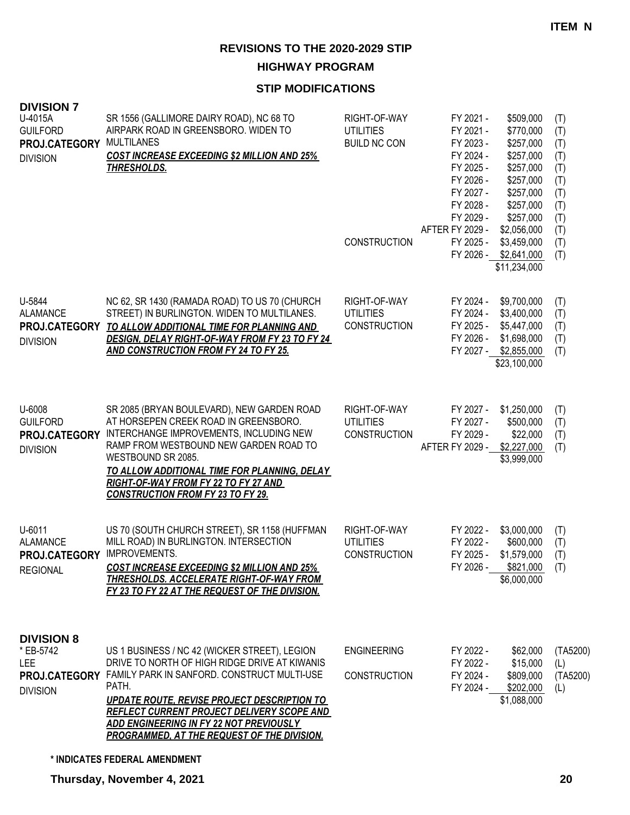**HIGHWAY PROGRAM**

## **STIP MODIFICATIONS**

| <b>DIVISION 7</b><br>U-4015A<br><b>GUILFORD</b><br>PROJ.CATEGORY<br><b>DIVISION</b> | SR 1556 (GALLIMORE DAIRY ROAD), NC 68 TO<br>AIRPARK ROAD IN GREENSBORO. WIDEN TO<br><b>MULTILANES</b><br><b>COST INCREASE EXCEEDING \$2 MILLION AND 25%</b><br><b>THRESHOLDS.</b>                                                                                                                                                                           | RIGHT-OF-WAY<br><b>UTILITIES</b><br><b>BUILD NC CON</b><br><b>CONSTRUCTION</b> | FY 2021 -<br>\$509,000<br>FY 2021 -<br>\$770,000<br>FY 2023 -<br>\$257,000<br>FY 2024 -<br>\$257,000<br>FY 2025 -<br>\$257,000<br>FY 2026 -<br>\$257,000<br>FY 2027 -<br>\$257,000<br>FY 2028 -<br>\$257,000<br>FY 2029 -<br>\$257,000<br>AFTER FY 2029 -<br>\$2,056,000<br>FY 2025 -<br>\$3,459,000<br>FY 2026 - \$2,641,000 | (T)<br>(T)<br>(T)<br>(T)<br>(T)<br>(T)<br>(T)<br>(T)<br>(T)<br>(T)<br>(T)<br>(T) |
|-------------------------------------------------------------------------------------|-------------------------------------------------------------------------------------------------------------------------------------------------------------------------------------------------------------------------------------------------------------------------------------------------------------------------------------------------------------|--------------------------------------------------------------------------------|-------------------------------------------------------------------------------------------------------------------------------------------------------------------------------------------------------------------------------------------------------------------------------------------------------------------------------|----------------------------------------------------------------------------------|
| U-5844<br><b>ALAMANCE</b><br><b>DIVISION</b>                                        | NC 62, SR 1430 (RAMADA ROAD) TO US 70 (CHURCH<br>STREET) IN BURLINGTON. WIDEN TO MULTILANES.<br>PROJ.CATEGORY TO ALLOW ADDITIONAL TIME FOR PLANNING AND<br>DESIGN, DELAY RIGHT-OF-WAY FROM FY 23 TO FY 24<br><b>AND CONSTRUCTION FROM FY 24 TO FY 25.</b>                                                                                                   | RIGHT-OF-WAY<br><b>UTILITIES</b><br><b>CONSTRUCTION</b>                        | \$11,234,000<br>\$9,700,000<br>FY 2024 -<br>FY 2024 -<br>\$3,400,000<br>FY 2025 -<br>\$5,447,000<br>FY 2026 -<br>\$1,698,000<br>FY 2027 - \$2,855,000<br>\$23,100,000                                                                                                                                                         | (T)<br>(T)<br>(T)<br>(T)<br>(T)                                                  |
| U-6008<br><b>GUILFORD</b><br>PROJ.CATEGORY<br><b>DIVISION</b>                       | SR 2085 (BRYAN BOULEVARD), NEW GARDEN ROAD<br>AT HORSEPEN CREEK ROAD IN GREENSBORO.<br>INTERCHANGE IMPROVEMENTS, INCLUDING NEW<br>RAMP FROM WESTBOUND NEW GARDEN ROAD TO<br>WESTBOUND SR 2085.<br>TO ALLOW ADDITIONAL TIME FOR PLANNING, DELAY<br>RIGHT-OF-WAY FROM FY 22 TO FY 27 AND<br><b>CONSTRUCTION FROM FY 23 TO FY 29.</b>                          | RIGHT-OF-WAY<br><b>UTILITIES</b><br><b>CONSTRUCTION</b>                        | FY 2027 -<br>\$1,250,000<br>FY 2027 -<br>\$500,000<br>FY 2029 -<br>\$22,000<br>AFTER FY 2029 -<br>\$2,227,000<br>\$3,999,000                                                                                                                                                                                                  | (T)<br>(T)<br>(T)<br>(T)                                                         |
| U-6011<br><b>ALAMANCE</b><br>PROJ.CATEGORY<br><b>REGIONAL</b>                       | US 70 (SOUTH CHURCH STREET), SR 1158 (HUFFMAN<br>MILL ROAD) IN BURLINGTON. INTERSECTION<br>IMPROVEMENTS.<br><b>COST INCREASE EXCEEDING \$2 MILLION AND 25%</b><br>THRESHOLDS. ACCELERATE RIGHT-OF-WAY FROM<br>FY 23 TO FY 22 AT THE REQUEST OF THE DIVISION.                                                                                                | RIGHT-OF-WAY<br><b>UTILITIES</b><br><b>CONSTRUCTION</b>                        | FY 2022 -<br>\$3,000,000<br>FY 2022 -<br>\$600,000<br>FY 2025 -<br>\$1,579,000<br>FY 2026 -<br>\$821,000<br>\$6,000,000                                                                                                                                                                                                       | (T)<br>(T)<br>(T)<br>(T)                                                         |
| <b>DIVISION 8</b><br>* EB-5742<br>LEE.<br>PROJ.CATEGORY<br><b>DIVISION</b>          | US 1 BUSINESS / NC 42 (WICKER STREET), LEGION<br>DRIVE TO NORTH OF HIGH RIDGE DRIVE AT KIWANIS<br>FAMILY PARK IN SANFORD. CONSTRUCT MULTI-USE<br>PATH.<br><u>UPDATE ROUTE, REVISE PROJECT DESCRIPTION TO</u><br>REFLECT CURRENT PROJECT DELIVERY SCOPE AND<br><b>ADD ENGINEERING IN FY 22 NOT PREVIOUSLY</b><br>PROGRAMMED, AT THE REQUEST OF THE DIVISION. | <b>ENGINEERING</b><br><b>CONSTRUCTION</b>                                      | \$62,000<br>FY 2022 -<br>\$15,000<br>FY 2022 -<br>FY 2024 -<br>\$809,000<br>FY 2024 -<br>\$202,000<br>\$1,088,000                                                                                                                                                                                                             | (TA5200)<br>(L)<br>(TA5200)<br>(L)                                               |

**\* INDICATES FEDERAL AMENDMENT**

**Thursday, November 4, 2021 20**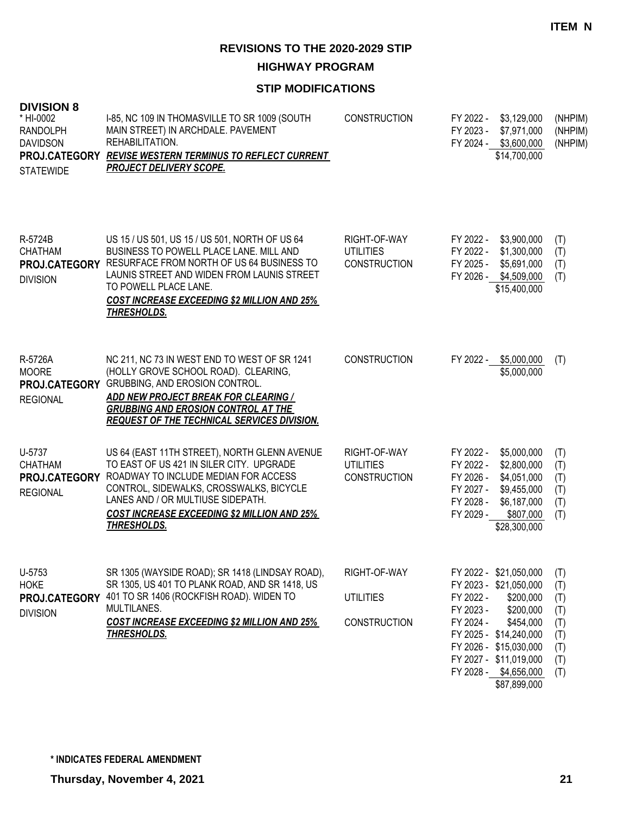**HIGHWAY PROGRAM**

## **STIP MODIFICATIONS**

| <b>DIVISION 8</b><br>* HI-0002<br><b>RANDOLPH</b><br><b>DAVIDSON</b><br><b>STATEWIDE</b> | I-85, NC 109 IN THOMASVILLE TO SR 1009 (SOUTH<br>MAIN STREET) IN ARCHDALE. PAVEMENT<br>REHABILITATION.<br>PROJ.CATEGORY REVISE WESTERN TERMINUS TO REFLECT CURRENT<br><b>PROJECT DELIVERY SCOPE.</b>                                                                                                    | <b>CONSTRUCTION</b>                                     | FY 2022 -<br>FY 2023 -                                        | \$3,129,000<br>\$7,971,000<br>FY 2024 - \$3,600,000<br>\$14,700,000                                                                                                                            | (NHPIM)<br>(NHPIM)<br>(NHPIM)                               |
|------------------------------------------------------------------------------------------|---------------------------------------------------------------------------------------------------------------------------------------------------------------------------------------------------------------------------------------------------------------------------------------------------------|---------------------------------------------------------|---------------------------------------------------------------|------------------------------------------------------------------------------------------------------------------------------------------------------------------------------------------------|-------------------------------------------------------------|
| R-5724B<br><b>CHATHAM</b><br><b>DIVISION</b>                                             | US 15 / US 501, US 15 / US 501, NORTH OF US 64<br>BUSINESS TO POWELL PLACE LANE. MILL AND<br>PROJ.CATEGORY RESURFACE FROM NORTH OF US 64 BUSINESS TO<br>LAUNIS STREET AND WIDEN FROM LAUNIS STREET<br>TO POWELL PLACE LANE.<br><b>COST INCREASE EXCEEDING \$2 MILLION AND 25%</b><br><b>THRESHOLDS.</b> | RIGHT-OF-WAY<br><b>UTILITIES</b><br><b>CONSTRUCTION</b> | FY 2022 -<br>FY 2025 -                                        | FY 2022 - \$3,900,000<br>\$1,300,000<br>\$5,691,000<br>FY 2026 - \$4,509,000<br>\$15,400,000                                                                                                   | (T)<br>(T)<br>(T)<br>(T)                                    |
| R-5726A<br><b>MOORE</b><br>PROJ.CATEGORY<br><b>REGIONAL</b>                              | NC 211, NC 73 IN WEST END TO WEST OF SR 1241<br>(HOLLY GROVE SCHOOL ROAD). CLEARING,<br>GRUBBING, AND EROSION CONTROL.<br>ADD NEW PROJECT BREAK FOR CLEARING /<br><b>GRUBBING AND EROSION CONTROL AT THE</b><br><b>REQUEST OF THE TECHNICAL SERVICES DIVISION.</b>                                      | <b>CONSTRUCTION</b>                                     | FY 2022 -                                                     | \$5,000,000<br>\$5,000,000                                                                                                                                                                     | (T)                                                         |
| U-5737<br><b>CHATHAM</b><br>PROJ.CATEGORY<br><b>REGIONAL</b>                             | US 64 (EAST 11TH STREET), NORTH GLENN AVENUE<br>TO EAST OF US 421 IN SILER CITY. UPGRADE<br>ROADWAY TO INCLUDE MEDIAN FOR ACCESS<br>CONTROL, SIDEWALKS, CROSSWALKS, BICYCLE<br>LANES AND / OR MULTIUSE SIDEPATH.<br><b>COST INCREASE EXCEEDING \$2 MILLION AND 25%</b><br><u>THRESHOLDS.</u>            | RIGHT-OF-WAY<br><b>UTILITIES</b><br><b>CONSTRUCTION</b> | FY 2022 -<br>FY 2022 -<br>FY 2026 -<br>FY 2028 -<br>FY 2029 - | \$5,000,000<br>\$2,800,000<br>\$4,051,000<br>FY 2027 - \$9,455,000<br>\$6,187,000<br>\$807,000<br>\$28,300,000                                                                                 | (T)<br>(T)<br>(T)<br>(T)<br>(T)<br>(T)                      |
| U-5753<br><b>HOKE</b><br>PROJ.CATEGORY<br><b>DIVISION</b>                                | SR 1305 (WAYSIDE ROAD); SR 1418 (LINDSAY ROAD),<br>SR 1305, US 401 TO PLANK ROAD, AND SR 1418, US<br>401 TO SR 1406 (ROCKFISH ROAD). WIDEN TO<br>MULTILANES.<br><b>COST INCREASE EXCEEDING \$2 MILLION AND 25%</b><br><b>THRESHOLDS.</b>                                                                | RIGHT-OF-WAY<br><b>UTILITIES</b><br><b>CONSTRUCTION</b> | FY 2022 -<br>FY 2023 -<br>FY 2024 -                           | FY 2022 - \$21,050,000<br>FY 2023 - \$21,050,000<br>\$200,000<br>\$200,000<br>\$454,000<br>FY 2025 - \$14,240,000<br>FY 2026 - \$15,030,000<br>FY 2027 - \$11,019,000<br>FY 2028 - \$4,656,000 | (T)<br>(T)<br>(T)<br>(T)<br>(T)<br>(T)<br>(T)<br>(T)<br>(T) |

\$87,899,000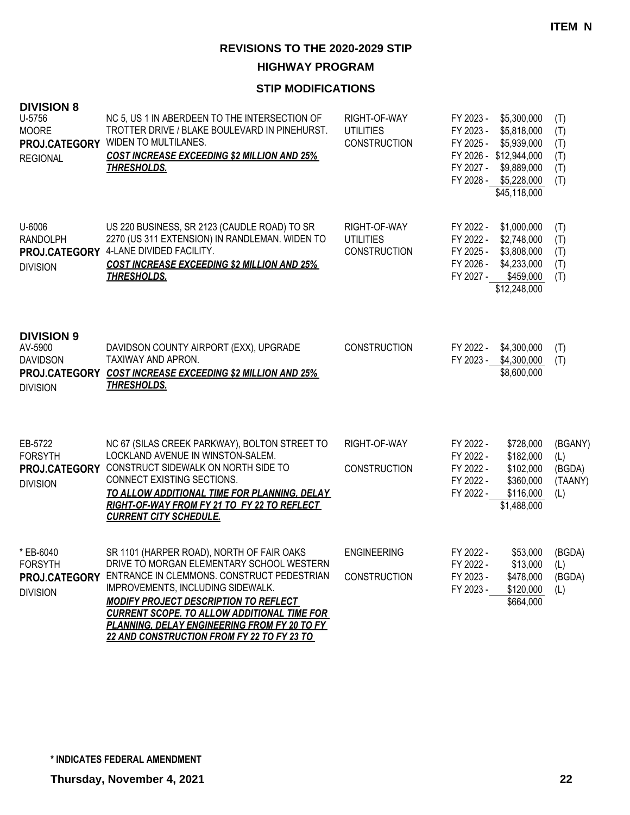**HIGHWAY PROGRAM**

| <b>DIVISION 8</b><br>U-5756<br><b>MOORE</b><br>PROJ.CATEGORY<br><b>REGIONAL</b>     | NC 5, US 1 IN ABERDEEN TO THE INTERSECTION OF<br>TROTTER DRIVE / BLAKE BOULEVARD IN PINEHURST.<br>WIDEN TO MULTILANES.<br><b>COST INCREASE EXCEEDING \$2 MILLION AND 25%</b><br><b>THRESHOLDS.</b>                                                                                                                                                                                                  | RIGHT-OF-WAY<br><b>UTILITIES</b><br><b>CONSTRUCTION</b> | FY 2023 -<br>\$5,300,000<br>FY 2023 -<br>\$5,818,000<br>FY 2025 -<br>\$5,939,000<br>FY 2026 - \$12,944,000<br>FY 2027 -<br>\$9,889,000<br>FY 2028 - \$5,228,000<br>\$45,118,000 | (T)<br>(T)<br>(T)<br>(T)<br>(T)<br>(T)                                                                      |  |
|-------------------------------------------------------------------------------------|-----------------------------------------------------------------------------------------------------------------------------------------------------------------------------------------------------------------------------------------------------------------------------------------------------------------------------------------------------------------------------------------------------|---------------------------------------------------------|---------------------------------------------------------------------------------------------------------------------------------------------------------------------------------|-------------------------------------------------------------------------------------------------------------|--|
| U-6006<br><b>RANDOLPH</b><br>PROJ.CATEGORY<br><b>DIVISION</b>                       | US 220 BUSINESS, SR 2123 (CAUDLE ROAD) TO SR<br>2270 (US 311 EXTENSION) IN RANDLEMAN. WIDEN TO<br>4-LANE DIVIDED FACILITY.<br><b>COST INCREASE EXCEEDING \$2 MILLION AND 25%</b><br><b>THRESHOLDS.</b>                                                                                                                                                                                              | RIGHT-OF-WAY<br><b>UTILITIES</b><br><b>CONSTRUCTION</b> | FY 2022 -<br>\$1,000,000<br>FY 2022 -<br>\$2,748,000<br>FY 2025 -<br>\$3,808,000<br>FY 2026 -<br>\$4,233,000<br>FY 2027 -<br>\$12,248,000                                       | (T)<br>(T)<br>(T)<br>(T)<br>\$459,000<br>(T)                                                                |  |
| <b>DIVISION 9</b><br>AV-5900<br><b>DAVIDSON</b><br>PROJ.CATEGORY<br><b>DIVISION</b> | DAVIDSON COUNTY AIRPORT (EXX), UPGRADE<br>TAXIWAY AND APRON.<br><b>COST INCREASE EXCEEDING \$2 MILLION AND 25%</b><br><b>THRESHOLDS.</b>                                                                                                                                                                                                                                                            | <b>CONSTRUCTION</b>                                     | \$4,300,000<br>FY 2022 -<br>FY 2023 - \$4,300,000<br>\$8,600,000                                                                                                                | (T)<br>(T)                                                                                                  |  |
| EB-5722<br><b>FORSYTH</b><br>PROJ.CATEGORY<br><b>DIVISION</b>                       | NC 67 (SILAS CREEK PARKWAY), BOLTON STREET TO<br>LOCKLAND AVENUE IN WINSTON-SALEM.<br>CONSTRUCT SIDEWALK ON NORTH SIDE TO<br>CONNECT EXISTING SECTIONS.<br><b>TO ALLOW ADDITIONAL TIME FOR PLANNING, DELAY</b><br>RIGHT-OF-WAY FROM FY 21 TO FY 22 TO REFLECT<br><b>CURRENT CITY SCHEDULE.</b>                                                                                                      | RIGHT-OF-WAY<br><b>CONSTRUCTION</b>                     | FY 2022 -<br>FY 2022 -<br>FY 2022 -<br>FY 2022 -<br>FY 2022 -<br>\$1,488,000                                                                                                    | \$728,000<br>(BGANY)<br>\$182,000<br>(L)<br>\$102,000<br>(BGDA)<br>(TAANY)<br>\$360,000<br>\$116,000<br>(L) |  |
| * EB-6040<br><b>FORSYTH</b><br><b>DIVISION</b>                                      | SR 1101 (HARPER ROAD), NORTH OF FAIR OAKS<br>DRIVE TO MORGAN ELEMENTARY SCHOOL WESTERN<br>PROJ.CATEGORY ENTRANCE IN CLEMMONS. CONSTRUCT PEDESTRIAN<br>IMPROVEMENTS, INCLUDING SIDEWALK.<br><b>MODIFY PROJECT DESCRIPTION TO REFLECT</b><br><b>CURRENT SCOPE. TO ALLOW ADDITIONAL TIME FOR</b><br>PLANNING, DELAY ENGINEERING FROM FY 20 TO FY<br><u>22 AND CONSTRUCTION FROM FY 22 TO FY 23 TO </u> | <b>ENGINEERING</b><br><b>CONSTRUCTION</b>               | FY 2022 -<br>FY 2022 -<br>FY 2023 -<br>FY 2023 -                                                                                                                                | \$53,000<br>(BGDA)<br>\$13,000 (L)<br>\$478,000<br>(BGDA)<br>\$120,000<br>(L)<br>\$664,000                  |  |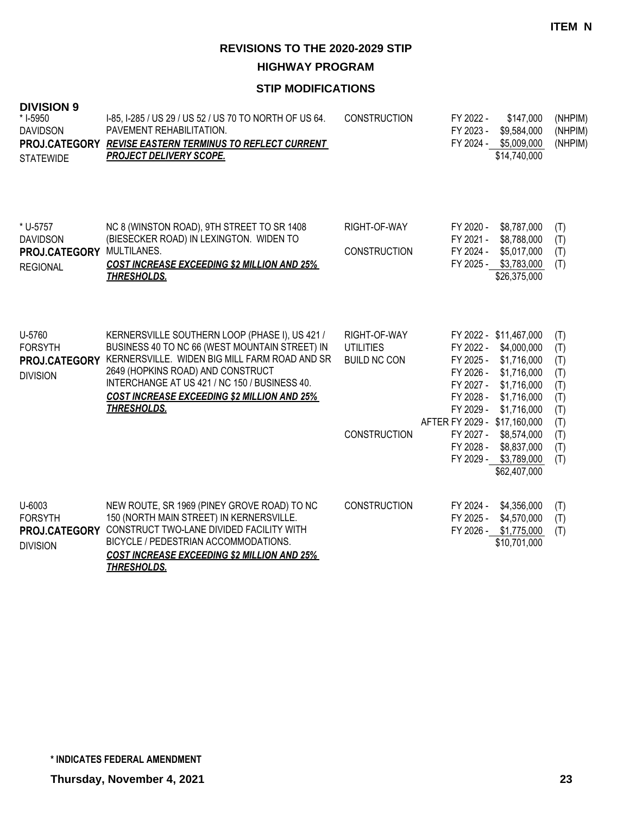**HIGHWAY PROGRAM**

| <b>DIVISION 9</b><br>* I-5950<br><b>DAVIDSON</b><br><b>STATEWIDE</b> | 1-85, 1-285 / US 29 / US 52 / US 70 TO NORTH OF US 64.<br>PAVEMENT REHABILITATION.<br>PROJ.CATEGORY REVISE EASTERN TERMINUS TO REFLECT CURRENT<br><b>PROJECT DELIVERY SCOPE.</b>                                                                                                                                    | <b>CONSTRUCTION</b>                                                            | FY 2022 -<br>FY 2023 -                                                                                                               | \$147,000<br>\$9,584,000<br>FY 2024 - \$5,009,000<br>\$14,740,000                                                                                                                       | (NHPIM)<br>(NHPIM)<br>(NHPIM)                                             |
|----------------------------------------------------------------------|---------------------------------------------------------------------------------------------------------------------------------------------------------------------------------------------------------------------------------------------------------------------------------------------------------------------|--------------------------------------------------------------------------------|--------------------------------------------------------------------------------------------------------------------------------------|-----------------------------------------------------------------------------------------------------------------------------------------------------------------------------------------|---------------------------------------------------------------------------|
| * U-5757<br><b>DAVIDSON</b><br>PROJ.CATEGORY<br><b>REGIONAL</b>      | NC 8 (WINSTON ROAD), 9TH STREET TO SR 1408<br>(BIESECKER ROAD) IN LEXINGTON. WIDEN TO<br>MULTILANES.<br><b>COST INCREASE EXCEEDING \$2 MILLION AND 25%</b><br><b>THRESHOLDS.</b>                                                                                                                                    | RIGHT-OF-WAY<br><b>CONSTRUCTION</b>                                            | FY 2020 -<br>FY 2021 -<br>FY 2024 -                                                                                                  | \$8,787,000<br>\$8,788,000<br>\$5,017,000<br>FY 2025 - \$3,783,000<br>\$26,375,000                                                                                                      | (T)<br>(T)<br>(T)<br>(T)                                                  |
| U-5760<br><b>FORSYTH</b><br>PROJ.CATEGORY<br><b>DIVISION</b>         | KERNERSVILLE SOUTHERN LOOP (PHASE I), US 421 /<br>BUSINESS 40 TO NC 66 (WEST MOUNTAIN STREET) IN<br>KERNERSVILLE. WIDEN BIG MILL FARM ROAD AND SR<br>2649 (HOPKINS ROAD) AND CONSTRUCT<br>INTERCHANGE AT US 421 / NC 150 / BUSINESS 40.<br><b>COST INCREASE EXCEEDING \$2 MILLION AND 25%</b><br><b>THRESHOLDS.</b> | RIGHT-OF-WAY<br><b>UTILITIES</b><br><b>BUILD NC CON</b><br><b>CONSTRUCTION</b> | FY 2022 -<br>FY 2025 -<br>FY 2026 -<br>FY 2027 -<br>FY 2028 -<br>FY 2029 -<br>AFTER FY 2029 - \$17,160,000<br>FY 2027 -<br>FY 2028 - | FY 2022 - \$11,467,000<br>\$4,000,000<br>\$1,716,000<br>\$1,716,000<br>\$1,716,000<br>\$1,716,000<br>\$1,716,000<br>\$8,574,000<br>\$8,837,000<br>FY 2029 - \$3,789,000<br>\$62,407,000 | (T)<br>(T)<br>(T)<br>(T)<br>(T)<br>(T)<br>(T)<br>(T)<br>(T)<br>(T)<br>(T) |
| U-6003<br><b>FORSYTH</b><br>PROJ.CATEGORY<br><b>DIVISION</b>         | NEW ROUTE, SR 1969 (PINEY GROVE ROAD) TO NC<br>150 (NORTH MAIN STREET) IN KERNERSVILLE.<br>CONSTRUCT TWO-LANE DIVIDED FACILITY WITH<br>BICYCLE / PEDESTRIAN ACCOMMODATIONS.<br><b>COST INCREASE EXCEEDING \$2 MILLION AND 25%</b><br><b>THRESHOLDS.</b>                                                             | <b>CONSTRUCTION</b>                                                            | FY 2024 -<br>FY 2025 -                                                                                                               | \$4,356,000<br>\$4,570,000<br>FY 2026 - \$1,775,000<br>\$10,701,000                                                                                                                     | (T)<br>(T)<br>(T)                                                         |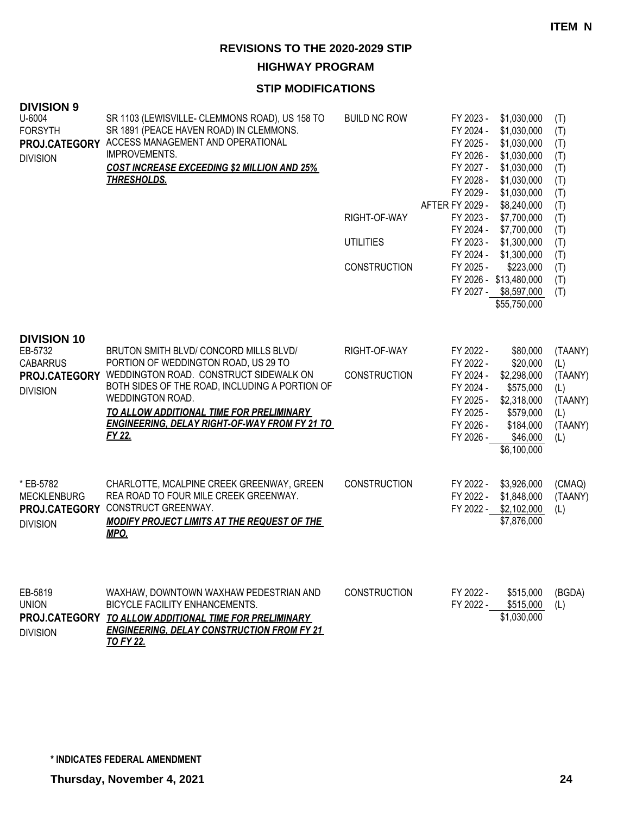**HIGHWAY PROGRAM**

| <b>DIVISION 9</b><br>U-6004<br><b>FORSYTH</b><br>PROJ.CATEGORY<br><b>DIVISION</b>    | SR 1103 (LEWISVILLE- CLEMMONS ROAD), US 158 TO<br>SR 1891 (PEACE HAVEN ROAD) IN CLEMMONS.<br>ACCESS MANAGEMENT AND OPERATIONAL<br>IMPROVEMENTS.<br><b>COST INCREASE EXCEEDING \$2 MILLION AND 25%</b><br><b>THRESHOLDS.</b>                                                                                  | <b>BUILD NC ROW</b><br>RIGHT-OF-WAY<br><b>UTILITIES</b><br><b>CONSTRUCTION</b> | FY 2023 -<br>FY 2024 -<br>FY 2025 -<br>FY 2026 -<br>FY 2027 -<br>FY 2028 -<br>FY 2029 -<br><b>AFTER FY 2029 -</b><br>FY 2023 -<br>FY 2024 -<br>FY 2023 -<br>FY 2024 -<br>FY 2025 - | \$1,030,000<br>\$1,030,000<br>\$1,030,000<br>\$1,030,000<br>\$1,030,000<br>\$1,030,000<br>\$1,030,000<br>\$8,240,000<br>\$7,700,000<br>\$7,700,000<br>\$1,300,000<br>\$1,300,000<br>\$223,000<br>FY 2026 - \$13,480,000<br>FY 2027 - \$8,597,000<br>\$55,750,000 | (T)<br>(T)<br>(T)<br>(T)<br>(T)<br>(T)<br>(T)<br>(T)<br>(T)<br>(T)<br>(T)<br>(T)<br>(T)<br>(T)<br>(T) |
|--------------------------------------------------------------------------------------|--------------------------------------------------------------------------------------------------------------------------------------------------------------------------------------------------------------------------------------------------------------------------------------------------------------|--------------------------------------------------------------------------------|------------------------------------------------------------------------------------------------------------------------------------------------------------------------------------|------------------------------------------------------------------------------------------------------------------------------------------------------------------------------------------------------------------------------------------------------------------|-------------------------------------------------------------------------------------------------------|
| <b>DIVISION 10</b><br>EB-5732<br><b>CABARRUS</b><br>PROJ.CATEGORY<br><b>DIVISION</b> | BRUTON SMITH BLVD/ CONCORD MILLS BLVD/<br>PORTION OF WEDDINGTON ROAD, US 29 TO<br>WEDDINGTON ROAD. CONSTRUCT SIDEWALK ON<br>BOTH SIDES OF THE ROAD, INCLUDING A PORTION OF<br>WEDDINGTON ROAD.<br>TO ALLOW ADDITIONAL TIME FOR PRELIMINARY<br><b>ENGINEERING, DELAY RIGHT-OF-WAY FROM FY 21 TO</b><br>FY 22. | RIGHT-OF-WAY<br><b>CONSTRUCTION</b>                                            | FY 2022 -<br>FY 2022 -<br>FY 2024 -<br>FY 2024 -<br>FY 2025 -<br>FY 2025 -<br>FY 2026 -<br>FY 2026 -                                                                               | \$80,000<br>\$20,000<br>\$2,298,000<br>\$575,000<br>\$2,318,000<br>\$579,000<br>\$184,000<br>\$46,000<br>\$6,100,000                                                                                                                                             | (TAANY)<br>(L)<br>(TAANY)<br>(L)<br>(TAANY)<br>(L)<br>(TAANY)<br>(L)                                  |
| * EB-5782<br><b>MECKLENBURG</b><br>PROJ.CATEGORY<br><b>DIVISION</b>                  | CHARLOTTE, MCALPINE CREEK GREENWAY, GREEN<br>REA ROAD TO FOUR MILE CREEK GREENWAY.<br>CONSTRUCT GREENWAY.<br><b>MODIFY PROJECT LIMITS AT THE REQUEST OF THE</b><br>MPO.                                                                                                                                      | <b>CONSTRUCTION</b>                                                            | FY 2022 -<br>FY 2022 -                                                                                                                                                             | \$3,926,000<br>\$1,848,000<br>FY 2022 - \$2,102,000<br>\$7,876,000                                                                                                                                                                                               | (CMAQ)<br>(TAANY)<br>(L)                                                                              |
| EB-5819<br><b>UNION</b><br><b>DIVISION</b>                                           | WAXHAW, DOWNTOWN WAXHAW PEDESTRIAN AND<br>BICYCLE FACILITY ENHANCEMENTS.<br>PROJ.CATEGORY TO ALLOW ADDITIONAL TIME FOR PRELIMINARY<br><b>ENGINEERING, DELAY CONSTRUCTION FROM FY 21</b><br><b>TO FY 22.</b>                                                                                                  | CONSTRUCTION                                                                   | FY 2022 -<br>FY 2022 -                                                                                                                                                             | \$515,000<br>\$515,000<br>\$1,030,000                                                                                                                                                                                                                            | (BGDA)<br>(L)                                                                                         |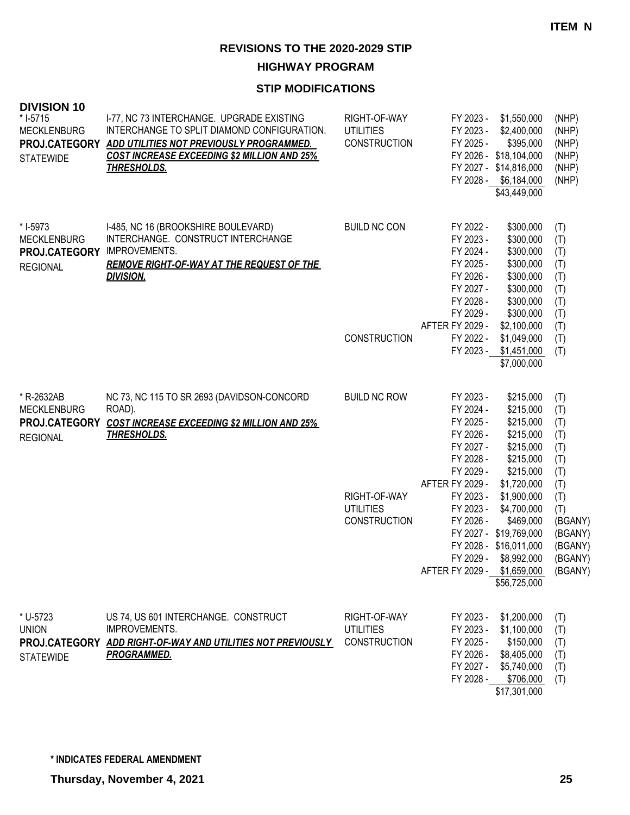**HIGHWAY PROGRAM**

| <b>DIVISION 10</b><br>* I-5715<br><b>MECKLENBURG</b><br>PROJ.CATEGORY<br><b>STATEWIDE</b> | I-77, NC 73 INTERCHANGE. UPGRADE EXISTING<br>INTERCHANGE TO SPLIT DIAMOND CONFIGURATION.<br>ADD UTILITIES NOT PREVIOUSLY PROGRAMMED.<br><b>COST INCREASE EXCEEDING \$2 MILLION AND 25%</b><br><b>THRESHOLDS.</b> | RIGHT-OF-WAY<br><b>UTILITIES</b><br><b>CONSTRUCTION</b> | FY 2023 -<br>FY 2023 -<br>FY 2025 -                                                                                     | \$1,550,000<br>\$2,400,000<br>\$395,000<br>FY 2026 - \$18,104,000<br>FY 2027 - \$14,816,000<br>FY 2028 - \$6,184,000<br>\$43,449,000                | (NHP)<br>(NHP)<br>(NHP)<br>(NHP)<br>(NHP)<br>(NHP)                       |
|-------------------------------------------------------------------------------------------|------------------------------------------------------------------------------------------------------------------------------------------------------------------------------------------------------------------|---------------------------------------------------------|-------------------------------------------------------------------------------------------------------------------------|-----------------------------------------------------------------------------------------------------------------------------------------------------|--------------------------------------------------------------------------|
| * I-5973<br><b>MECKLENBURG</b><br>PROJ.CATEGORY<br><b>REGIONAL</b>                        | I-485, NC 16 (BROOKSHIRE BOULEVARD)<br>INTERCHANGE. CONSTRUCT INTERCHANGE<br>IMPROVEMENTS.<br><b>REMOVE RIGHT-OF-WAY AT THE REQUEST OF THE</b><br><b>DIVISION.</b>                                               | <b>BUILD NC CON</b>                                     | FY 2022 -<br>FY 2023 -<br>FY 2024 -<br>FY 2025 -<br>FY 2026 -<br>FY 2027 -<br>FY 2028 -<br>FY 2029 -<br>AFTER FY 2029 - | \$300,000<br>\$300,000<br>\$300,000<br>\$300,000<br>\$300,000<br>\$300,000<br>\$300,000<br>\$300,000<br>\$2,100,000                                 | (T)<br>(T)<br>(T)<br>(T)<br>(T)<br>(T)<br>(T)<br>(T)<br>(T)              |
|                                                                                           |                                                                                                                                                                                                                  | <b>CONSTRUCTION</b>                                     | FY 2022 -<br>FY 2023 -                                                                                                  | \$1,049,000<br>\$1,451,000<br>\$7,000,000                                                                                                           | (T)<br>(T)                                                               |
| * R-2632AB<br><b>MECKLENBURG</b><br>PROJ.CATEGORY<br><b>REGIONAL</b>                      | NC 73, NC 115 TO SR 2693 (DAVIDSON-CONCORD<br>ROAD).<br><b>COST INCREASE EXCEEDING \$2 MILLION AND 25%</b><br><b>THRESHOLDS.</b>                                                                                 | <b>BUILD NC ROW</b>                                     | FY 2023 -<br>FY 2024 -<br>FY 2025 -<br>FY 2026 -<br>FY 2027 -<br>FY 2028 -<br>FY 2029 -                                 | \$215,000<br>\$215,000<br>\$215,000<br>\$215,000<br>\$215,000<br>\$215,000<br>\$215,000                                                             | (T)<br>(T)<br>(T)<br>(T)<br>(T)<br>(T)<br>(T)                            |
|                                                                                           |                                                                                                                                                                                                                  | RIGHT-OF-WAY<br><b>UTILITIES</b><br><b>CONSTRUCTION</b> | AFTER FY 2029 -<br>FY 2023 -<br>FY 2023 -<br>FY 2026 -<br>AFTER FY 2029 - \$1,659,000                                   | \$1,720,000<br>\$1,900,000<br>\$4,700,000<br>\$469,000<br>FY 2027 - \$19,769,000<br>FY 2028 - \$16,011,000<br>FY 2029 - \$8,992,000<br>\$56,725,000 | (T)<br>(T)<br>(T)<br>(BGANY)<br>(BGANY)<br>(BGANY)<br>(BGANY)<br>(BGANY) |
| * U-5723<br><b>UNION</b><br><b>STATEWIDE</b>                                              | US 74, US 601 INTERCHANGE. CONSTRUCT<br>IMPROVEMENTS.<br>PROJ.CATEGORY ADD RIGHT-OF-WAY AND UTILITIES NOT PREVIOUSLY<br><b>PROGRAMMED.</b>                                                                       | RIGHT-OF-WAY<br><b>UTILITIES</b><br>CONSTRUCTION        | FY 2023 -<br>FY 2023 -<br>FY 2025 -<br>FY 2026 -<br>FY 2027 -<br>FY 2028 -                                              | \$1,200,000<br>\$1,100,000<br>\$150,000<br>\$8,405,000<br>\$5,740,000<br>\$706,000<br>\$17,301,000                                                  | (T)<br>(T)<br>(T)<br>(T)<br>(T)<br>(T)                                   |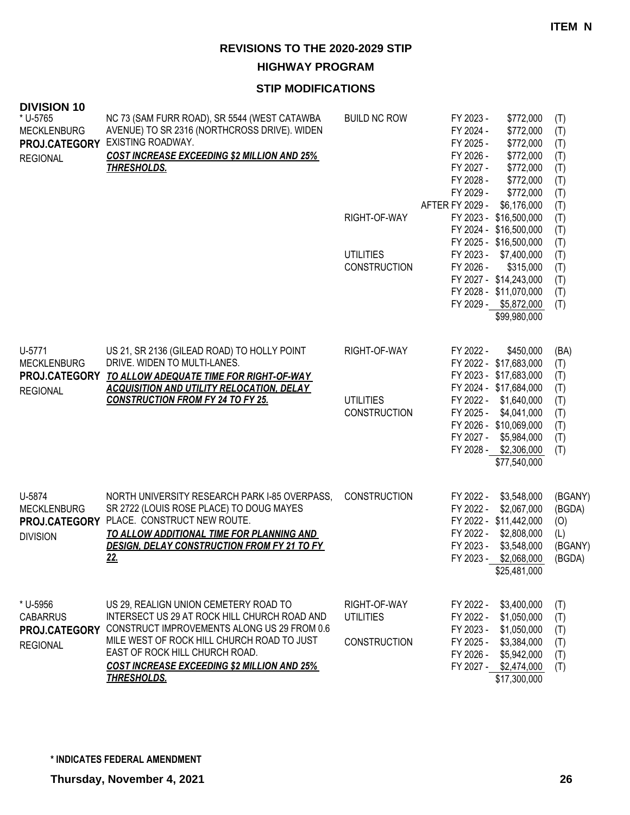**HIGHWAY PROGRAM**

| <b>DIVISION 10</b><br>* U-5765<br><b>MECKLENBURG</b><br>PROJ.CATEGORY<br><b>REGIONAL</b> | NC 73 (SAM FURR ROAD), SR 5544 (WEST CATAWBA<br>AVENUE) TO SR 2316 (NORTHCROSS DRIVE). WIDEN<br>EXISTING ROADWAY.<br><b>COST INCREASE EXCEEDING \$2 MILLION AND 25%</b><br><b>THRESHOLDS.</b>                                                                                             | <b>BUILD NC ROW</b><br>RIGHT-OF-WAY<br><b>UTILITIES</b><br><b>CONSTRUCTION</b> | FY 2023 -<br>FY 2024 -<br>FY 2025 -<br>FY 2026 -<br>FY 2027 -<br>FY 2028 -<br>FY 2029 -<br>AFTER FY 2029 -<br>FY 2026 - | \$772,000<br>\$772,000<br>\$772,000<br>\$772,000<br>\$772,000<br>\$772,000<br>\$772,000<br>\$6,176,000<br>FY 2023 - \$16,500,000<br>FY 2024 - \$16,500,000<br>FY 2025 - \$16,500,000<br>FY 2023 - \$7,400,000<br>\$315,000<br>FY 2027 - \$14,243,000<br>FY 2028 - \$11,070,000<br>FY 2029 - \$5,872,000<br>\$99,980,000 | (T)<br>(T)<br>(T)<br>(T)<br>(T)<br>(T)<br>(T)<br>(T)<br>(T)<br>(T)<br>(T)<br>(T)<br>(T)<br>(T)<br>(T)<br>(T) |
|------------------------------------------------------------------------------------------|-------------------------------------------------------------------------------------------------------------------------------------------------------------------------------------------------------------------------------------------------------------------------------------------|--------------------------------------------------------------------------------|-------------------------------------------------------------------------------------------------------------------------|-------------------------------------------------------------------------------------------------------------------------------------------------------------------------------------------------------------------------------------------------------------------------------------------------------------------------|--------------------------------------------------------------------------------------------------------------|
| U-5771<br><b>MECKLENBURG</b><br>PROJ.CATEGORY<br><b>REGIONAL</b>                         | US 21, SR 2136 (GILEAD ROAD) TO HOLLY POINT<br>DRIVE. WIDEN TO MULTI-LANES.<br>TO ALLOW ADEQUATE TIME FOR RIGHT-OF-WAY<br><b>ACQUISITION AND UTILITY RELOCATION, DELAY</b><br><b>CONSTRUCTION FROM FY 24 TO FY 25.</b>                                                                    | RIGHT-OF-WAY<br><b>UTILITIES</b><br><b>CONSTRUCTION</b>                        | FY 2022 -<br>FY 2025 -<br>FY 2027 -                                                                                     | \$450,000<br>FY 2022 - \$17,683,000<br>FY 2023 - \$17,683,000<br>FY 2024 - \$17,684,000<br>FY 2022 - \$1,640,000<br>\$4,041,000<br>FY 2026 - \$10,069,000<br>\$5,984,000<br>FY 2028 - \$2,306,000<br>\$77,540,000                                                                                                       | (BA)<br>(T)<br>(T)<br>(T)<br>(T)<br>(T)<br>(T)<br>(T)<br>(T)                                                 |
| U-5874<br><b>MECKLENBURG</b><br>PROJ.CATEGORY<br><b>DIVISION</b>                         | NORTH UNIVERSITY RESEARCH PARK I-85 OVERPASS,<br>SR 2722 (LOUIS ROSE PLACE) TO DOUG MAYES<br>PLACE. CONSTRUCT NEW ROUTE.<br>TO ALLOW ADDITIONAL TIME FOR PLANNING AND<br><b>DESIGN, DELAY CONSTRUCTION FROM FY 21 TO FY</b><br><u>22.</u>                                                 | <b>CONSTRUCTION</b>                                                            | FY 2022 -<br>FY 2022 -<br>FY 2022 -<br>FY 2023 -<br>FY 2023 -                                                           | \$3,548,000<br>\$2,067,000<br>FY 2022 - \$11,442,000<br>\$2,808,000<br>\$3,548,000<br>\$2,068,000<br>\$25,481,000                                                                                                                                                                                                       | (BGANY)<br>(BGDA)<br>(0)<br>(L)<br>(BGANY)<br>(BGDA)                                                         |
| * U-5956<br><b>CABARRUS</b><br>PROJ.CATEGORY<br><b>REGIONAL</b>                          | US 29, REALIGN UNION CEMETERY ROAD TO<br>INTERSECT US 29 AT ROCK HILL CHURCH ROAD AND<br>CONSTRUCT IMPROVEMENTS ALONG US 29 FROM 0.6<br>MILE WEST OF ROCK HILL CHURCH ROAD TO JUST<br>EAST OF ROCK HILL CHURCH ROAD.<br><b>COST INCREASE EXCEEDING \$2 MILLION AND 25%</b><br>THRESHOLDS. | RIGHT-OF-WAY<br><b>UTILITIES</b><br><b>CONSTRUCTION</b>                        | FY 2022 -<br>FY 2022 -<br>FY 2023 -<br>FY 2025 -<br>FY 2026 -                                                           | \$3,400,000<br>\$1,050,000<br>\$1,050,000<br>\$3,384,000<br>\$5,942,000<br>FY 2027 - \$2,474,000<br>\$17,300,000                                                                                                                                                                                                        | (T)<br>(T)<br>(T)<br>(T)<br>(T)<br>(T)                                                                       |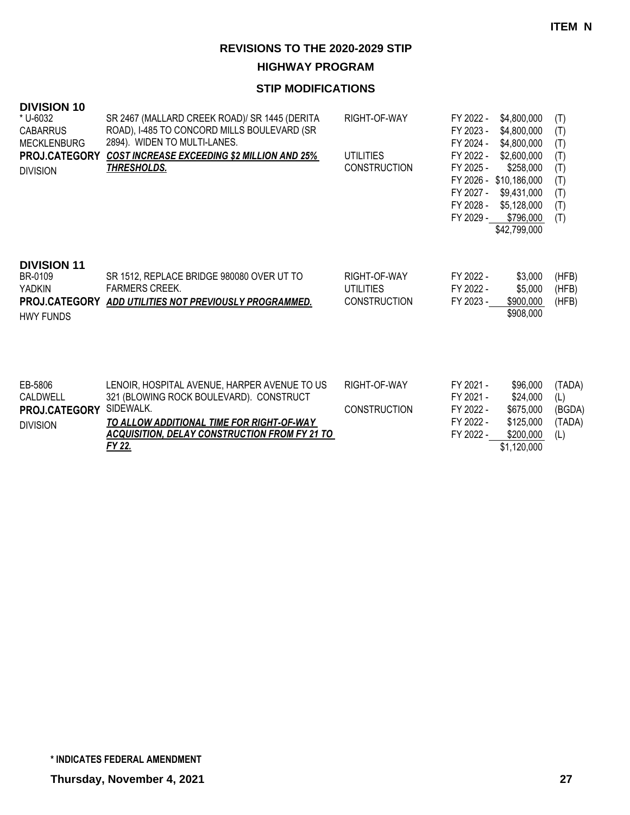**HIGHWAY PROGRAM**

| <b>DIVISION 10</b><br>* U-6032<br><b>CABARRUS</b><br><b>MECKLENBURG</b><br><b>PROJ.CATEGORY</b><br><b>DIVISION</b> | SR 2467 (MALLARD CREEK ROAD)/ SR 1445 (DERITA<br>ROAD), I-485 TO CONCORD MILLS BOULEVARD (SR<br>2894). WIDEN TO MULTI-LANES.<br><b>COST INCREASE EXCEEDING \$2 MILLION AND 25%</b><br><b>THRESHOLDS.</b>            | RIGHT-OF-WAY<br><b>UTILITIES</b><br><b>CONSTRUCTION</b> | FY 2022 -<br>FY 2023 -<br>FY 2024 -<br>FY 2022 -<br>FY 2025 -<br>FY 2027 -<br>FY 2028 -<br>FY 2029 - | \$4,800,000<br>\$4,800,000<br>\$4,800,000<br>\$2,600,000<br>\$258,000<br>FY 2026 - \$10,186,000<br>\$9,431,000<br>\$5,128,000<br>\$796,000<br>\$42,799,000 | (T)<br>(T)<br>(T)<br>(T)<br>(T)<br>(T)<br>(T)<br>(T)<br>(T) |
|--------------------------------------------------------------------------------------------------------------------|---------------------------------------------------------------------------------------------------------------------------------------------------------------------------------------------------------------------|---------------------------------------------------------|------------------------------------------------------------------------------------------------------|------------------------------------------------------------------------------------------------------------------------------------------------------------|-------------------------------------------------------------|
| <b>DIVISION 11</b><br>BR-0109<br><b>YADKIN</b><br><b>PROJ.CATEGORY</b><br><b>HWY FUNDS</b>                         | SR 1512, REPLACE BRIDGE 980080 OVER UT TO<br><b>FARMERS CREEK.</b><br>ADD UTILITIES NOT PREVIOUSLY PROGRAMMED.                                                                                                      | RIGHT-OF-WAY<br><b>UTILITIES</b><br><b>CONSTRUCTION</b> | FY 2022 -<br>FY 2022 -<br>FY 2023 -                                                                  | \$3,000<br>\$5,000<br>\$900,000<br>\$908,000                                                                                                               | (HFB)<br>(HFB)<br>(HFB)                                     |
| EB-5806<br>CALDWELL<br><b>PROJ.CATEGORY</b><br><b>DIVISION</b>                                                     | LENOIR, HOSPITAL AVENUE, HARPER AVENUE TO US<br>321 (BLOWING ROCK BOULEVARD). CONSTRUCT<br>SIDEWALK.<br>TO ALLOW ADDITIONAL TIME FOR RIGHT-OF-WAY<br><b>ACQUISITION, DELAY CONSTRUCTION FROM FY 21 TO</b><br>FY 22. | RIGHT-OF-WAY<br><b>CONSTRUCTION</b>                     | FY 2021 -<br>FY 2021 -<br>FY 2022 -<br>FY 2022 -<br>FY 2022 -                                        | \$96,000<br>\$24,000<br>\$675,000<br>\$125,000<br>\$200,000<br>\$1,120,000                                                                                 | (TADA)<br>(L)<br>(BGDA)<br>(TADA)<br>(L)                    |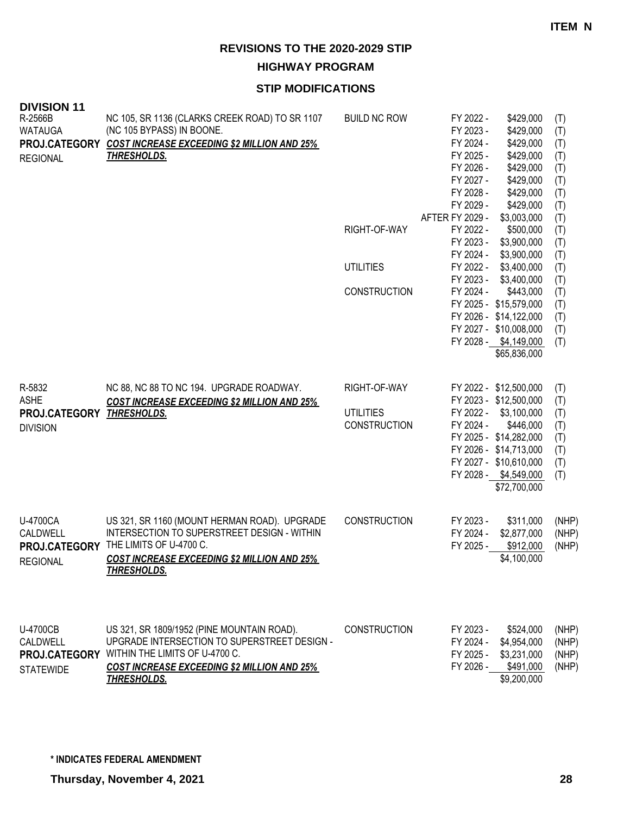**HIGHWAY PROGRAM**

| <b>DIVISION 11</b><br>R-2566B<br><b>WATAUGA</b><br>PROJ.CATEGORY<br><b>REGIONAL</b> | NC 105, SR 1136 (CLARKS CREEK ROAD) TO SR 1107<br>(NC 105 BYPASS) IN BOONE.<br><b>COST INCREASE EXCEEDING \$2 MILLION AND 25%</b><br><u>THRESHOLDS.</u>                                                  | <b>BUILD NC ROW</b><br>RIGHT-OF-WAY<br><b>UTILITIES</b><br><b>CONSTRUCTION</b> | FY 2022 -<br>\$429,000<br>FY 2023 -<br>\$429,000<br>FY 2024 -<br>\$429,000<br>FY 2025 -<br>\$429,000<br>FY 2026 -<br>\$429,000<br>FY 2027 -<br>\$429,000<br>FY 2028 -<br>\$429,000<br>FY 2029 -<br>\$429,000<br>AFTER FY 2029 -<br>\$3,003,000<br>FY 2022 -<br>\$500,000<br>FY 2023 -<br>\$3,900,000<br>FY 2024 -<br>\$3,900,000<br>FY 2022 -<br>\$3,400,000<br>FY 2023 -<br>\$3,400,000<br>FY 2024 -<br>\$443,000<br>FY 2025 - \$15,579,000<br>FY 2026 - \$14,122,000<br>FY 2027 - \$10,008,000<br>FY 2028 - \$4,149,000<br>\$65,836,000 | (T)<br>(T)<br>(T)<br>(T)<br>(T)<br>(T)<br>(T)<br>(T)<br>(T)<br>(T)<br>(T)<br>(T)<br>(T)<br>(T)<br>(T)<br>(T)<br>(T)<br>(T)<br>(T) |
|-------------------------------------------------------------------------------------|----------------------------------------------------------------------------------------------------------------------------------------------------------------------------------------------------------|--------------------------------------------------------------------------------|-------------------------------------------------------------------------------------------------------------------------------------------------------------------------------------------------------------------------------------------------------------------------------------------------------------------------------------------------------------------------------------------------------------------------------------------------------------------------------------------------------------------------------------------|-----------------------------------------------------------------------------------------------------------------------------------|
| R-5832<br><b>ASHE</b><br>PROJ.CATEGORY THRESHOLDS.<br><b>DIVISION</b>               | NC 88, NC 88 TO NC 194. UPGRADE ROADWAY.<br><b>COST INCREASE EXCEEDING \$2 MILLION AND 25%</b>                                                                                                           | RIGHT-OF-WAY<br><b>UTILITIES</b><br><b>CONSTRUCTION</b>                        | FY 2022 - \$12,500,000<br>FY 2023 - \$12,500,000<br>FY 2022 - \$3,100,000<br>FY 2024 -<br>\$446,000<br>FY 2025 - \$14,282,000<br>FY 2026 - \$14,713,000<br>FY 2027 - \$10,610,000<br>FY 2028 - \$4,549,000<br>\$72,700,000                                                                                                                                                                                                                                                                                                                | (T)<br>(T)<br>(T)<br>(T)<br>(T)<br>(T)<br>(T)<br>(T)                                                                              |
| U-4700CA<br><b>CALDWELL</b><br>PROJ.CATEGORY<br><b>REGIONAL</b>                     | US 321, SR 1160 (MOUNT HERMAN ROAD). UPGRADE<br>INTERSECTION TO SUPERSTREET DESIGN - WITHIN<br>THE LIMITS OF U-4700 C.<br><b>COST INCREASE EXCEEDING \$2 MILLION AND 25%</b><br><b>THRESHOLDS.</b>       | <b>CONSTRUCTION</b>                                                            | FY 2023 -<br>\$311,000<br>FY 2024 -<br>\$2,877,000<br>FY 2025 -<br>\$912,000<br>\$4,100,000                                                                                                                                                                                                                                                                                                                                                                                                                                               | (NHP)<br>(NHP)<br>(NHP)                                                                                                           |
| <b>U-4700CB</b><br>CALDWELL<br>PROJ.CATEGORY<br><b>STATEWIDE</b>                    | US 321, SR 1809/1952 (PINE MOUNTAIN ROAD).<br>UPGRADE INTERSECTION TO SUPERSTREET DESIGN -<br>WITHIN THE LIMITS OF U-4700 C.<br><b>COST INCREASE EXCEEDING \$2 MILLION AND 25%</b><br><b>THRESHOLDS.</b> | <b>CONSTRUCTION</b>                                                            | FY 2023 -<br>\$524,000<br>FY 2024 -<br>\$4,954,000<br>FY 2025 -<br>\$3,231,000<br>FY 2026 - \$491,000<br>\$9,200,000                                                                                                                                                                                                                                                                                                                                                                                                                      | (NHP)<br>(NHP)<br>(NHP)<br>(NHP)                                                                                                  |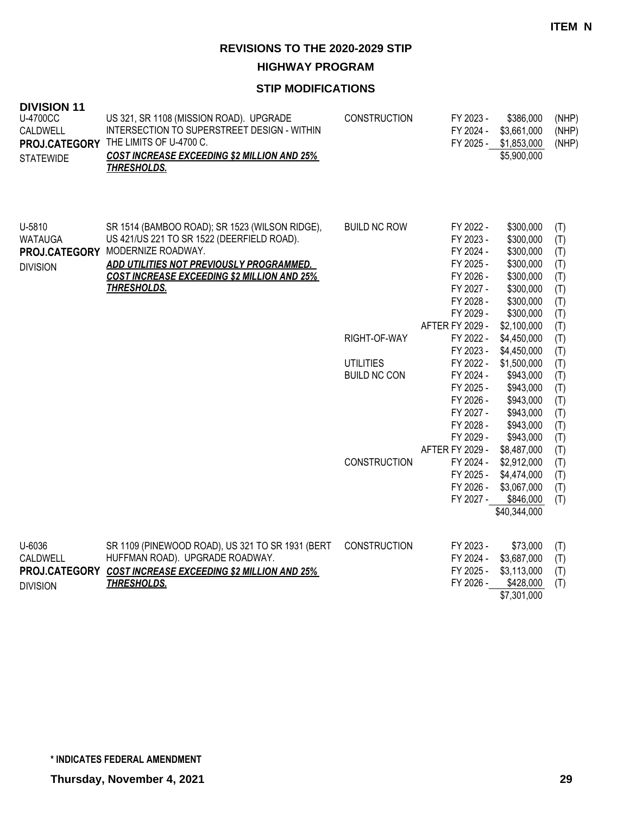**HIGHWAY PROGRAM**

| <b>DIVISION 11</b><br><b>U-4700CC</b><br>CALDWELL<br>PROJ.CATEGORY<br><b>STATEWIDE</b> | US 321, SR 1108 (MISSION ROAD). UPGRADE<br>INTERSECTION TO SUPERSTREET DESIGN - WITHIN<br>THE LIMITS OF U-4700 C.<br><b>COST INCREASE EXCEEDING \$2 MILLION AND 25%</b><br><b>THRESHOLDS.</b>                                                            | <b>CONSTRUCTION</b> | FY 2023 -<br>FY 2024 -<br>FY 2025 -                                                                  | \$386,000<br>\$3,661,000<br>\$1,853,000<br>\$5,900,000                                               | (NHP)<br>(NHP)<br>(NHP)                              |
|----------------------------------------------------------------------------------------|----------------------------------------------------------------------------------------------------------------------------------------------------------------------------------------------------------------------------------------------------------|---------------------|------------------------------------------------------------------------------------------------------|------------------------------------------------------------------------------------------------------|------------------------------------------------------|
| U-5810<br><b>WATAUGA</b><br><b>DIVISION</b>                                            | SR 1514 (BAMBOO ROAD); SR 1523 (WILSON RIDGE),<br>US 421/US 221 TO SR 1522 (DEERFIELD ROAD).<br>PROJ.CATEGORY MODERNIZE ROADWAY.<br>ADD UTILITIES NOT PREVIOUSLY PROGRAMMED.<br><b>COST INCREASE EXCEEDING \$2 MILLION AND 25%</b><br><b>THRESHOLDS.</b> | <b>BUILD NC ROW</b> | FY 2022 -<br>FY 2023 -<br>FY 2024 -<br>FY 2025 -<br>FY 2026 -<br>FY 2027 -<br>FY 2028 -<br>FY 2029 - | \$300,000<br>\$300,000<br>\$300,000<br>\$300,000<br>\$300,000<br>\$300,000<br>\$300,000<br>\$300,000 | (T)<br>(T)<br>(T)<br>(T)<br>(T)<br>(T)<br>(T)<br>(T) |
|                                                                                        |                                                                                                                                                                                                                                                          | RIGHT-OF-WAY        | AFTER FY 2029 -<br>FY 2022 -                                                                         | \$2,100,000<br>\$4,450,000                                                                           | (T)<br>(T)                                           |
|                                                                                        |                                                                                                                                                                                                                                                          |                     | FY 2023 -                                                                                            | \$4,450,000                                                                                          | (T)                                                  |
|                                                                                        |                                                                                                                                                                                                                                                          | <b>UTILITIES</b>    | FY 2022 -                                                                                            | \$1,500,000                                                                                          | (T)                                                  |
|                                                                                        |                                                                                                                                                                                                                                                          | <b>BUILD NC CON</b> | FY 2024 -                                                                                            | \$943,000                                                                                            | (T)                                                  |
|                                                                                        |                                                                                                                                                                                                                                                          |                     | FY 2025 -                                                                                            | \$943,000                                                                                            | (T)                                                  |
|                                                                                        |                                                                                                                                                                                                                                                          |                     | FY 2026 -                                                                                            | \$943,000                                                                                            | (T)                                                  |
|                                                                                        |                                                                                                                                                                                                                                                          |                     | FY 2027 -                                                                                            | \$943,000                                                                                            | (T)                                                  |
|                                                                                        |                                                                                                                                                                                                                                                          |                     | FY 2028 -                                                                                            | \$943,000                                                                                            | (T)                                                  |
|                                                                                        |                                                                                                                                                                                                                                                          |                     | FY 2029 -                                                                                            | \$943,000                                                                                            | (T)                                                  |
|                                                                                        |                                                                                                                                                                                                                                                          |                     | AFTER FY 2029 -                                                                                      | \$8,487,000                                                                                          | (T)                                                  |
|                                                                                        |                                                                                                                                                                                                                                                          | <b>CONSTRUCTION</b> | FY 2024 -                                                                                            | \$2,912,000                                                                                          | (T)                                                  |
|                                                                                        |                                                                                                                                                                                                                                                          |                     | FY 2025 -<br>FY 2026 -                                                                               | \$4,474,000<br>\$3,067,000                                                                           | (T)                                                  |
|                                                                                        |                                                                                                                                                                                                                                                          |                     | FY 2027 -                                                                                            | \$846,000                                                                                            | (T)<br>(T)                                           |
|                                                                                        |                                                                                                                                                                                                                                                          |                     |                                                                                                      | \$40,344,000                                                                                         |                                                      |
|                                                                                        |                                                                                                                                                                                                                                                          |                     |                                                                                                      |                                                                                                      |                                                      |
| U-6036<br>CALDWELL                                                                     | SR 1109 (PINEWOOD ROAD), US 321 TO SR 1931 (BERT<br>HUFFMAN ROAD). UPGRADE ROADWAY.                                                                                                                                                                      | <b>CONSTRUCTION</b> | FY 2023 -<br>FY 2024 -                                                                               | \$73,000<br>\$3,687,000                                                                              | (T)<br>(T)                                           |
| PROJ.CATEGORY<br><b>DIVISION</b>                                                       | <b>COST INCREASE EXCEEDING \$2 MILLION AND 25%</b><br><b>THRESHOLDS.</b>                                                                                                                                                                                 |                     | FY 2025 -<br>FY 2026 -                                                                               | \$3,113,000<br>\$428,000<br>\$7,301,000                                                              | (T)<br>(T)                                           |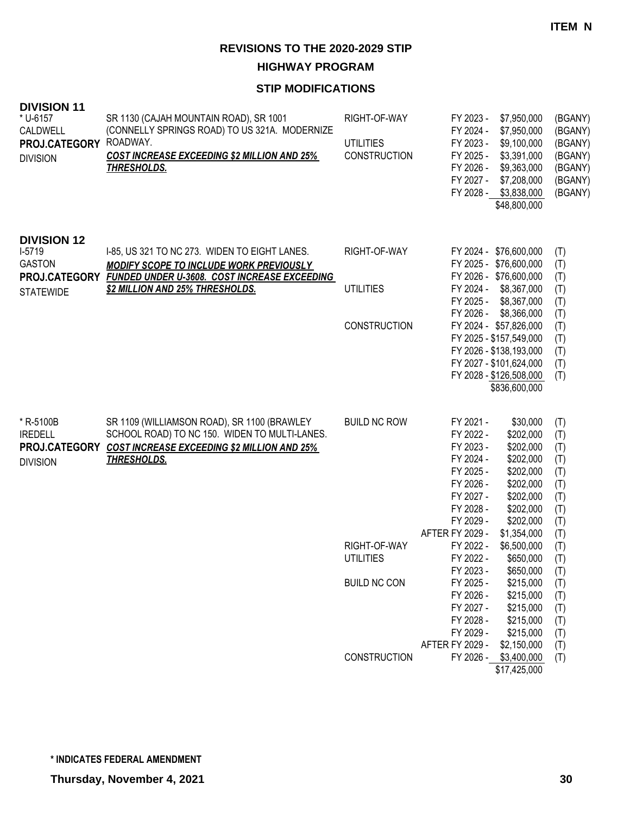**HIGHWAY PROGRAM**

| <b>DIVISION 11</b><br>* U-6157<br>CALDWELL<br>PROJ.CATEGORY<br><b>DIVISION</b> | SR 1130 (CAJAH MOUNTAIN ROAD), SR 1001<br>(CONNELLY SPRINGS ROAD) TO US 321A. MODERNIZE<br>ROADWAY.<br><b>COST INCREASE EXCEEDING \$2 MILLION AND 25%</b><br><b>THRESHOLDS.</b> | RIGHT-OF-WAY<br><b>UTILITIES</b><br>CONSTRUCTION | FY 2023 -<br>\$7,950,000<br>FY 2024 -<br>\$7,950,000<br>FY 2023 -<br>\$9,100,000<br>FY 2025 -<br>\$3,391,000<br>FY 2026 -<br>\$9,363,000<br>FY 2027 -<br>\$7,208,000<br>FY 2028 -<br>\$3,838,000<br>\$48,800,000                                                        | (BGANY)<br>(BGANY)<br>(BGANY)<br>(BGANY)<br>(BGANY)<br>(BGANY)<br>(BGANY) |
|--------------------------------------------------------------------------------|---------------------------------------------------------------------------------------------------------------------------------------------------------------------------------|--------------------------------------------------|-------------------------------------------------------------------------------------------------------------------------------------------------------------------------------------------------------------------------------------------------------------------------|---------------------------------------------------------------------------|
| <b>DIVISION 12</b><br>$I-5719$<br><b>GASTON</b>                                | I-85, US 321 TO NC 273. WIDEN TO EIGHT LANES.<br><b>MODIFY SCOPE TO INCLUDE WORK PREVIOUSLY</b>                                                                                 | RIGHT-OF-WAY                                     | FY 2024 - \$76,600,000<br>FY 2025 - \$76,600,000                                                                                                                                                                                                                        | (T)<br>(T)                                                                |
| PROJ.CATEGORY<br><b>STATEWIDE</b>                                              | FUNDED UNDER U-3608. COST INCREASE EXCEEDING<br><b>\$2 MILLION AND 25% THRESHOLDS.</b>                                                                                          | UTILITIES                                        | FY 2026 - \$76,600,000<br>FY 2024 -<br>\$8,367,000<br>FY 2025 -<br>\$8,367,000<br>FY 2026 -<br>\$8,366,000                                                                                                                                                              | (T)<br>(T)<br>(T)<br>(T)                                                  |
|                                                                                |                                                                                                                                                                                 | <b>CONSTRUCTION</b>                              | FY 2024 - \$57,826,000<br>FY 2025 - \$157,549,000<br>FY 2026 - \$138,193,000<br>FY 2027 - \$101,624,000<br>FY 2028 - \$126,508,000<br>\$836,600,000                                                                                                                     | (T)<br>(T)<br>(T)<br>(T)<br>(T)                                           |
| * R-5100B<br><b>IREDELL</b><br>PROJ.CATEGORY<br><b>DIVISION</b>                | SR 1109 (WILLIAMSON ROAD), SR 1100 (BRAWLEY<br>SCHOOL ROAD) TO NC 150. WIDEN TO MULTI-LANES.<br><b>COST INCREASE EXCEEDING \$2 MILLION AND 25%</b><br><b>THRESHOLDS.</b>        | <b>BUILD NC ROW</b>                              | \$30,000<br>FY 2021 -<br>\$202,000<br>FY 2022 -<br>\$202,000<br>FY 2023 -<br>\$202,000<br>FY 2024 -<br>\$202,000<br>FY 2025 -<br>FY 2026 -<br>\$202,000<br>FY 2027 -<br>\$202,000<br>FY 2028 -<br>\$202,000<br>\$202,000<br>FY 2029 -<br>AFTER FY 2029 -<br>\$1,354,000 | (T)<br>(T)<br>(T)<br>(T)<br>(T)<br>(T)<br>(T)<br>(T)<br>(T)<br>(T)        |
|                                                                                |                                                                                                                                                                                 | RIGHT-OF-WAY<br><b>UTILITIES</b>                 | FY 2022 -<br>\$6,500,000<br>FY 2022 -<br>\$650,000<br>FY 2023 -                                                                                                                                                                                                         | (T)<br>(T)                                                                |
|                                                                                |                                                                                                                                                                                 | <b>BUILD NC CON</b>                              | \$650,000<br>FY 2025 -<br>\$215,000<br>FY 2026 -<br>\$215,000<br>FY 2027 -<br>\$215,000<br>FY 2028 -<br>\$215,000<br>FY 2029 -<br>\$215,000<br>AFTER FY 2029 -<br>\$2,150,000                                                                                           | (T)<br>(T)<br>(T)<br>(T)<br>(T)<br>(T)<br>(T)                             |
|                                                                                |                                                                                                                                                                                 | <b>CONSTRUCTION</b>                              | FY 2026 - \$3,400,000<br>\$17,425,000                                                                                                                                                                                                                                   | (T)                                                                       |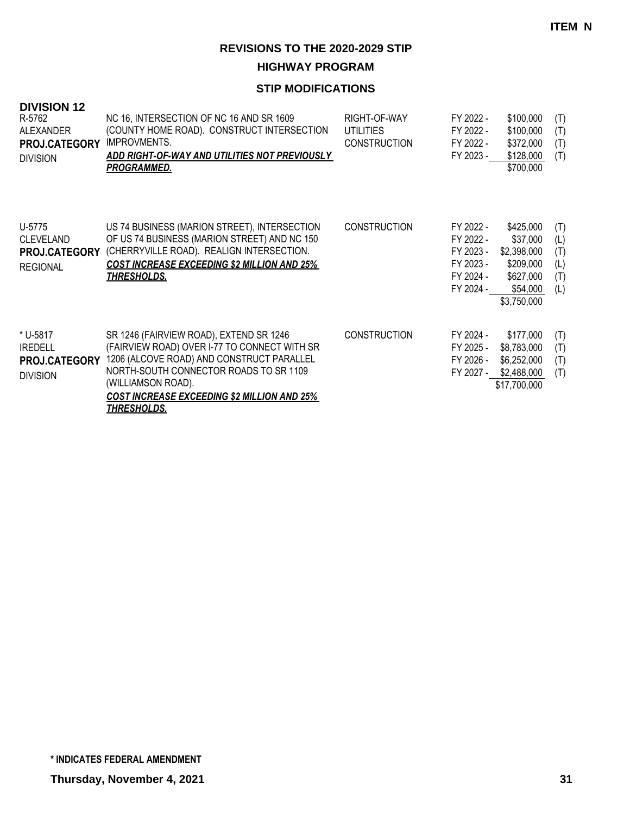**HIGHWAY PROGRAM**

| <b>DIVISION 12</b><br>R-5762<br><b>ALEXANDER</b><br>PROJ.CATEGORY<br><b>DIVISION</b> | NC 16, INTERSECTION OF NC 16 AND SR 1609<br>(COUNTY HOME ROAD). CONSTRUCT INTERSECTION<br><b>IMPROVMENTS.</b><br>ADD RIGHT-OF-WAY AND UTILITIES NOT PREVIOUSLY<br><b>PROGRAMMED.</b>                                                                                      | RIGHT-OF-WAY<br>UTILITIES<br><b>CONSTRUCTION</b> | FY 2022 -<br>FY 2022 -<br>FY 2022 -<br>FY 2023 -                           | \$100,000<br>\$100,000<br>\$372,000<br>\$128,000<br>\$700,000                             | (T)<br>(T)<br>(T)<br>(T)               |
|--------------------------------------------------------------------------------------|---------------------------------------------------------------------------------------------------------------------------------------------------------------------------------------------------------------------------------------------------------------------------|--------------------------------------------------|----------------------------------------------------------------------------|-------------------------------------------------------------------------------------------|----------------------------------------|
| U-5775<br><b>CLEVELAND</b><br><b>PROJ.CATEGORY</b><br><b>REGIONAL</b>                | US 74 BUSINESS (MARION STREET), INTERSECTION<br>OF US 74 BUSINESS (MARION STREET) AND NC 150<br>(CHERRYVILLE ROAD). REALIGN INTERSECTION.<br><b>COST INCREASE EXCEEDING \$2 MILLION AND 25%</b><br><u>THRESHOLDS.</u>                                                     | <b>CONSTRUCTION</b>                              | FY 2022 -<br>FY 2022 -<br>FY 2023 -<br>FY 2023 -<br>FY 2024 -<br>FY 2024 - | \$425,000<br>\$37,000<br>\$2,398,000<br>\$209,000<br>\$627,000<br>\$54,000<br>\$3,750,000 | (T)<br>(L)<br>(T)<br>(L)<br>(T)<br>(L) |
| * U-5817<br><b>IREDELL</b><br><b>PROJ.CATEGORY</b><br><b>DIVISION</b>                | SR 1246 (FAIRVIEW ROAD), EXTEND SR 1246<br>(FAIRVIEW ROAD) OVER I-77 TO CONNECT WITH SR<br>1206 (ALCOVE ROAD) AND CONSTRUCT PARALLEL<br>NORTH-SOUTH CONNECTOR ROADS TO SR 1109<br>(WILLIAMSON ROAD).<br>COST INCREASE EXCEEDING \$2 MILLION AND 25%<br><b>THRESHOLDS.</b> | <b>CONSTRUCTION</b>                              | FY 2024 -<br>FY 2025 -<br>FY 2026 -<br>FY 2027 -                           | \$177,000<br>\$8,783,000<br>\$6,252,000<br>\$2,488,000<br>\$17,700,000                    | (T)<br>(T)<br>(T)<br>(T)               |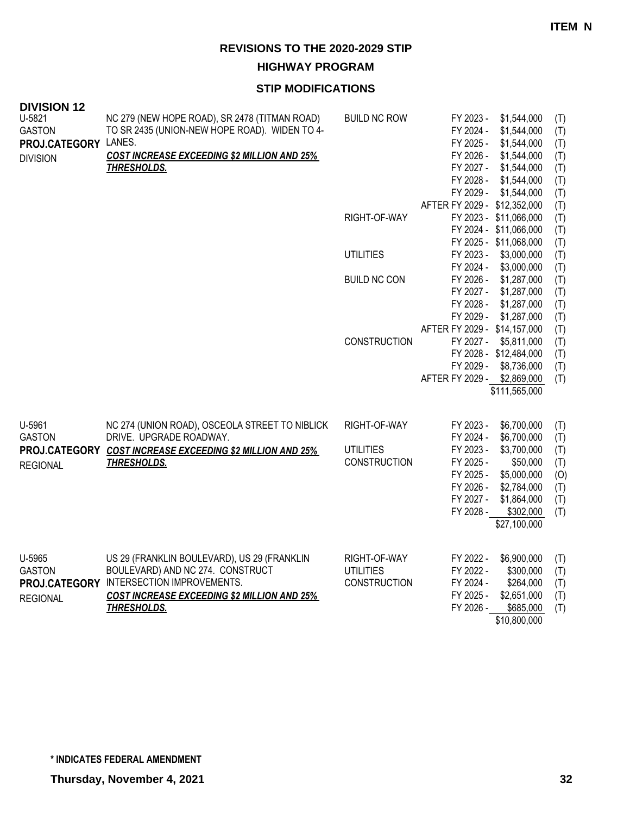**HIGHWAY PROGRAM**

| <b>DIVISION 12</b> |                                                           |                     |                              |                        |     |
|--------------------|-----------------------------------------------------------|---------------------|------------------------------|------------------------|-----|
| U-5821             | NC 279 (NEW HOPE ROAD), SR 2478 (TITMAN ROAD)             | <b>BUILD NC ROW</b> | FY 2023 -                    | \$1,544,000            | (T) |
| <b>GASTON</b>      | TO SR 2435 (UNION-NEW HOPE ROAD). WIDEN TO 4-             |                     | FY 2024 -                    | \$1,544,000            | (T) |
| PROJ.CATEGORY      | LANES.                                                    |                     | FY 2025 -                    | \$1,544,000            | (T) |
| <b>DIVISION</b>    | <b>COST INCREASE EXCEEDING \$2 MILLION AND 25%</b>        |                     | FY 2026 -                    | \$1,544,000            | (T) |
|                    | <b>THRESHOLDS.</b>                                        |                     | FY 2027 -                    | \$1,544,000            | (T) |
|                    |                                                           |                     | FY 2028 -                    | \$1,544,000            | (T) |
|                    |                                                           |                     | FY 2029 -                    | \$1,544,000            | (T) |
|                    |                                                           |                     | AFTER FY 2029 - \$12,352,000 |                        | (T) |
|                    |                                                           | RIGHT-OF-WAY        |                              | FY 2023 - \$11,066,000 | (T) |
|                    |                                                           |                     |                              | FY 2024 - \$11,066,000 | (T) |
|                    |                                                           |                     |                              | FY 2025 - \$11,068,000 | (T) |
|                    |                                                           | <b>UTILITIES</b>    | FY 2023 -                    | \$3,000,000            | (T) |
|                    |                                                           |                     | FY 2024 -                    | \$3,000,000            | (T) |
|                    |                                                           | <b>BUILD NC CON</b> | FY 2026 -                    | \$1,287,000            | (T) |
|                    |                                                           |                     | FY 2027 -                    | \$1,287,000            | (T) |
|                    |                                                           |                     | FY 2028 -                    | \$1,287,000            | (T) |
|                    |                                                           |                     | FY 2029 -                    | \$1,287,000            | (T) |
|                    |                                                           |                     | AFTER FY 2029 - \$14,157,000 |                        | (T) |
|                    |                                                           | CONSTRUCTION        | FY 2027 -                    | \$5,811,000            | (T) |
|                    |                                                           |                     |                              | FY 2028 - \$12,484,000 | (T) |
|                    |                                                           |                     | FY 2029 -                    | \$8,736,000            | (T) |
|                    |                                                           |                     | AFTER FY 2029 -              | \$2,869,000            | (T) |
|                    |                                                           |                     |                              | \$111,565,000          |     |
|                    |                                                           |                     |                              |                        |     |
| U-5961             | NC 274 (UNION ROAD), OSCEOLA STREET TO NIBLICK            | RIGHT-OF-WAY        | FY 2023 -                    | \$6,700,000            | (T) |
| <b>GASTON</b>      | DRIVE. UPGRADE ROADWAY.                                   |                     | FY 2024 -                    | \$6,700,000            | (T) |
|                    | PROJ.CATEGORY COST INCREASE EXCEEDING \$2 MILLION AND 25% | <b>UTILITIES</b>    | FY 2023 -                    | \$3,700,000            | (T) |
| <b>REGIONAL</b>    | <b>THRESHOLDS.</b>                                        | CONSTRUCTION        | FY 2025 -                    | \$50,000               | (T) |
|                    |                                                           |                     | FY 2025 -                    | \$5,000,000            | (0) |
|                    |                                                           |                     | FY 2026 -                    | \$2,784,000            | (T) |
|                    |                                                           |                     | FY 2027 -                    | \$1,864,000            | (T) |
|                    |                                                           |                     | FY 2028 -                    | \$302,000              | (T) |
|                    |                                                           |                     |                              | \$27,100,000           |     |
|                    |                                                           |                     |                              |                        |     |
| U-5965             | US 29 (FRANKLIN BOULEVARD), US 29 (FRANKLIN               | RIGHT-OF-WAY        | FY 2022 -                    | \$6,900,000            | (T) |
| <b>GASTON</b>      | BOULEVARD) AND NC 274. CONSTRUCT                          | <b>UTILITIES</b>    | FY 2022 -                    | \$300,000              | (T) |
|                    | PROJ.CATEGORY INTERSECTION IMPROVEMENTS.                  | <b>CONSTRUCTION</b> | FY 2024 -                    | \$264,000              | (T) |
| <b>REGIONAL</b>    | <b>COST INCREASE EXCEEDING \$2 MILLION AND 25%</b>        |                     | FY 2025 -                    | \$2,651,000            | (T) |
|                    | <b>THRESHOLDS.</b>                                        |                     | FY 2026 -                    | \$685,000              | (T) |
|                    |                                                           |                     |                              | \$10,800,000           |     |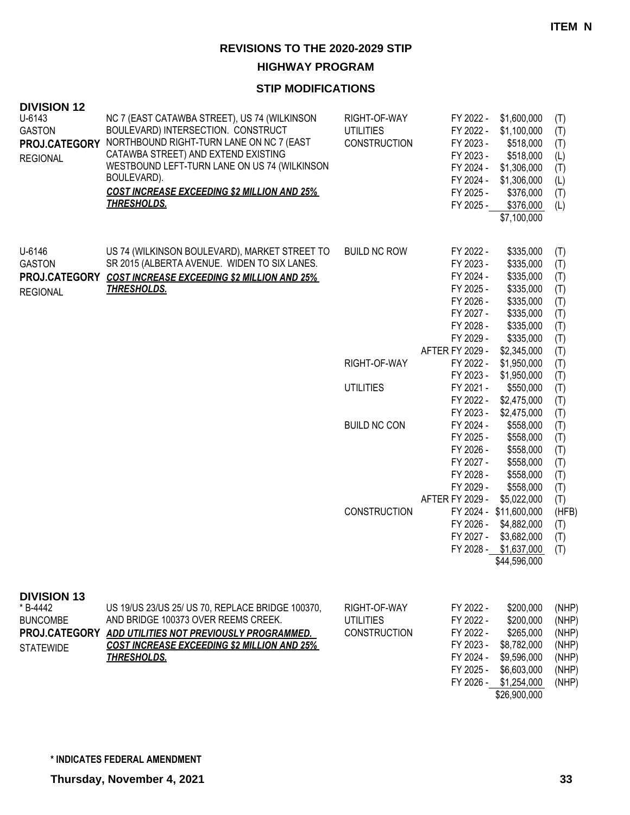**HIGHWAY PROGRAM**

| <b>DIVISION 12</b><br>$U - 6143$<br><b>GASTON</b><br>PROJ.CATEGORY<br><b>REGIONAL</b>  | NC 7 (EAST CATAWBA STREET), US 74 (WILKINSON<br>BOULEVARD) INTERSECTION. CONSTRUCT<br>NORTHBOUND RIGHT-TURN LANE ON NC 7 (EAST<br>CATAWBA STREET) AND EXTEND EXISTING<br>WESTBOUND LEFT-TURN LANE ON US 74 (WILKINSON<br>BOULEVARD).<br><b>COST INCREASE EXCEEDING \$2 MILLION AND 25%</b><br><b>THRESHOLDS.</b> | RIGHT-OF-WAY<br><b>UTILITIES</b><br><b>CONSTRUCTION</b> | FY 2022 -<br>FY 2022 -<br>FY 2023 -<br>FY 2023 -<br>FY 2024 -<br>FY 2024 -<br>FY 2025 -<br>FY 2025 -                    | \$1,600,000<br>\$1,100,000<br>\$518,000<br>\$518,000<br>\$1,306,000<br>\$1,306,000<br>\$376,000<br>\$376,000<br>\$7,100,000 | (T)<br>(T)<br>(T)<br>(L)<br>(T)<br>(L)<br>(T)<br>(L)        |
|----------------------------------------------------------------------------------------|------------------------------------------------------------------------------------------------------------------------------------------------------------------------------------------------------------------------------------------------------------------------------------------------------------------|---------------------------------------------------------|-------------------------------------------------------------------------------------------------------------------------|-----------------------------------------------------------------------------------------------------------------------------|-------------------------------------------------------------|
| U-6146<br><b>GASTON</b><br>PROJ.CATEGORY<br><b>REGIONAL</b>                            | US 74 (WILKINSON BOULEVARD), MARKET STREET TO<br>SR 2015 (ALBERTA AVENUE. WIDEN TO SIX LANES.<br><b>COST INCREASE EXCEEDING \$2 MILLION AND 25%</b><br><u>THRESHOLDS.</u>                                                                                                                                        | <b>BUILD NC ROW</b>                                     | FY 2022 -<br>FY 2023 -<br>FY 2024 -<br>FY 2025 -<br>FY 2026 -<br>FY 2027 -<br>FY 2028 -<br>FY 2029 -<br>AFTER FY 2029 - | \$335,000<br>\$335,000<br>\$335,000<br>\$335,000<br>\$335,000<br>\$335,000<br>\$335,000<br>\$335,000<br>\$2,345,000         | (T)<br>(T)<br>(T)<br>(T)<br>(T)<br>(T)<br>(T)<br>(T)        |
|                                                                                        |                                                                                                                                                                                                                                                                                                                  | RIGHT-OF-WAY                                            | FY 2022 -<br>FY 2023 -                                                                                                  | \$1,950,000<br>\$1,950,000                                                                                                  | (T)<br>(T)                                                  |
|                                                                                        |                                                                                                                                                                                                                                                                                                                  | <b>UTILITIES</b>                                        | FY 2021 -<br>FY 2022 -                                                                                                  | \$550,000<br>\$2,475,000                                                                                                    | (T)<br>(T)<br>(T)                                           |
|                                                                                        |                                                                                                                                                                                                                                                                                                                  | <b>BUILD NC CON</b>                                     | FY 2023 -<br>FY 2024 -<br>FY 2025 -<br>FY 2026 -<br>FY 2027 -<br>FY 2028 -                                              | \$2,475,000<br>\$558,000<br>\$558,000<br>\$558,000<br>\$558,000<br>\$558,000                                                | (T)<br>(T)<br>(T)<br>(T)<br>(T)<br>(T)                      |
|                                                                                        |                                                                                                                                                                                                                                                                                                                  | <b>CONSTRUCTION</b>                                     | FY 2029 -<br>AFTER FY 2029 -<br>FY 2026 -<br>FY 2027 -                                                                  | \$558,000<br>\$5,022,000<br>FY 2024 - \$11,600,000<br>\$4,882,000<br>\$3,682,000<br>FY 2028 - \$1,637,000<br>\$44,596,000   | (T)<br>(T)<br>(HFB)<br>(T)<br>(T)<br>(T)                    |
| <b>DIVISION 13</b><br>* B-4442<br><b>BUNCOMBE</b><br>PROJ.CATEGORY<br><b>STATEWIDE</b> | US 19/US 23/US 25/ US 70, REPLACE BRIDGE 100370,<br>AND BRIDGE 100373 OVER REEMS CREEK.<br>ADD UTILITIES NOT PREVIOUSLY PROGRAMMED.<br><b>COST INCREASE EXCEEDING \$2 MILLION AND 25%</b><br><b>THRESHOLDS.</b>                                                                                                  | RIGHT-OF-WAY<br><b>UTILITIES</b><br><b>CONSTRUCTION</b> | FY 2022 -<br>FY 2022 -<br>FY 2022 -<br>FY 2023 -<br>FY 2024 -<br>FY 2025 -                                              | \$200,000<br>\$200,000<br>\$265,000<br>\$8,782,000<br>\$9,596,000<br>\$6,603,000<br>FY 2026 - \$1,254,000<br>\$26,900,000   | (NHP)<br>(NHP)<br>(NHP)<br>(NHP)<br>(NHP)<br>(NHP)<br>(NHP) |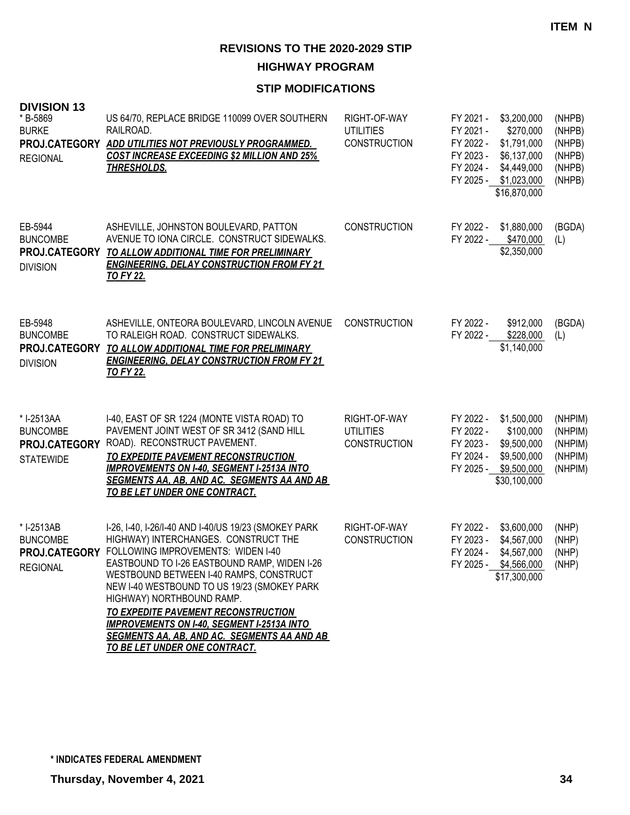**HIGHWAY PROGRAM**

| <b>DIVISION 13</b><br>* B-5869<br><b>BURKE</b><br>PROJ.CATEGORY<br><b>REGIONAL</b> | US 64/70, REPLACE BRIDGE 110099 OVER SOUTHERN<br>RAILROAD.<br>ADD UTILITIES NOT PREVIOUSLY PROGRAMMED.<br><b>COST INCREASE EXCEEDING \$2 MILLION AND 25%</b><br><b>THRESHOLDS.</b>                                                                                                                                                                                                                                                                                                            | RIGHT-OF-WAY<br><b>UTILITIES</b><br><b>CONSTRUCTION</b> | FY 2021 -<br>FY 2021 -<br>FY 2022 -<br>FY 2023 -<br>FY 2024 -<br>FY 2025 - | \$3,200,000<br>\$270,000<br>\$1,791,000<br>\$6,137,000<br>\$4,449,000<br>\$1,023,000<br>\$16,870,000 | (NHPB)<br>(NHPB)<br>(NHPB)<br>(NHPB)<br>(NHPB)<br>(NHPB) |
|------------------------------------------------------------------------------------|-----------------------------------------------------------------------------------------------------------------------------------------------------------------------------------------------------------------------------------------------------------------------------------------------------------------------------------------------------------------------------------------------------------------------------------------------------------------------------------------------|---------------------------------------------------------|----------------------------------------------------------------------------|------------------------------------------------------------------------------------------------------|----------------------------------------------------------|
| EB-5944<br><b>BUNCOMBE</b><br>PROJ.CATEGORY<br><b>DIVISION</b>                     | ASHEVILLE, JOHNSTON BOULEVARD, PATTON<br>AVENUE TO IONA CIRCLE. CONSTRUCT SIDEWALKS.<br>TO ALLOW ADDITIONAL TIME FOR PRELIMINARY<br><b>ENGINEERING, DELAY CONSTRUCTION FROM FY 21</b><br><b>TO FY 22.</b>                                                                                                                                                                                                                                                                                     | <b>CONSTRUCTION</b>                                     | FY 2022 -<br>FY 2022 -                                                     | \$1,880,000<br>\$470,000<br>\$2,350,000                                                              | (BGDA)<br>(L)                                            |
| EB-5948<br><b>BUNCOMBE</b><br>PROJ.CATEGORY<br><b>DIVISION</b>                     | ASHEVILLE, ONTEORA BOULEVARD, LINCOLN AVENUE<br>TO RALEIGH ROAD. CONSTRUCT SIDEWALKS.<br>TO ALLOW ADDITIONAL TIME FOR PRELIMINARY<br><b>ENGINEERING, DELAY CONSTRUCTION FROM FY 21</b><br><b>TO FY 22.</b>                                                                                                                                                                                                                                                                                    | <b>CONSTRUCTION</b>                                     | FY 2022 -<br>FY 2022 -                                                     | \$912,000<br>\$228,000<br>\$1,140,000                                                                | (BGDA)<br>(L)                                            |
| * I-2513AA<br><b>BUNCOMBE</b><br>PROJ.CATEGORY<br><b>STATEWIDE</b>                 | I-40, EAST OF SR 1224 (MONTE VISTA ROAD) TO<br>PAVEMENT JOINT WEST OF SR 3412 (SAND HILL<br>ROAD). RECONSTRUCT PAVEMENT.<br>TO EXPEDITE PAVEMENT RECONSTRUCTION<br><b>IMPROVEMENTS ON I-40, SEGMENT I-2513A INTO</b><br><b>SEGMENTS AA, AB, AND AC. SEGMENTS AA AND AB</b><br><u>TO BE LET UNDER ONE CONTRACT.</u>                                                                                                                                                                            | RIGHT-OF-WAY<br><b>UTILITIES</b><br><b>CONSTRUCTION</b> | FY 2022 -<br>FY 2022 -<br>FY 2023 -<br>FY 2024 -<br>FY 2025 -              | \$1,500,000<br>\$100,000<br>\$9,500,000<br>\$9,500,000<br>\$9,500,000<br>\$30,100,000                | (NHPIM)<br>(NHPIM)<br>(NHPIM)<br>(NHPIM)<br>(NHPIM)      |
| * I-2513AB<br><b>BUNCOMBE</b><br>PROJ.CATEGORY<br><b>REGIONAL</b>                  | I-26, I-40, I-26/I-40 AND I-40/US 19/23 (SMOKEY PARK<br>HIGHWAY) INTERCHANGES. CONSTRUCT THE<br>FOLLOWING IMPROVEMENTS: WIDEN I-40<br>EASTBOUND TO I-26 EASTBOUND RAMP, WIDEN I-26<br>WESTBOUND BETWEEN I-40 RAMPS, CONSTRUCT<br>NEW I-40 WESTBOUND TO US 19/23 (SMOKEY PARK<br>HIGHWAY) NORTHBOUND RAMP.<br>TO EXPEDITE PAVEMENT RECONSTRUCTION<br><b>IMPROVEMENTS ON I-40, SEGMENT I-2513A INTO</b><br><u>SEGMENTS AA, AB, AND AC. SEGMENTS AA AND AB_</u><br>TO BE LET UNDER ONE CONTRACT. | RIGHT-OF-WAY<br><b>CONSTRUCTION</b>                     | FY 2022 -<br>FY 2023 -<br>FY 2024 -                                        | \$3,600,000<br>\$4,567,000<br>\$4,567,000<br>FY 2025 - \$4,566,000<br>\$17,300,000                   | (NHP)<br>(NHP)<br>(NHP)<br>(NHP)                         |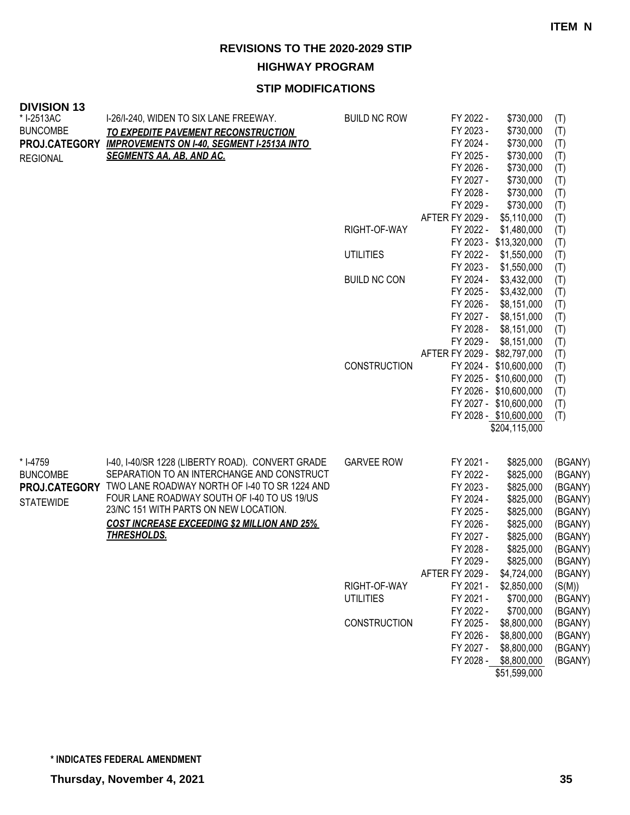**HIGHWAY PROGRAM**

| <b>DIVISION 13</b> |                                                    |                     |                                                      |                    |
|--------------------|----------------------------------------------------|---------------------|------------------------------------------------------|--------------------|
| * I-2513AC         | I-26/I-240, WIDEN TO SIX LANE FREEWAY.             | <b>BUILD NC ROW</b> | FY 2022 -<br>\$730,000                               | (T)                |
| <b>BUNCOMBE</b>    | TO EXPEDITE PAVEMENT RECONSTRUCTION                |                     | FY 2023 -<br>\$730,000                               | (T)                |
| PROJ.CATEGORY      | <b>IMPROVEMENTS ON I-40, SEGMENT I-2513A INTO</b>  |                     | FY 2024 -<br>\$730,000                               | (T)                |
| <b>REGIONAL</b>    | <b>SEGMENTS AA, AB, AND AC.</b>                    |                     | FY 2025 -<br>\$730,000                               | (T)                |
|                    |                                                    |                     | FY 2026 -<br>\$730,000                               | (T)                |
|                    |                                                    |                     | FY 2027 -<br>\$730,000<br>FY 2028 -<br>\$730,000     | (T)                |
|                    |                                                    |                     | FY 2029 -<br>\$730,000                               | (T)<br>(T)         |
|                    |                                                    |                     | AFTER FY 2029 -<br>\$5,110,000                       | (T)                |
|                    |                                                    | RIGHT-OF-WAY        | FY 2022 -<br>\$1,480,000                             | (T)                |
|                    |                                                    |                     | FY 2023 - \$13,320,000                               | (T)                |
|                    |                                                    | <b>UTILITIES</b>    | FY 2022 -<br>\$1,550,000                             | (T)                |
|                    |                                                    |                     | FY 2023 -<br>\$1,550,000                             | (T)                |
|                    |                                                    | <b>BUILD NC CON</b> | FY 2024 -<br>\$3,432,000                             | (T)                |
|                    |                                                    |                     | FY 2025 -<br>\$3,432,000                             | (T)                |
|                    |                                                    |                     | FY 2026 -<br>\$8,151,000                             | (T)                |
|                    |                                                    |                     | FY 2027 -<br>\$8,151,000                             | (T)                |
|                    |                                                    |                     | FY 2028 -<br>\$8,151,000                             | (T)                |
|                    |                                                    |                     | FY 2029 -<br>\$8,151,000                             | (T)                |
|                    |                                                    |                     | AFTER FY 2029 - \$82,797,000                         | (T)                |
|                    |                                                    | CONSTRUCTION        | FY 2024 - \$10,600,000                               | (T)                |
|                    |                                                    |                     | FY 2025 - \$10,600,000<br>FY 2026 - \$10,600,000     | (T)                |
|                    |                                                    |                     | FY 2027 - \$10,600,000                               | (T)<br>(T)         |
|                    |                                                    |                     | FY 2028 - \$10,600,000                               | (T)                |
|                    |                                                    |                     | \$204,115,000                                        |                    |
|                    |                                                    |                     |                                                      |                    |
| * I-4759           | I-40, I-40/SR 1228 (LIBERTY ROAD). CONVERT GRADE   | <b>GARVEE ROW</b>   | FY 2021 -<br>\$825,000                               | (BGANY)            |
| <b>BUNCOMBE</b>    | SEPARATION TO AN INTERCHANGE AND CONSTRUCT         |                     | \$825,000<br>FY 2022 -                               | (BGANY)            |
| PROJ.CATEGORY      | TWO LANE ROADWAY NORTH OF I-40 TO SR 1224 AND      |                     | FY 2023 -<br>\$825,000                               | (BGANY)            |
| <b>STATEWIDE</b>   | FOUR LANE ROADWAY SOUTH OF I-40 TO US 19/US        |                     | FY 2024 -<br>\$825,000                               | (BGANY)            |
|                    | 23/NC 151 WITH PARTS ON NEW LOCATION.              |                     | FY 2025 -<br>\$825,000                               | (BGANY)            |
|                    | <b>COST INCREASE EXCEEDING \$2 MILLION AND 25%</b> |                     | FY 2026 -<br>\$825,000                               | (BGANY)            |
|                    | <b>THRESHOLDS.</b>                                 |                     | FY 2027 -<br>\$825,000                               | (BGANY)            |
|                    |                                                    |                     | FY 2028 -<br>\$825,000                               | (BGANY)            |
|                    |                                                    |                     | FY 2029 -<br>\$825,000                               | (BGANY)            |
|                    |                                                    |                     | AFTER FY 2029 -<br>\$4,724,000                       | (BGANY)            |
|                    |                                                    | RIGHT-OF-WAY        | FY 2021 -<br>\$2,850,000                             | (S(M))             |
|                    |                                                    | <b>UTILITIES</b>    | FY 2021 -<br>\$700,000                               | (BGANY)            |
|                    |                                                    |                     | \$700,000<br>FY 2022 -                               | (BGANY)            |
|                    |                                                    | <b>CONSTRUCTION</b> | FY 2025 -<br>\$8,800,000                             | (BGANY)            |
|                    |                                                    |                     | FY 2026 -<br>\$8,800,000<br>FY 2027 -<br>\$8,800,000 | (BGANY)<br>(BGANY) |
|                    |                                                    |                     | FY 2028 - \$8,800,000                                | (BGANY)            |
|                    |                                                    |                     | \$51,599,000                                         |                    |
|                    |                                                    |                     |                                                      |                    |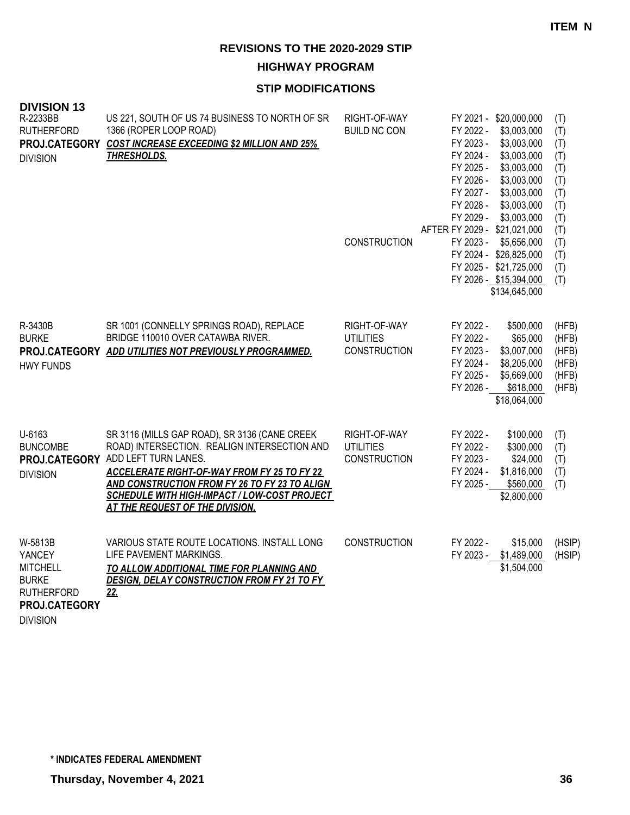**HIGHWAY PROGRAM**

#### **STIP MODIFICATIONS**

| <b>DIVISION 13</b><br>R-2233BB<br><b>RUTHERFORD</b><br>PROJ.CATEGORY<br><b>DIVISION</b>    | US 221, SOUTH OF US 74 BUSINESS TO NORTH OF SR<br>1366 (ROPER LOOP ROAD)<br><b>COST INCREASE EXCEEDING \$2 MILLION AND 25%</b><br><b>THRESHOLDS.</b>                                                                                                                                                                   | RIGHT-OF-WAY<br><b>BUILD NC CON</b><br>CONSTRUCTION     | FY 2021 - \$20,000,000<br>FY 2022 -<br>\$3,003,000<br>\$3,003,000<br>FY 2023 -<br>FY 2024 -<br>\$3,003,000<br>FY 2025 -<br>\$3,003,000<br>\$3,003,000<br>FY 2026 -<br>FY 2027 -<br>\$3,003,000<br>FY 2028 -<br>\$3,003,000<br>FY 2029 -<br>\$3,003,000<br>AFTER FY 2029 - \$21,021,000<br>FY 2023 -<br>\$5,656,000<br>FY 2024 - \$26,825,000<br>FY 2025 - \$21,725,000<br>FY 2026 - \$15,394,000<br>\$134,645,000 | (T)<br>(T)<br>(T)<br>(T)<br>(T)<br>(T)<br>(T)<br>(T)<br>(T)<br>(T)<br>(T)<br>(T)<br>(T)<br>(T) |
|--------------------------------------------------------------------------------------------|------------------------------------------------------------------------------------------------------------------------------------------------------------------------------------------------------------------------------------------------------------------------------------------------------------------------|---------------------------------------------------------|-------------------------------------------------------------------------------------------------------------------------------------------------------------------------------------------------------------------------------------------------------------------------------------------------------------------------------------------------------------------------------------------------------------------|------------------------------------------------------------------------------------------------|
| R-3430B<br><b>BURKE</b><br><b>HWY FUNDS</b>                                                | SR 1001 (CONNELLY SPRINGS ROAD), REPLACE<br>BRIDGE 110010 OVER CATAWBA RIVER.<br>PROJ.CATEGORY ADD UTILITIES NOT PREVIOUSLY PROGRAMMED.                                                                                                                                                                                | RIGHT-OF-WAY<br><b>UTILITIES</b><br>CONSTRUCTION        | FY 2022 -<br>\$500,000<br>FY 2022 -<br>\$65,000<br>FY 2023 -<br>\$3,007,000<br>FY 2024 -<br>\$8,205,000<br>FY 2025 -<br>\$5,669,000<br>FY 2026 -<br>\$618,000<br>\$18,064,000                                                                                                                                                                                                                                     | (HFB)<br>(HFB)<br>(HFB)<br>(HFB)<br>(HFB)<br>(HFB)                                             |
| U-6163<br><b>BUNCOMBE</b><br>PROJ.CATEGORY<br><b>DIVISION</b>                              | SR 3116 (MILLS GAP ROAD), SR 3136 (CANE CREEK<br>ROAD) INTERSECTION. REALIGN INTERSECTION AND<br>ADD LEFT TURN LANES.<br><b>ACCELERATE RIGHT-OF-WAY FROM FY 25 TO FY 22</b><br>AND CONSTRUCTION FROM FY 26 TO FY 23 TO ALIGN<br><b>SCHEDULE WITH HIGH-IMPACT / LOW-COST PROJECT</b><br>AT THE REQUEST OF THE DIVISION. | RIGHT-OF-WAY<br><b>UTILITIES</b><br><b>CONSTRUCTION</b> | FY 2022 -<br>\$100,000<br>\$300,000<br>FY 2022 -<br>FY 2023 -<br>\$24,000<br>FY 2024 -<br>\$1,816,000<br>FY 2025 -<br>\$560,000<br>\$2,800,000                                                                                                                                                                                                                                                                    | (T)<br>(T)<br>(T)<br>(T)<br>(T)                                                                |
| W-5813B<br>YANCEY<br><b>MITCHELL</b><br><b>BURKE</b><br><b>RUTHERFORD</b><br>PROJ.CATEGORY | VARIOUS STATE ROUTE LOCATIONS. INSTALL LONG<br>LIFE PAVEMENT MARKINGS.<br>TO ALLOW ADDITIONAL TIME FOR PLANNING AND<br><b>DESIGN, DELAY CONSTRUCTION FROM FY 21 TO FY</b><br>22.                                                                                                                                       | <b>CONSTRUCTION</b>                                     | FY 2022 -<br>\$15,000<br>FY 2023 - \$1,489,000<br>\$1,504,000                                                                                                                                                                                                                                                                                                                                                     | (HSIP)<br>(HSIP)                                                                               |

DIVISION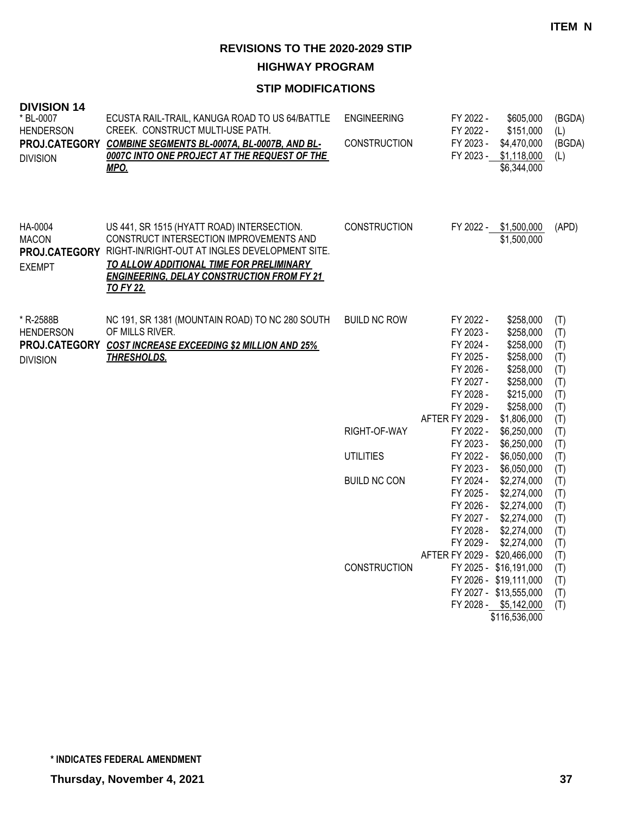**HIGHWAY PROGRAM**

## **STIP MODIFICATIONS**

| <b>DIVISION 14</b><br>* BL-0007<br><b>HENDERSON</b><br><b>DIVISION</b> | ECUSTA RAIL-TRAIL, KANUGA ROAD TO US 64/BATTLE<br>CREEK. CONSTRUCT MULTI-USE PATH.<br>PROJ.CATEGORY COMBINE SEGMENTS BL-0007A, BL-0007B, AND BL-<br>0007C INTO ONE PROJECT AT THE REQUEST OF THE<br><u>MPO.</u>                                              | <b>ENGINEERING</b><br><b>CONSTRUCTION</b> | FY 2022 -<br>FY 2022 -<br>FY 2023 -<br>FY 2023 -                                                                        | \$605,000<br>\$151,000<br>\$4,470,000<br>\$1,118,000<br>\$6,344,000                                                 | (BGDA)<br>(L)<br>(BGDA)<br>(L)                              |
|------------------------------------------------------------------------|--------------------------------------------------------------------------------------------------------------------------------------------------------------------------------------------------------------------------------------------------------------|-------------------------------------------|-------------------------------------------------------------------------------------------------------------------------|---------------------------------------------------------------------------------------------------------------------|-------------------------------------------------------------|
| HA-0004<br><b>MACON</b><br>PROJ.CATEGORY<br><b>EXEMPT</b>              | US 441, SR 1515 (HYATT ROAD) INTERSECTION.<br>CONSTRUCT INTERSECTION IMPROVEMENTS AND<br>RIGHT-IN/RIGHT-OUT AT INGLES DEVELOPMENT SITE.<br>TO ALLOW ADDITIONAL TIME FOR PRELIMINARY<br><b>ENGINEERING, DELAY CONSTRUCTION FROM FY 21</b><br><b>TO FY 22.</b> | <b>CONSTRUCTION</b>                       |                                                                                                                         | FY 2022 - \$1,500,000<br>\$1,500,000                                                                                | (APD)                                                       |
| * R-2588B<br><b>HENDERSON</b><br>PROJ.CATEGORY<br><b>DIVISION</b>      | NC 191, SR 1381 (MOUNTAIN ROAD) TO NC 280 SOUTH<br>OF MILLS RIVER.<br><b>COST INCREASE EXCEEDING \$2 MILLION AND 25%</b><br><b>THRESHOLDS.</b>                                                                                                               | <b>BUILD NC ROW</b>                       | FY 2022 -<br>FY 2023 -<br>FY 2024 -<br>FY 2025 -<br>FY 2026 -<br>FY 2027 -<br>FY 2028 -<br>FY 2029 -<br>AFTER FY 2029 - | \$258,000<br>\$258,000<br>\$258,000<br>\$258,000<br>\$258,000<br>\$258,000<br>\$215,000<br>\$258,000<br>\$1,806,000 | (T)<br>(T)<br>(T)<br>(T)<br>(T)<br>(T)<br>(T)<br>(T)<br>(T) |
|                                                                        |                                                                                                                                                                                                                                                              | RIGHT-OF-WAY                              | FY 2022 -<br>FY 2023 -                                                                                                  | \$6,250,000<br>\$6,250,000                                                                                          | (T)<br>(T)                                                  |
|                                                                        |                                                                                                                                                                                                                                                              | <b>UTILITIES</b>                          | FY 2022 -<br>FY 2023 -                                                                                                  | \$6,050,000<br>\$6,050,000                                                                                          | (T)<br>(T)                                                  |
|                                                                        |                                                                                                                                                                                                                                                              | <b>BUILD NC CON</b>                       | FY 2024 -<br>FY 2025 -<br>FY 2026 -<br>FY 2027 -<br>FY 2028 -<br>FY 2029 -<br>AFTER FY 2029 - \$20,466,000              | \$2,274,000<br>\$2,274,000<br>\$2,274,000<br>\$2,274,000<br>\$2,274,000<br>\$2,274,000                              | (T)<br>(T)<br>(T)<br>(T)<br>(T)<br>(T)<br>(T)               |
|                                                                        |                                                                                                                                                                                                                                                              | CONSTRUCTION                              |                                                                                                                         | FY 2025 - \$16,191,000<br>FY 2026 - \$19,111,000<br>FY 2027 - \$13,555,000<br>FY 2028 - \$5,142,000                 | (T)<br>(T)<br>(T)<br>(T)                                    |

\$116,536,000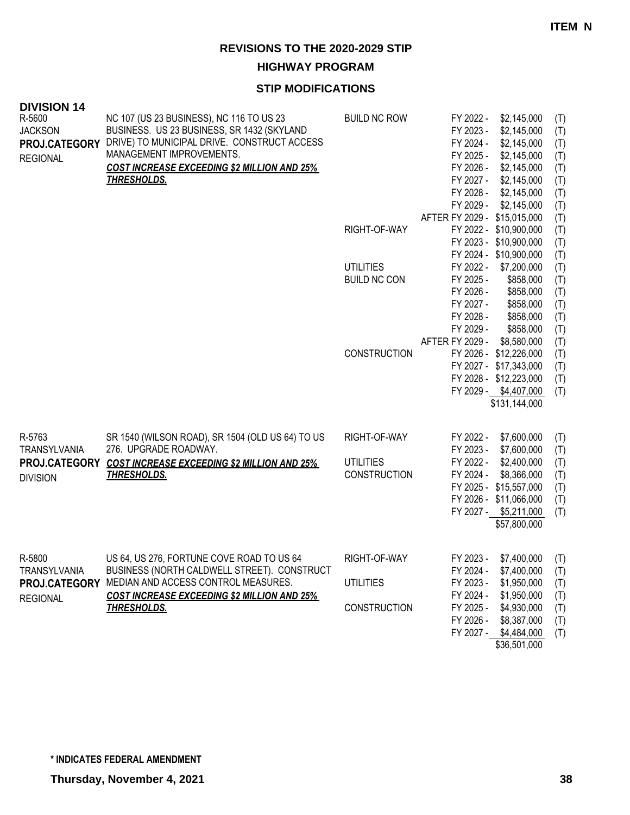**HIGHWAY PROGRAM**

| <b>DIVISION 14</b><br>R-5600<br><b>JACKSON</b><br>PROJ.CATEGORY<br><b>REGIONAL</b> | NC 107 (US 23 BUSINESS), NC 116 TO US 23<br>BUSINESS. US 23 BUSINESS, SR 1432 (SKYLAND<br>DRIVE) TO MUNICIPAL DRIVE. CONSTRUCT ACCESS<br>MANAGEMENT IMPROVEMENTS.<br><b>COST INCREASE EXCEEDING \$2 MILLION AND 25%</b><br><u>THRESHOLDS.</u> | <b>BUILD NC ROW</b><br>RIGHT-OF-WAY<br><b>UTILITIES</b><br><b>BUILD NC CON</b> | FY 2022 -<br>\$2,145,000<br>FY 2023 -<br>\$2,145,000<br>\$2,145,000<br>FY 2024 -<br>\$2,145,000<br>FY 2025 -<br>\$2,145,000<br>FY 2026 -<br>FY 2027 -<br>\$2,145,000<br>FY 2028 -<br>\$2,145,000<br>FY 2029 -<br>\$2,145,000<br>AFTER FY 2029 - \$15,015,000<br>FY 2022 - \$10,900,000<br>FY 2023 - \$10,900,000<br>FY 2024 - \$10,900,000<br>FY 2022 -<br>\$7,200,000<br>FY 2025 -<br>\$858,000<br>FY 2026 -<br>\$858,000<br>FY 2027 -<br>\$858,000<br>FY 2028 -<br>\$858,000 | (T)<br>(T)<br>(T)<br>(T)<br>(T)<br>(T)<br>(T)<br>(T)<br>(T)<br>(T)<br>(T)<br>(T)<br>(T)<br>(T)<br>(T)<br>(T)<br>(T) |
|------------------------------------------------------------------------------------|-----------------------------------------------------------------------------------------------------------------------------------------------------------------------------------------------------------------------------------------------|--------------------------------------------------------------------------------|--------------------------------------------------------------------------------------------------------------------------------------------------------------------------------------------------------------------------------------------------------------------------------------------------------------------------------------------------------------------------------------------------------------------------------------------------------------------------------|---------------------------------------------------------------------------------------------------------------------|
|                                                                                    |                                                                                                                                                                                                                                               |                                                                                | FY 2029 -<br>\$858,000                                                                                                                                                                                                                                                                                                                                                                                                                                                         | (T)                                                                                                                 |
|                                                                                    |                                                                                                                                                                                                                                               |                                                                                | AFTER FY 2029 -<br>\$8,580,000                                                                                                                                                                                                                                                                                                                                                                                                                                                 | (T)                                                                                                                 |
|                                                                                    |                                                                                                                                                                                                                                               | <b>CONSTRUCTION</b>                                                            | FY 2026 - \$12,226,000<br>FY 2027 - \$17,343,000                                                                                                                                                                                                                                                                                                                                                                                                                               | (T)                                                                                                                 |
|                                                                                    |                                                                                                                                                                                                                                               |                                                                                | FY 2028 - \$12,223,000                                                                                                                                                                                                                                                                                                                                                                                                                                                         | (T)<br>(T)                                                                                                          |
|                                                                                    |                                                                                                                                                                                                                                               |                                                                                | FY 2029 - \$4,407,000                                                                                                                                                                                                                                                                                                                                                                                                                                                          | (T)                                                                                                                 |
|                                                                                    |                                                                                                                                                                                                                                               |                                                                                | \$131,144,000                                                                                                                                                                                                                                                                                                                                                                                                                                                                  |                                                                                                                     |
|                                                                                    |                                                                                                                                                                                                                                               |                                                                                |                                                                                                                                                                                                                                                                                                                                                                                                                                                                                |                                                                                                                     |
| R-5763<br>TRANSYLVANIA                                                             | SR 1540 (WILSON ROAD), SR 1504 (OLD US 64) TO US<br>276. UPGRADE ROADWAY.                                                                                                                                                                     | RIGHT-OF-WAY                                                                   | FY 2022 -<br>\$7,600,000                                                                                                                                                                                                                                                                                                                                                                                                                                                       | (T)                                                                                                                 |
|                                                                                    | PROJ.CATEGORY COST INCREASE EXCEEDING \$2 MILLION AND 25%                                                                                                                                                                                     | <b>UTILITIES</b>                                                               | FY 2023 -<br>\$7,600,000<br>FY 2022 -<br>\$2,400,000                                                                                                                                                                                                                                                                                                                                                                                                                           | (T)<br>(T)                                                                                                          |
|                                                                                    | <b>THRESHOLDS.</b>                                                                                                                                                                                                                            | <b>CONSTRUCTION</b>                                                            | FY 2024 -<br>\$8,366,000                                                                                                                                                                                                                                                                                                                                                                                                                                                       | (T)                                                                                                                 |
| <b>DIVISION</b>                                                                    |                                                                                                                                                                                                                                               |                                                                                | FY 2025 - \$15,557,000                                                                                                                                                                                                                                                                                                                                                                                                                                                         | (T)                                                                                                                 |
|                                                                                    |                                                                                                                                                                                                                                               |                                                                                | FY 2026 - \$11,066,000                                                                                                                                                                                                                                                                                                                                                                                                                                                         | (T)                                                                                                                 |
|                                                                                    |                                                                                                                                                                                                                                               |                                                                                | FY 2027 - \$5,211,000                                                                                                                                                                                                                                                                                                                                                                                                                                                          | (T)                                                                                                                 |
|                                                                                    |                                                                                                                                                                                                                                               |                                                                                | \$57,800,000                                                                                                                                                                                                                                                                                                                                                                                                                                                                   |                                                                                                                     |
|                                                                                    |                                                                                                                                                                                                                                               |                                                                                |                                                                                                                                                                                                                                                                                                                                                                                                                                                                                |                                                                                                                     |
| R-5800                                                                             | US 64, US 276, FORTUNE COVE ROAD TO US 64                                                                                                                                                                                                     | RIGHT-OF-WAY                                                                   | FY 2023 -<br>$$7,400,000$ (T)                                                                                                                                                                                                                                                                                                                                                                                                                                                  |                                                                                                                     |
| TRANSYLVANIA                                                                       | BUSINESS (NORTH CALDWELL STREET). CONSTRUCT                                                                                                                                                                                                   |                                                                                | \$7,400,000<br>FY 2024 -                                                                                                                                                                                                                                                                                                                                                                                                                                                       | (T)                                                                                                                 |
| <b>PROJ.CATEGORY</b>                                                               | MEDIAN AND ACCESS CONTROL MEASURES.                                                                                                                                                                                                           | <b>UTILITIES</b>                                                               | \$1,950,000<br>FY 2023 -                                                                                                                                                                                                                                                                                                                                                                                                                                                       | (T)                                                                                                                 |
| <b>REGIONAL</b>                                                                    | <b>COST INCREASE EXCEEDING \$2 MILLION AND 25%</b>                                                                                                                                                                                            |                                                                                | FY 2024 -<br>\$1,950,000                                                                                                                                                                                                                                                                                                                                                                                                                                                       | (T)                                                                                                                 |
|                                                                                    | <b>THRESHOLDS.</b>                                                                                                                                                                                                                            | <b>CONSTRUCTION</b>                                                            | \$4,930,000<br>FY 2025 -<br>FY 2026 -<br>\$8,387,000                                                                                                                                                                                                                                                                                                                                                                                                                           | (T)                                                                                                                 |
|                                                                                    |                                                                                                                                                                                                                                               |                                                                                | FY 2027 - \$4,484,000                                                                                                                                                                                                                                                                                                                                                                                                                                                          | (T)<br>(T)                                                                                                          |
|                                                                                    |                                                                                                                                                                                                                                               |                                                                                | \$36,501,000                                                                                                                                                                                                                                                                                                                                                                                                                                                                   |                                                                                                                     |
|                                                                                    |                                                                                                                                                                                                                                               |                                                                                |                                                                                                                                                                                                                                                                                                                                                                                                                                                                                |                                                                                                                     |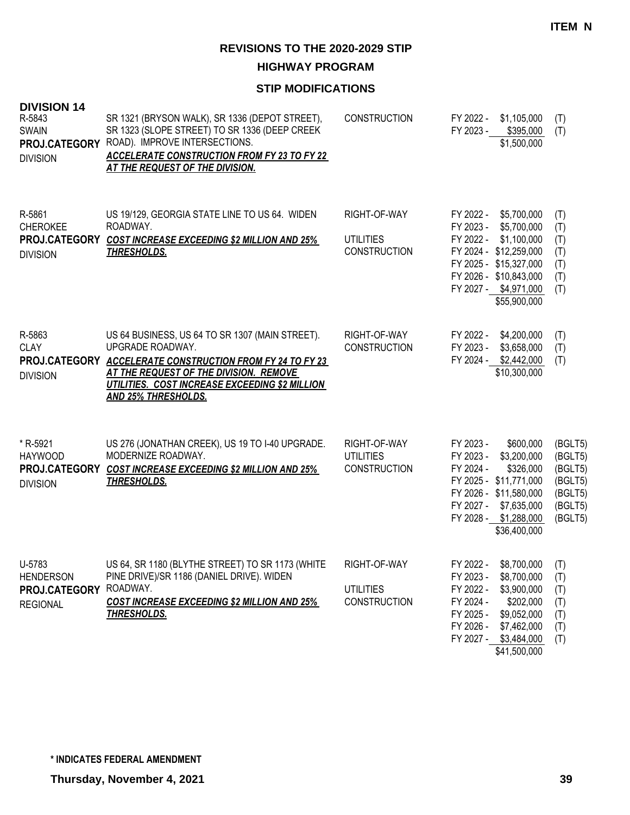**HIGHWAY PROGRAM**

| <b>DIVISION 14</b><br>R-5843<br><b>SWAIN</b><br>PROJ.CATEGORY<br><b>DIVISION</b> | SR 1321 (BRYSON WALK), SR 1336 (DEPOT STREET),<br>SR 1323 (SLOPE STREET) TO SR 1336 (DEEP CREEK<br>ROAD). IMPROVE INTERSECTIONS.<br><b>ACCELERATE CONSTRUCTION FROM FY 23 TO FY 22</b><br>AT THE REQUEST OF THE DIVISION.                                  | <b>CONSTRUCTION</b>                                     | FY 2022 -<br>FY 2023 -                                                     | \$1,105,000<br>\$395,000<br>\$1,500,000                                                                                                                          | (T)<br>(T)                                                                |
|----------------------------------------------------------------------------------|------------------------------------------------------------------------------------------------------------------------------------------------------------------------------------------------------------------------------------------------------------|---------------------------------------------------------|----------------------------------------------------------------------------|------------------------------------------------------------------------------------------------------------------------------------------------------------------|---------------------------------------------------------------------------|
| R-5861<br><b>CHEROKEE</b><br><b>DIVISION</b>                                     | US 19/129, GEORGIA STATE LINE TO US 64. WIDEN<br>ROADWAY.<br>PROJ.CATEGORY COST INCREASE EXCEEDING \$2 MILLION AND 25%<br><b>THRESHOLDS.</b>                                                                                                               | RIGHT-OF-WAY<br><b>UTILITIES</b><br><b>CONSTRUCTION</b> | FY 2022 -<br>FY 2023 -<br>FY 2022 -                                        | \$5,700,000<br>\$5,700,000<br>\$1,100,000<br>FY 2024 - \$12,259,000<br>FY 2025 - \$15,327,000<br>FY 2026 - \$10,843,000<br>FY 2027 - \$4,971,000<br>\$55,900,000 | (T)<br>(T)<br>(T)<br>(T)<br>(T)<br>(T)<br>(T)                             |
| R-5863<br><b>CLAY</b><br><b>DIVISION</b>                                         | US 64 BUSINESS, US 64 TO SR 1307 (MAIN STREET).<br>UPGRADE ROADWAY.<br>PROJ.CATEGORY ACCELERATE CONSTRUCTION FROM FY 24 TO FY 23<br>AT THE REQUEST OF THE DIVISION. REMOVE<br>UTILITIES. COST INCREASE EXCEEDING \$2 MILLION<br><b>AND 25% THRESHOLDS.</b> | RIGHT-OF-WAY<br><b>CONSTRUCTION</b>                     | FY 2022 -<br>FY 2023 -                                                     | \$4,200,000<br>\$3,658,000<br>FY 2024 - \$2,442,000<br>\$10,300,000                                                                                              | (T)<br>(T)<br>(T)                                                         |
| * R-5921<br><b>HAYWOOD</b><br>PROJ.CATEGORY<br><b>DIVISION</b>                   | US 276 (JONATHAN CREEK), US 19 TO I-40 UPGRADE.<br>MODERNIZE ROADWAY.<br><b>COST INCREASE EXCEEDING \$2 MILLION AND 25%</b><br><b>THRESHOLDS.</b>                                                                                                          | RIGHT-OF-WAY<br><b>UTILITIES</b><br><b>CONSTRUCTION</b> | FY 2023 -<br>FY 2023 -<br>FY 2024 -<br>FY 2027 -                           | \$600,000<br>\$3,200,000<br>\$326,000<br>FY 2025 - \$11,771,000<br>FY 2026 - \$11,580,000<br>\$7,635,000<br>FY 2028 - \$1,288,000<br>\$36,400,000                | (BGLT5)<br>(BGLT5)<br>(BGLT5)<br>(BGLT5)<br>(BGLT5)<br>(BGLT5)<br>(BGLT5) |
| U-5783<br><b>HENDERSON</b><br>PROJ.CATEGORY<br><b>REGIONAL</b>                   | US 64, SR 1180 (BLYTHE STREET) TO SR 1173 (WHITE<br>PINE DRIVE)/SR 1186 (DANIEL DRIVE). WIDEN<br>ROADWAY.<br><b>COST INCREASE EXCEEDING \$2 MILLION AND 25%</b><br><b>THRESHOLDS.</b>                                                                      | RIGHT-OF-WAY<br><b>UTILITIES</b><br><b>CONSTRUCTION</b> | FY 2022 -<br>FY 2023 -<br>FY 2022 -<br>FY 2024 -<br>FY 2025 -<br>FY 2026 - | \$8,700,000<br>\$8,700,000<br>\$3,900,000<br>\$202,000<br>\$9,052,000<br>\$7,462,000<br>FY 2027 - \$3,484,000<br>\$41,500,000                                    | (T)<br>(T)<br>(T)<br>(T)<br>(T)<br>(T)<br>(T)                             |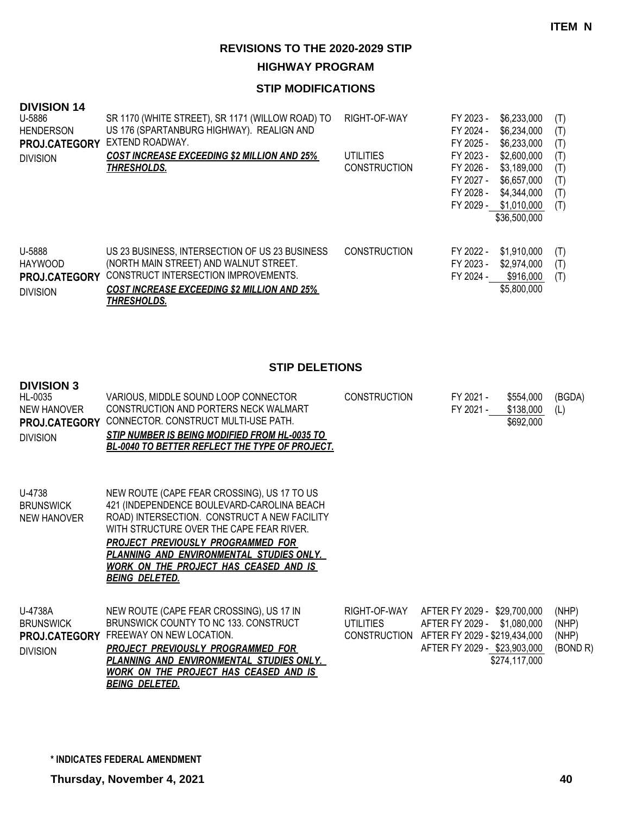**HIGHWAY PROGRAM**

## **STIP MODIFICATIONS**

| <b>DIVISION 14</b><br>U-5886<br><b>HENDERSON</b><br><b>PROJ.CATEGORY</b><br><b>DIVISION</b> | SR 1170 (WHITE STREET), SR 1171 (WILLOW ROAD) TO<br>US 176 (SPARTANBURG HIGHWAY). REALIGN AND<br>EXTEND ROADWAY.<br><b>COST INCREASE EXCEEDING \$2 MILLION AND 25%</b><br><b>THRESHOLDS.</b>                 | RIGHT-OF-WAY<br><b>UTILITIES</b><br><b>CONSTRUCTION</b> | \$6,233,000<br>FY 2023 -<br>FY 2024 -<br>\$6,234,000<br>\$6,233,000<br>FY 2025 -<br>FY 2023 -<br>\$2,600,000<br>\$3,189,000<br>FY 2026 -<br>FY 2027 -<br>\$6,657,000<br>FY 2028 -<br>\$4,344,000<br>FY 2029 -<br>\$1,010,000<br>\$36,500,000 | (T)<br>(T)<br>(T)<br>(T)<br>(T)<br>(T)<br>(T)<br>(T) |
|---------------------------------------------------------------------------------------------|--------------------------------------------------------------------------------------------------------------------------------------------------------------------------------------------------------------|---------------------------------------------------------|----------------------------------------------------------------------------------------------------------------------------------------------------------------------------------------------------------------------------------------------|------------------------------------------------------|
| U-5888<br><b>HAYWOOD</b><br><b>PROJ.CATEGORY</b><br><b>DIVISION</b>                         | US 23 BUSINESS, INTERSECTION OF US 23 BUSINESS<br>(NORTH MAIN STREET) AND WALNUT STREET.<br>CONSTRUCT INTERSECTION IMPROVEMENTS.<br><b>COST INCREASE EXCEEDING \$2 MILLION AND 25%</b><br><u>THRESHOLDS.</u> | <b>CONSTRUCTION</b>                                     | \$1,910,000<br>FY 2022 -<br>FY 2023 -<br>\$2,974,000<br>FY 2024 -<br>\$916,000<br>\$5,800,000                                                                                                                                                | (T)<br>(T)<br>(T)                                    |

## **STIP DELETIONS**

#### **DIVISION 3 DVISION 3**

| HL-0035<br><b>NEW HANOVER</b><br><b>PROJ.CATEGORY</b><br><b>DIVISION</b> | VARIOUS, MIDDLE SOUND LOOP CONNECTOR<br>CONSTRUCTION AND PORTERS NECK WALMART<br>CONNECTOR. CONSTRUCT MULTI-USE PATH.<br>STIP NUMBER IS BEING MODIFIED FROM HL-0035 TO<br>BL-0040 TO BETTER REFLECT THE TYPE OF PROJECT.                                                                                                                                | <b>CONSTRUCTION</b>                              | FY 2021 -<br>\$554,000<br>\$138,000<br>FY 2021 -<br>\$692,000                                                                                    | (BGDA)<br>(L)                       |
|--------------------------------------------------------------------------|---------------------------------------------------------------------------------------------------------------------------------------------------------------------------------------------------------------------------------------------------------------------------------------------------------------------------------------------------------|--------------------------------------------------|--------------------------------------------------------------------------------------------------------------------------------------------------|-------------------------------------|
| U-4738<br><b>BRUNSWICK</b><br>NEW HANOVER                                | NEW ROUTE (CAPE FEAR CROSSING), US 17 TO US<br>421 (INDEPENDENCE BOULEVARD-CAROLINA BEACH<br>ROAD) INTERSECTION. CONSTRUCT A NEW FACILITY<br>WITH STRUCTURE OVER THE CAPE FEAR RIVER.<br><b>PROJECT PREVIOUSLY PROGRAMMED FOR</b><br>PLANNING AND ENVIRONMENTAL STUDIES ONLY.<br><u>WORK ON THE PROJECT HAS CEASED AND IS </u><br><b>BEING DELETED.</b> |                                                  |                                                                                                                                                  |                                     |
| U-4738A<br><b>BRUNSWICK</b><br>PROJ.CATEGORY<br><b>DIVISION</b>          | NEW ROUTE (CAPE FEAR CROSSING), US 17 IN<br>BRUNSWICK COUNTY TO NC 133. CONSTRUCT<br>FREEWAY ON NEW LOCATION.<br><b>PROJECT PREVIOUSLY PROGRAMMED FOR</b><br>PLANNING AND ENVIRONMENTAL STUDIES ONLY.<br>WORK ON THE PROJECT HAS CEASED AND IS                                                                                                          | RIGHT-OF-WAY<br><b>UTILITIES</b><br>CONSTRUCTION | AFTER FY 2029 - \$29,700,000<br>AFTER FY 2029 -<br>\$1,080,000<br>AFTER FY 2029 - \$219,434,000<br>AFTER FY 2029 - \$23,903,000<br>\$274,117,000 | (NHP)<br>(NHP)<br>(NHP)<br>(BOND R) |

*BEING DELETED.*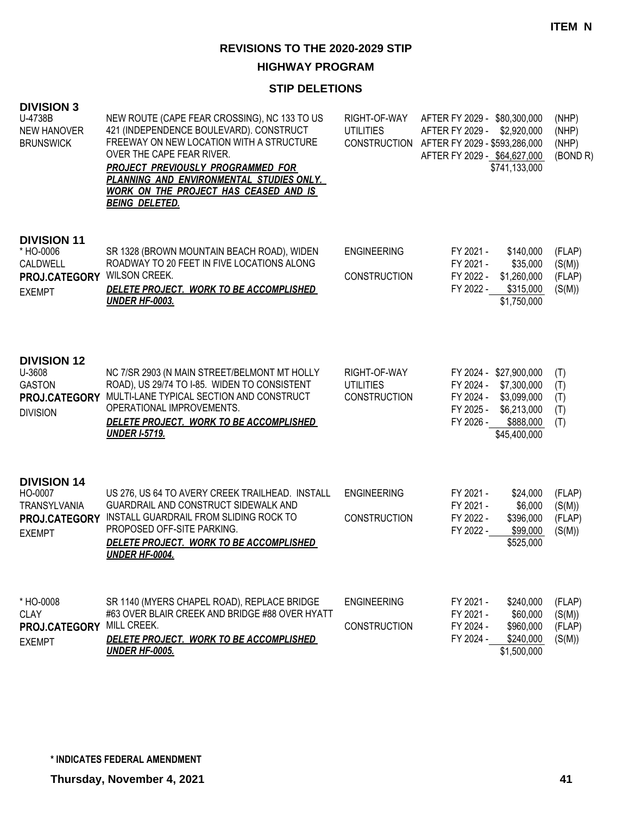## **HIGHWAY PROGRAM**

## **STIP DELETIONS**

| <b>DIVISION 3</b><br>U-4738B<br><b>NEW HANOVER</b><br><b>BRUNSWICK</b>            | NEW ROUTE (CAPE FEAR CROSSING), NC 133 TO US<br>421 (INDEPENDENCE BOULEVARD). CONSTRUCT<br>FREEWAY ON NEW LOCATION WITH A STRUCTURE<br>OVER THE CAPE FEAR RIVER.<br><b>PROJECT PREVIOUSLY PROGRAMMED FOR</b><br>PLANNING AND ENVIRONMENTAL STUDIES ONLY.<br><b>WORK ON THE PROJECT HAS CEASED AND IS</b><br><b>BEING DELETED.</b> | RIGHT-OF-WAY<br><b>UTILITIES</b>                        | AFTER FY 2029 - \$80,300,000<br>AFTER FY 2029 -<br>\$2,920,000<br>CONSTRUCTION AFTER FY 2029 - \$593,286,000<br>AFTER FY 2029 - \$64,627,000<br>\$741,133,000 | (NHP)<br>(NHP)<br>(NHP)<br>(BOND <sub>R</sub> ) |
|-----------------------------------------------------------------------------------|-----------------------------------------------------------------------------------------------------------------------------------------------------------------------------------------------------------------------------------------------------------------------------------------------------------------------------------|---------------------------------------------------------|---------------------------------------------------------------------------------------------------------------------------------------------------------------|-------------------------------------------------|
| <b>DIVISION 11</b><br>* HO-0006<br>CALDWELL<br>PROJ.CATEGORY<br><b>EXEMPT</b>     | SR 1328 (BROWN MOUNTAIN BEACH ROAD), WIDEN<br>ROADWAY TO 20 FEET IN FIVE LOCATIONS ALONG<br><b>WILSON CREEK.</b><br>DELETE PROJECT. WORK TO BE ACCOMPLISHED<br><b>UNDER HF-0003.</b>                                                                                                                                              | <b>ENGINEERING</b><br><b>CONSTRUCTION</b>               | FY 2021 -<br>\$140,000<br>FY 2021 -<br>\$35,000<br>FY 2022 -<br>\$1,260,000<br>FY 2022 -<br>\$315,000<br>\$1,750,000                                          | (FLAP)<br>(S(M))<br>(FLAP)<br>(S(M))            |
| <b>DIVISION 12</b><br>U-3608<br><b>GASTON</b><br>PROJ.CATEGORY<br><b>DIVISION</b> | NC 7/SR 2903 (N MAIN STREET/BELMONT MT HOLLY<br>ROAD), US 29/74 TO I-85. WIDEN TO CONSISTENT<br>MULTI-LANE TYPICAL SECTION AND CONSTRUCT<br>OPERATIONAL IMPROVEMENTS.<br>DELETE PROJECT. WORK TO BE ACCOMPLISHED<br><b>UNDER I-5719.</b>                                                                                          | RIGHT-OF-WAY<br><b>UTILITIES</b><br><b>CONSTRUCTION</b> | FY 2024 - \$27,900,000<br>FY 2024 -<br>\$7,300,000<br>FY 2024 -<br>\$3,099,000<br>FY 2025 -<br>\$6,213,000<br>FY 2026 -<br>\$888,000<br>\$45,400,000          | (T)<br>(T)<br>(T)<br>(T)<br>(T)                 |
| <b>DIVISION 14</b><br>HO-0007<br>TRANSYLVANIA<br>PROJ.CATEGORY<br><b>EXEMPT</b>   | US 276, US 64 TO AVERY CREEK TRAILHEAD. INSTALL<br>GUARDRAIL AND CONSTRUCT SIDEWALK AND<br>INSTALL GUARDRAIL FROM SLIDING ROCK TO<br>PROPOSED OFF-SITE PARKING.<br>DELETE PROJECT. WORK TO BE ACCOMPLISHED<br><b>UNDER HF-0004.</b>                                                                                               | <b>ENGINEERING</b><br><b>CONSTRUCTION</b>               | FY 2021 -<br>\$24,000<br>FY 2021 -<br>\$6,000<br>FY 2022 -<br>\$396,000<br>FY 2022 -<br>\$99,000<br>\$525,000                                                 | (FLAP)<br>(S(M))<br>(FLAP)<br>(S(M))            |
| * HO-0008<br><b>CLAY</b><br>PROJ.CATEGORY<br><b>EXEMPT</b>                        | SR 1140 (MYERS CHAPEL ROAD), REPLACE BRIDGE<br>#63 OVER BLAIR CREEK AND BRIDGE #88 OVER HYATT<br>MILL CREEK.<br>DELETE PROJECT. WORK TO BE ACCOMPLISHED<br><b>UNDER HF-0005.</b>                                                                                                                                                  | <b>ENGINEERING</b><br><b>CONSTRUCTION</b>               | FY 2021 -<br>\$240,000<br>\$60,000<br>FY 2021 -<br>FY 2024 -<br>\$960,000<br>FY 2024 -<br>\$240,000<br>\$1,500,000                                            | (FLAP)<br>(S(M))<br>(FLAP)<br>(S(M))            |